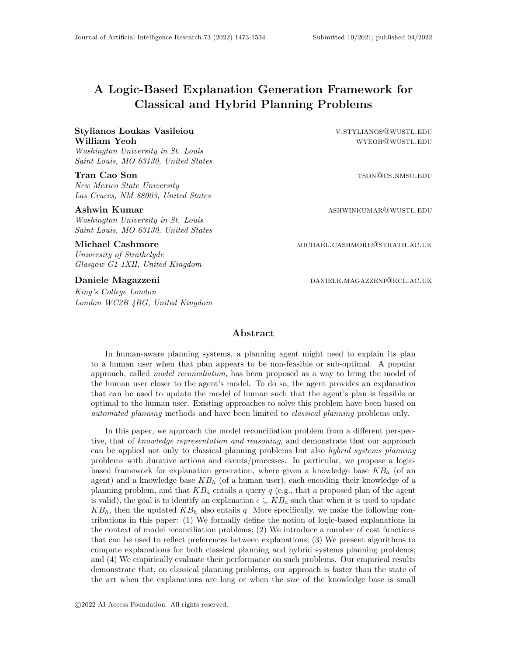# A Logic-Based Explanation Generation Framework for Classical and Hybrid Planning Problems

## Stylianos Loukas Vasileiou v.stylianos@wustL.edu William Yeoh wymen wyrong wyrong wyrong wyrong wyrong wyrong wyrong wyrong wyrong wyrong wyrong wyrong wyrong w

Washington University in St. Louis Saint Louis, MO 63130, United States

New Mexico State University Las Cruces, NM 88003, United States

Washington University in St. Louis Saint Louis, MO 63130, United States

University of Strathclyde

Glasgow G1 1XH, United Kingdom

King's College London London WC2B 4BG, United Kingdom

**Tran Cao Son** the Cao Son tson Cao Son tson Cao Son tson Cao Son tson Cao Son tson Cao Son tson Cao Son tson Cao Son tson Cao Son tson Cao Son tson Cao Son tson Cao Son tson Cao Son tson Cao Son tson Cao Son tson Cao Son

**Ashwin Kumar** and **Ashwing Community Community** ASHWINKUMAR@WUSTL.EDU

Michael Cashmore michael.cashmore michael.cashMore@strath.ac.uk

Daniele Magazzeni daniele.magazzeni daniele.magazzeni@kcL.ac.uk

## Abstract

In human-aware planning systems, a planning agent might need to explain its plan to a human user when that plan appears to be non-feasible or sub-optimal. A popular approach, called *model reconciliation*, has been proposed as a way to bring the model of the human user closer to the agent's model. To do so, the agent provides an explanation that can be used to update the model of human such that the agent's plan is feasible or optimal to the human user. Existing approaches to solve this problem have been based on automated planning methods and have been limited to classical planning problems only.

In this paper, we approach the model reconciliation problem from a different perspective, that of knowledge representation and reasoning, and demonstrate that our approach can be applied not only to classical planning problems but also *hybrid systems planning* problems with durative actions and events/processes. In particular, we propose a logicbased framework for explanation generation, where given a knowledge base  $KB<sub>a</sub>$  (of an agent) and a knowledge base  $KB_h$  (of a human user), each encoding their knowledge of a planning problem, and that  $KB_a$  entails a query q (e.g., that a proposed plan of the agent is valid), the goal is to identify an explanation  $\epsilon \subseteq KB_a$  such that when it is used to update  $KB_h$ , then the updated  $KB_h$  also entails q. More specifically, we make the following contributions in this paper: (1) We formally define the notion of logic-based explanations in the context of model reconciliation problems; (2) We introduce a number of cost functions that can be used to reflect preferences between explanations; (3) We present algorithms to compute explanations for both classical planning and hybrid systems planning problems; and (4) We empirically evaluate their performance on such problems. Our empirical results demonstrate that, on classical planning problems, our approach is faster than the state of the art when the explanations are long or when the size of the knowledge base is small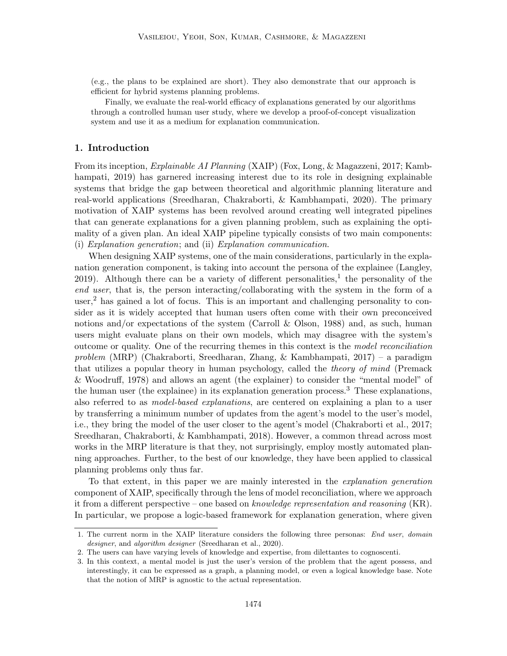(e.g., the plans to be explained are short). They also demonstrate that our approach is efficient for hybrid systems planning problems.

Finally, we evaluate the real-world efficacy of explanations generated by our algorithms through a controlled human user study, where we develop a proof-of-concept visualization system and use it as a medium for explanation communication.

## 1. Introduction

From its inception, *Explainable AI Planning* (XAIP) (Fox, Long, & Magazzeni, 2017; Kambhampati, 2019) has garnered increasing interest due to its role in designing explainable systems that bridge the gap between theoretical and algorithmic planning literature and real-world applications (Sreedharan, Chakraborti, & Kambhampati, 2020). The primary motivation of XAIP systems has been revolved around creating well integrated pipelines that can generate explanations for a given planning problem, such as explaining the optimality of a given plan. An ideal XAIP pipeline typically consists of two main components: (i) Explanation generation; and (ii) Explanation communication.

When designing XAIP systems, one of the main considerations, particularly in the explanation generation component, is taking into account the persona of the explainee (Langley, 2019). Although there can be a variety of different personalities,<sup>1</sup> the personality of the end user, that is, the person interacting/collaborating with the system in the form of a user,<sup>2</sup> has gained a lot of focus. This is an important and challenging personality to consider as it is widely accepted that human users often come with their own preconceived notions and/or expectations of the system (Carroll & Olson, 1988) and, as such, human users might evaluate plans on their own models, which may disagree with the system's outcome or quality. One of the recurring themes in this context is the model reconciliation problem (MRP) (Chakraborti, Sreedharan, Zhang, & Kambhampati, 2017) – a paradigm that utilizes a popular theory in human psychology, called the theory of mind (Premack & Woodruff, 1978) and allows an agent (the explainer) to consider the "mental model" of the human user (the explainee) in its explanation generation process.<sup>3</sup> These explanations, also referred to as model-based explanations, are centered on explaining a plan to a user by transferring a minimum number of updates from the agent's model to the user's model, i.e., they bring the model of the user closer to the agent's model (Chakraborti et al., 2017; Sreedharan, Chakraborti, & Kambhampati, 2018). However, a common thread across most works in the MRP literature is that they, not surprisingly, employ mostly automated planning approaches. Further, to the best of our knowledge, they have been applied to classical planning problems only thus far.

To that extent, in this paper we are mainly interested in the explanation generation component of XAIP, specifically through the lens of model reconciliation, where we approach it from a different perspective – one based on knowledge representation and reasoning (KR). In particular, we propose a logic-based framework for explanation generation, where given

<sup>1.</sup> The current norm in the XAIP literature considers the following three personas: End user, domain designer, and algorithm designer (Sreedharan et al., 2020).

<sup>2.</sup> The users can have varying levels of knowledge and expertise, from dilettantes to cognoscenti.

<sup>3.</sup> In this context, a mental model is just the user's version of the problem that the agent possess, and interestingly, it can be expressed as a graph, a planning model, or even a logical knowledge base. Note that the notion of MRP is agnostic to the actual representation.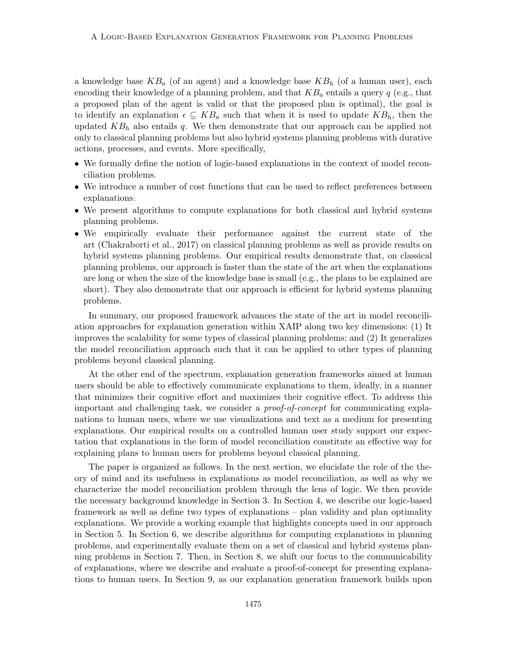a knowledge base  $KB_a$  (of an agent) and a knowledge base  $KB_h$  (of a human user), each encoding their knowledge of a planning problem, and that  $KB_a$  entails a query q (e.g., that a proposed plan of the agent is valid or that the proposed plan is optimal), the goal is to identify an explanation  $\epsilon \subseteq KB_a$  such that when it is used to update  $KB_h$ , then the updated  $KB<sub>h</sub>$  also entails q. We then demonstrate that our approach can be applied not only to classical planning problems but also hybrid systems planning problems with durative actions, processes, and events. More specifically,

- We formally define the notion of logic-based explanations in the context of model reconciliation problems.
- We introduce a number of cost functions that can be used to reflect preferences between explanations.
- We present algorithms to compute explanations for both classical and hybrid systems planning problems.
- We empirically evaluate their performance against the current state of the art (Chakraborti et al., 2017) on classical planning problems as well as provide results on hybrid systems planning problems. Our empirical results demonstrate that, on classical planning problems, our approach is faster than the state of the art when the explanations are long or when the size of the knowledge base is small (e.g., the plans to be explained are short). They also demonstrate that our approach is efficient for hybrid systems planning problems.

In summary, our proposed framework advances the state of the art in model reconciliation approaches for explanation generation within XAIP along two key dimensions: (1) It improves the scalability for some types of classical planning problems; and (2) It generalizes the model reconciliation approach such that it can be applied to other types of planning problems beyond classical planning.

At the other end of the spectrum, explanation generation frameworks aimed at human users should be able to effectively communicate explanations to them, ideally, in a manner that minimizes their cognitive effort and maximizes their cognitive effect. To address this important and challenging task, we consider a proof-of-concept for communicating explanations to human users, where we use visualizations and text as a medium for presenting explanations. Our empirical results on a controlled human user study support our expectation that explanations in the form of model reconciliation constitute an effective way for explaining plans to human users for problems beyond classical planning.

The paper is organized as follows. In the next section, we elucidate the role of the theory of mind and its usefulness in explanations as model reconciliation, as well as why we characterize the model reconciliation problem through the lens of logic. We then provide the necessary background knowledge in Section 3. In Section 4, we describe our logic-based framework as well as define two types of explanations – plan validity and plan optimality explanations. We provide a working example that highlights concepts used in our approach in Section 5. In Section 6, we describe algorithms for computing explanations in planning problems, and experimentally evaluate them on a set of classical and hybrid systems planning problems in Section 7. Then, in Section 8, we shift our focus to the communicability of explanations, where we describe and evaluate a proof-of-concept for presenting explanations to human users. In Section 9, as our explanation generation framework builds upon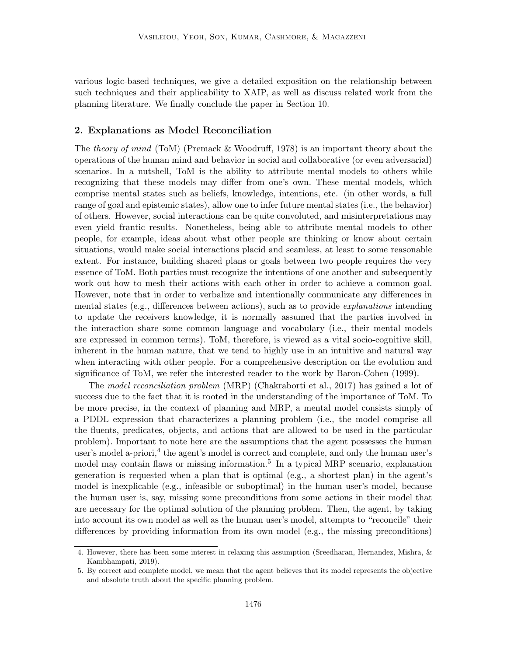various logic-based techniques, we give a detailed exposition on the relationship between such techniques and their applicability to XAIP, as well as discuss related work from the planning literature. We finally conclude the paper in Section 10.

## 2. Explanations as Model Reconciliation

The theory of mind (ToM) (Premack & Woodruff, 1978) is an important theory about the operations of the human mind and behavior in social and collaborative (or even adversarial) scenarios. In a nutshell, ToM is the ability to attribute mental models to others while recognizing that these models may differ from one's own. These mental models, which comprise mental states such as beliefs, knowledge, intentions, etc. (in other words, a full range of goal and epistemic states), allow one to infer future mental states (i.e., the behavior) of others. However, social interactions can be quite convoluted, and misinterpretations may even yield frantic results. Nonetheless, being able to attribute mental models to other people, for example, ideas about what other people are thinking or know about certain situations, would make social interactions placid and seamless, at least to some reasonable extent. For instance, building shared plans or goals between two people requires the very essence of ToM. Both parties must recognize the intentions of one another and subsequently work out how to mesh their actions with each other in order to achieve a common goal. However, note that in order to verbalize and intentionally communicate any differences in mental states (e.g., differences between actions), such as to provide explanations intending to update the receivers knowledge, it is normally assumed that the parties involved in the interaction share some common language and vocabulary (i.e., their mental models are expressed in common terms). ToM, therefore, is viewed as a vital socio-cognitive skill, inherent in the human nature, that we tend to highly use in an intuitive and natural way when interacting with other people. For a comprehensive description on the evolution and significance of ToM, we refer the interested reader to the work by Baron-Cohen (1999).

The model reconciliation problem (MRP) (Chakraborti et al., 2017) has gained a lot of success due to the fact that it is rooted in the understanding of the importance of ToM. To be more precise, in the context of planning and MRP, a mental model consists simply of a PDDL expression that characterizes a planning problem (i.e., the model comprise all the fluents, predicates, objects, and actions that are allowed to be used in the particular problem). Important to note here are the assumptions that the agent possesses the human user's model a-priori,<sup>4</sup> the agent's model is correct and complete, and only the human user's model may contain flaws or missing information.<sup>5</sup> In a typical MRP scenario, explanation generation is requested when a plan that is optimal (e.g., a shortest plan) in the agent's model is inexplicable (e.g., infeasible or suboptimal) in the human user's model, because the human user is, say, missing some preconditions from some actions in their model that are necessary for the optimal solution of the planning problem. Then, the agent, by taking into account its own model as well as the human user's model, attempts to "reconcile" their differences by providing information from its own model (e.g., the missing preconditions)

<sup>4.</sup> However, there has been some interest in relaxing this assumption (Sreedharan, Hernandez, Mishra, & Kambhampati, 2019).

<sup>5.</sup> By correct and complete model, we mean that the agent believes that its model represents the objective and absolute truth about the specific planning problem.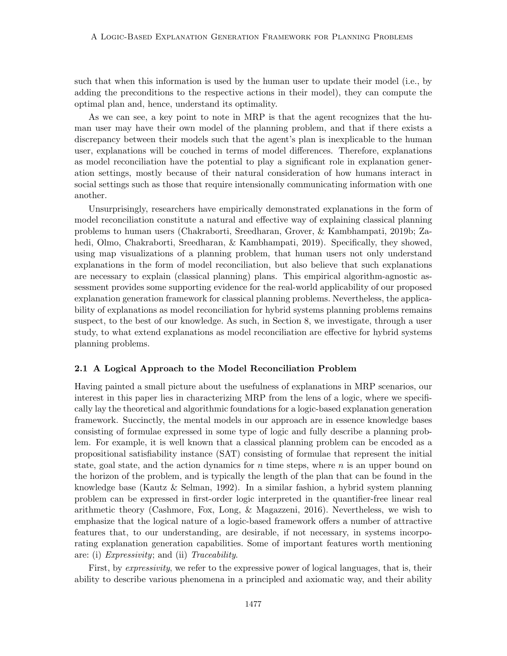such that when this information is used by the human user to update their model (i.e., by adding the preconditions to the respective actions in their model), they can compute the optimal plan and, hence, understand its optimality.

As we can see, a key point to note in MRP is that the agent recognizes that the human user may have their own model of the planning problem, and that if there exists a discrepancy between their models such that the agent's plan is inexplicable to the human user, explanations will be couched in terms of model differences. Therefore, explanations as model reconciliation have the potential to play a significant role in explanation generation settings, mostly because of their natural consideration of how humans interact in social settings such as those that require intensionally communicating information with one another.

Unsurprisingly, researchers have empirically demonstrated explanations in the form of model reconciliation constitute a natural and effective way of explaining classical planning problems to human users (Chakraborti, Sreedharan, Grover, & Kambhampati, 2019b; Zahedi, Olmo, Chakraborti, Sreedharan, & Kambhampati, 2019). Specifically, they showed, using map visualizations of a planning problem, that human users not only understand explanations in the form of model reconciliation, but also believe that such explanations are necessary to explain (classical planning) plans. This empirical algorithm-agnostic assessment provides some supporting evidence for the real-world applicability of our proposed explanation generation framework for classical planning problems. Nevertheless, the applicability of explanations as model reconciliation for hybrid systems planning problems remains suspect, to the best of our knowledge. As such, in Section 8, we investigate, through a user study, to what extend explanations as model reconciliation are effective for hybrid systems planning problems.

#### 2.1 A Logical Approach to the Model Reconciliation Problem

Having painted a small picture about the usefulness of explanations in MRP scenarios, our interest in this paper lies in characterizing MRP from the lens of a logic, where we specifically lay the theoretical and algorithmic foundations for a logic-based explanation generation framework. Succinctly, the mental models in our approach are in essence knowledge bases consisting of formulae expressed in some type of logic and fully describe a planning problem. For example, it is well known that a classical planning problem can be encoded as a propositional satisfiability instance (SAT) consisting of formulae that represent the initial state, goal state, and the action dynamics for  $n$  time steps, where  $n$  is an upper bound on the horizon of the problem, and is typically the length of the plan that can be found in the knowledge base (Kautz & Selman, 1992). In a similar fashion, a hybrid system planning problem can be expressed in first-order logic interpreted in the quantifier-free linear real arithmetic theory (Cashmore, Fox, Long, & Magazzeni, 2016). Nevertheless, we wish to emphasize that the logical nature of a logic-based framework offers a number of attractive features that, to our understanding, are desirable, if not necessary, in systems incorporating explanation generation capabilities. Some of important features worth mentioning are: (i) Expressivity; and (ii) Traceability.

First, by *expressivity*, we refer to the expressive power of logical languages, that is, their ability to describe various phenomena in a principled and axiomatic way, and their ability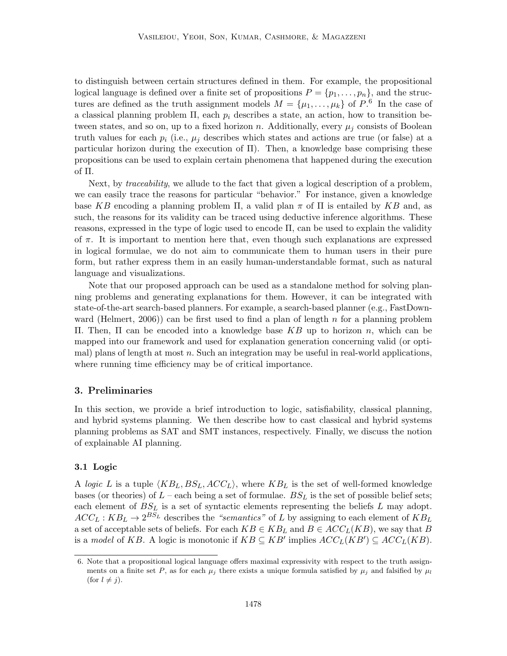to distinguish between certain structures defined in them. For example, the propositional logical language is defined over a finite set of propositions  $P = \{p_1, \ldots, p_n\}$ , and the structures are defined as the truth assignment models  $M = {\mu_1, \ldots, \mu_k}$  of  $P^6$ . In the case of a classical planning problem  $\Pi$ , each  $p_i$  describes a state, an action, how to transition between states, and so on, up to a fixed horizon n. Additionally, every  $\mu_j$  consists of Boolean truth values for each  $p_i$  (i.e.,  $\mu_j$  describes which states and actions are true (or false) at a particular horizon during the execution of Π). Then, a knowledge base comprising these propositions can be used to explain certain phenomena that happened during the execution of Π.

Next, by traceability, we allude to the fact that given a logical description of a problem, we can easily trace the reasons for particular "behavior." For instance, given a knowledge base KB encoding a planning problem  $\Pi$ , a valid plan  $\pi$  of  $\Pi$  is entailed by KB and, as such, the reasons for its validity can be traced using deductive inference algorithms. These reasons, expressed in the type of logic used to encode Π, can be used to explain the validity of  $\pi$ . It is important to mention here that, even though such explanations are expressed in logical formulae, we do not aim to communicate them to human users in their pure form, but rather express them in an easily human-understandable format, such as natural language and visualizations.

Note that our proposed approach can be used as a standalone method for solving planning problems and generating explanations for them. However, it can be integrated with state-of-the-art search-based planners. For example, a search-based planner (e.g., FastDownward (Helmert, 2006)) can be first used to find a plan of length n for a planning problem Π. Then, Π can be encoded into a knowledge base KB up to horizon n, which can be mapped into our framework and used for explanation generation concerning valid (or optimal) plans of length at most  $n$ . Such an integration may be useful in real-world applications, where running time efficiency may be of critical importance.

## 3. Preliminaries

In this section, we provide a brief introduction to logic, satisfiability, classical planning, and hybrid systems planning. We then describe how to cast classical and hybrid systems planning problems as SAT and SMT instances, respectively. Finally, we discuss the notion of explainable AI planning.

#### 3.1 Logic

A logic L is a tuple  $\langle KB_L, BS_L, ACC_L \rangle$ , where  $KB_L$  is the set of well-formed knowledge bases (or theories) of  $L$  – each being a set of formulae.  $BS<sub>L</sub>$  is the set of possible belief sets; each element of  $BS<sub>L</sub>$  is a set of syntactic elements representing the beliefs L may adopt.  $ACC_L: KB_L \rightarrow 2^{BS_L}$  describes the "semantics" of L by assigning to each element of  $KB_L$ a set of acceptable sets of beliefs. For each  $KB \in KB_L$  and  $B \in ACC_L(KB)$ , we say that B is a model of KB. A logic is monotonic if  $KB \subseteq KB'$  implies  $ACC_L(KB') \subseteq ACC_L(KB)$ .

<sup>6.</sup> Note that a propositional logical language offers maximal expressivity with respect to the truth assignments on a finite set P, as for each  $\mu_j$  there exists a unique formula satisfied by  $\mu_j$  and falsified by  $\mu_l$ (for  $l \neq j$ ).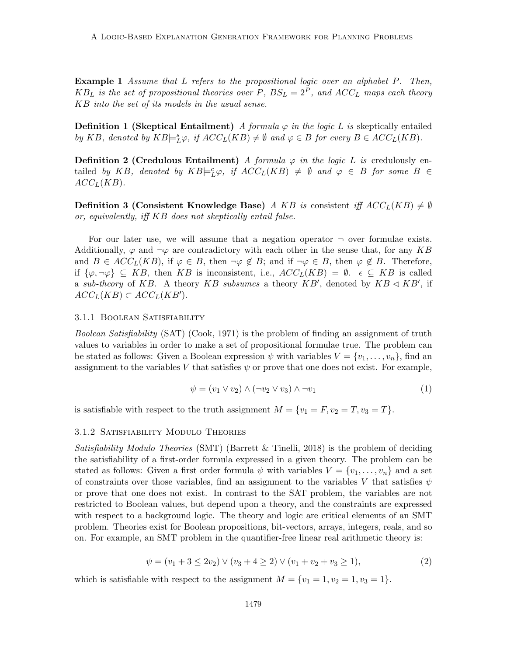**Example 1** Assume that L refers to the propositional logic over an alphabet P. Then,  $KB_L$  is the set of propositional theories over P,  $BS_L = 2^P$ , and  $ACC_L$  maps each theory KB into the set of its models in the usual sense.

**Definition 1 (Skeptical Entailment)** A formula  $\varphi$  in the logic L is skeptically entailed by KB, denoted by  $KB \models_L^s \varphi$ , if  $ACC_L(KB) \neq \emptyset$  and  $\varphi \in B$  for every  $B \in ACC_L(KB)$ .

**Definition 2 (Credulous Entailment)** A formula  $\varphi$  in the logic L is credulously entailed by KB, denoted by  $KB \models^c_L \varphi$ , if  $ACC_L(KB) \neq \emptyset$  and  $\varphi \in B$  for some  $B \in$  $ACC_L(KB)$ .

**Definition 3 (Consistent Knowledge Base)** A KB is consistent iff  $ACC_L(KB) \neq \emptyset$ or, equivalently, iff KB does not skeptically entail false.

For our later use, we will assume that a negation operator  $\neg$  over formulae exists. Additionally,  $\varphi$  and  $\neg \varphi$  are contradictory with each other in the sense that, for any KB and  $B \in ACC_L(KB)$ , if  $\varphi \in B$ , then  $\neg \varphi \notin B$ ; and if  $\neg \varphi \in B$ , then  $\varphi \notin B$ . Therefore, if  $\{\varphi, \neg \varphi\} \subseteq KB$ , then KB is inconsistent, i.e.,  $ACC_L(KB) = \emptyset$ .  $\epsilon \subseteq KB$  is called a sub-theory of KB. A theory KB subsumes a theory KB', denoted by  $KB \triangleleft KB'$ , if  $ACC_L(KB) \subset ACC_L(KB').$ 

#### 3.1.1 Boolean Satisfiability

Boolean Satisfiability (SAT) (Cook, 1971) is the problem of finding an assignment of truth values to variables in order to make a set of propositional formulae true. The problem can be stated as follows: Given a Boolean expression  $\psi$  with variables  $V = \{v_1, \ldots, v_n\}$ , find an assignment to the variables V that satisfies  $\psi$  or prove that one does not exist. For example,

$$
\psi = (v_1 \lor v_2) \land (\neg v_2 \lor v_3) \land \neg v_1 \tag{1}
$$

is satisfiable with respect to the truth assignment  $M = \{v_1 = F, v_2 = T, v_3 = T\}.$ 

## 3.1.2 Satisfiability Modulo Theories

Satisfiability Modulo Theories (SMT) (Barrett & Tinelli, 2018) is the problem of deciding the satisfiability of a first-order formula expressed in a given theory. The problem can be stated as follows: Given a first order formula  $\psi$  with variables  $V = \{v_1, \ldots, v_n\}$  and a set of constraints over those variables, find an assignment to the variables V that satisfies  $\psi$ or prove that one does not exist. In contrast to the SAT problem, the variables are not restricted to Boolean values, but depend upon a theory, and the constraints are expressed with respect to a background logic. The theory and logic are critical elements of an SMT problem. Theories exist for Boolean propositions, bit-vectors, arrays, integers, reals, and so on. For example, an SMT problem in the quantifier-free linear real arithmetic theory is:

$$
\psi = (v_1 + 3 \le 2v_2) \vee (v_3 + 4 \ge 2) \vee (v_1 + v_2 + v_3 \ge 1), \tag{2}
$$

which is satisfiable with respect to the assignment  $M = \{v_1 = 1, v_2 = 1, v_3 = 1\}.$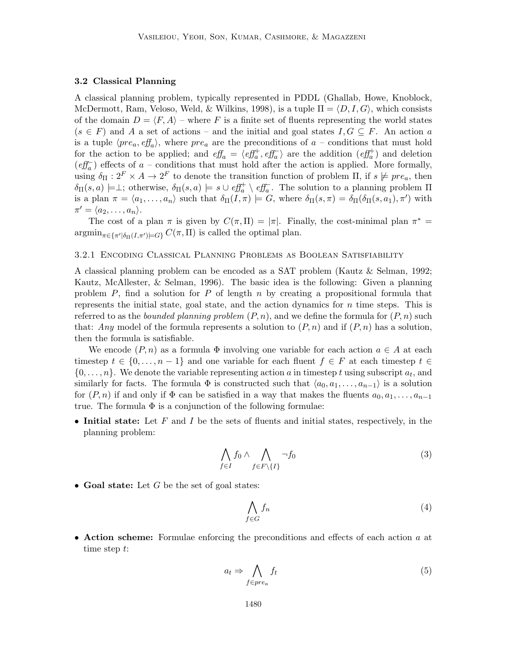#### 3.2 Classical Planning

A classical planning problem, typically represented in PDDL (Ghallab, Howe, Knoblock, McDermott, Ram, Veloso, Weld, & Wilkins, 1998), is a tuple  $\Pi = \langle D, I, G \rangle$ , which consists of the domain  $D = \langle F, A \rangle$  – where F is a finite set of fluents representing the world states  $(s \in F)$  and A a set of actions – and the initial and goal states  $I, G \subseteq F$ . An action a is a tuple  $\langle pre_a, eff_a \rangle$ , where  $pre_a$  are the preconditions of  $a$  – conditions that must hold for the action to be applied; and  $\ell f_a = \langle \ell f_a^+, \ell f_a^- \rangle$  are the addition  $(\ell f_a^+)$  and deletion  $\left( \text{eff}_{a}\right)$  effects of a – conditions that must hold after the action is applied. More formally, using  $\delta_{\Pi}: 2^F \times A \to 2^F$  to denote the transition function of problem  $\Pi$ , if  $s \not\models pre_a$ , then  $\delta_{\Pi}(s,a) \models \perp$ ; otherwise,  $\delta_{\Pi}(s,a) \models s \cup \text{eff}^+_a \setminus \text{eff}^-_a$ . The solution to a planning problem  $\Pi$ is a plan  $\pi = \langle a_1, \ldots, a_n \rangle$  such that  $\delta_{\Pi}(I, \pi) \models G$ , where  $\delta_{\Pi}(s, \pi) = \delta_{\Pi}(\delta_{\Pi}(s, a_1), \pi')$  with  $\pi' = \langle a_2, \ldots, a_n \rangle.$ 

The cost of a plan  $\pi$  is given by  $C(\pi, \Pi) = |\pi|$ . Finally, the cost-minimal plan  $\pi^* =$  $\operatorname{argmin}_{\pi \in {\{\pi'|\delta_{\Pi}(I,\pi') \models G\}} } C(\pi,\Pi)$  is called the optimal plan.

## 3.2.1 Encoding Classical Planning Problems as Boolean Satisfiability

A classical planning problem can be encoded as a SAT problem (Kautz & Selman, 1992; Kautz, McAllester, & Selman, 1996). The basic idea is the following: Given a planning problem  $P$ , find a solution for  $P$  of length  $n$  by creating a propositional formula that represents the initial state, goal state, and the action dynamics for  $n$  time steps. This is referred to as the *bounded planning problem*  $(P, n)$ , and we define the formula for  $(P, n)$  such that: Any model of the formula represents a solution to  $(P, n)$  and if  $(P, n)$  has a solution, then the formula is satisfiable.

We encode  $(P, n)$  as a formula  $\Phi$  involving one variable for each action  $a \in A$  at each timestep  $t \in \{0, \ldots, n-1\}$  and one variable for each fluent  $f \in F$  at each timestep  $t \in$  $\{0, \ldots, n\}$ . We denote the variable representing action a in timestep t using subscript  $a_t$ , and similarly for facts. The formula  $\Phi$  is constructed such that  $\langle a_0, a_1, \ldots, a_{n-1} \rangle$  is a solution for  $(P, n)$  if and only if  $\Phi$  can be satisfied in a way that makes the fluents  $a_0, a_1, \ldots, a_{n-1}$ true. The formula  $\Phi$  is a conjunction of the following formulae:

• Initial state: Let F and I be the sets of fluents and initial states, respectively, in the planning problem:

$$
\bigwedge_{f \in I} f_0 \wedge \bigwedge_{f \in F \setminus \{I\}} \neg f_0 \tag{3}
$$

• Goal state: Let  $G$  be the set of goal states:

$$
\bigwedge_{f \in G} f_n \tag{4}
$$

• Action scheme: Formulae enforcing the preconditions and effects of each action a at time step t:

$$
a_t \Rightarrow \bigwedge_{f \in pre_a} f_t \tag{5}
$$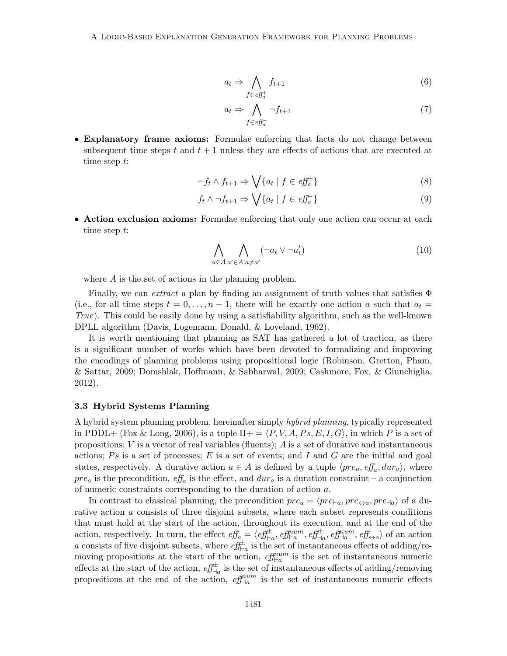$$
a_t \Rightarrow \bigwedge_{f \in \mathit{eff}_a^+} f_{t+1} \tag{6}
$$

$$
a_t \Rightarrow \bigwedge_{f \in \text{eff}_a^-} \neg f_{t+1} \tag{7}
$$

• Explanatory frame axioms: Formulae enforcing that facts do not change between subsequent time steps t and  $t + 1$  unless they are effects of actions that are executed at time step t:

$$
\neg f_t \land f_{t+1} \Rightarrow \bigvee \{a_t \mid f \in \text{eff}_a^+\}\tag{8}
$$

$$
f_t \wedge \neg f_{t+1} \Rightarrow \bigvee \{a_t \mid f \in \text{eff}_a^-\}\tag{9}
$$

• Action exclusion axioms: Formulae enforcing that only one action can occur at each time step t:

$$
\bigwedge_{a \in A} \bigwedge_{a' \in A \mid a \neq a'} (\neg a_t \lor \neg a'_t) \tag{10}
$$

where A is the set of actions in the planning problem.

Finally, we can *extract* a plan by finding an assignment of truth values that satisfies  $\Phi$ (i.e., for all time steps  $t = 0, \ldots, n-1$ , there will be exactly one action a such that  $a_t =$ True). This could be easily done by using a satisfiability algorithm, such as the well-known DPLL algorithm (Davis, Logemann, Donald, & Loveland, 1962).

It is worth mentioning that planning as SAT has gathered a lot of traction, as there is a significant number of works which have been devoted to formalizing and improving the encodings of planning problems using propositional logic (Robinson, Gretton, Pham, & Sattar, 2009; Domshlak, Hoffmann, & Sabharwal, 2009; Cashmore, Fox, & Giunchiglia, 2012).

#### 3.3 Hybrid Systems Planning

A hybrid system planning problem, hereinafter simply hybrid planning, typically represented in PDDL+ (Fox & Long, 2006), is a tuple  $\Pi$ + =  $\langle P, V, A, Ps, E, I, G \rangle$ , in which P is a set of propositions;  $V$  is a vector of real variables (fluents);  $\tilde{A}$  is a set of durative and instantaneous actions;  $Ps$  is a set of processes;  $E$  is a set of events; and  $I$  and  $G$  are the initial and goal states, respectively. A durative action  $a \in A$  is defined by a tuple  $\langle pre_a, eff_a, dur_a \rangle$ , where  $pre_a$  is the precondition,  $eff_a$  is the effect, and  $dur_a$  is a duration constraint – a conjunction of numeric constraints corresponding to the duration of action a.

In contrast to classical planning, the precondition  $pre_a = \langle pre_{\text{in}}, pre_{\leftrightarrow a}, pre_{\text{in}} \rangle$  of a durative action a consists of three disjoint subsets, where each subset represents conditions that must hold at the start of the action, throughout its execution, and at the end of the action, respectively. In turn, the effect  $\mathit{eff}_{a} = \langle \mathit{eff}_{\vdash a}^{\pm}, \mathit{eff}_{\vdash a}^{num}, \mathit{eff}_{\neg a}^{\pm}, \mathit{eff}_{\neg a}^{num}, \mathit{eff}_{\leftrightarrow a} \rangle$  of an action a consists of five disjoint subsets, where  $\hat{eff}_{\vdash a}^{\pm}$  is the set of instantaneous effects of adding/removing propositions at the start of the action,  $\epsilon f_{\vdash a}^{num}$  is the set of instantaneous numeric effects at the start of the action,  $\text{eff}^{\pm}_{\text{--}a}$  is the set of instantaneous effects of adding/removing propositions at the end of the action,  $\text{eff}^{num}_{\text{-}la}$  is the set of instantaneous numeric effects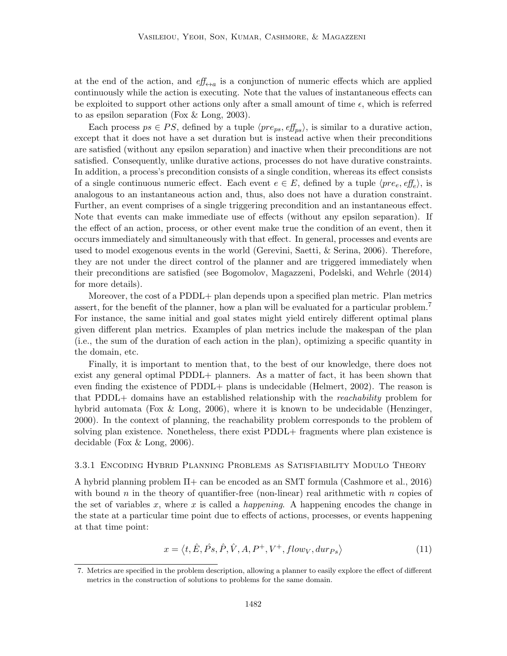at the end of the action, and  $\ell f_{\leftrightarrow a}$  is a conjunction of numeric effects which are applied continuously while the action is executing. Note that the values of instantaneous effects can be exploited to support other actions only after a small amount of time  $\epsilon$ , which is referred to as epsilon separation (Fox & Long, 2003).

Each process  $ps \in PS$ , defined by a tuple  $\langle pre_{ps}, eff_{ps} \rangle$ , is similar to a durative action, except that it does not have a set duration but is instead active when their preconditions are satisfied (without any epsilon separation) and inactive when their preconditions are not satisfied. Consequently, unlike durative actions, processes do not have durative constraints. In addition, a process's precondition consists of a single condition, whereas its effect consists of a single continuous numeric effect. Each event  $e \in E$ , defined by a tuple  $\langle pre_e, eff_e \rangle$ , is analogous to an instantaneous action and, thus, also does not have a duration constraint. Further, an event comprises of a single triggering precondition and an instantaneous effect. Note that events can make immediate use of effects (without any epsilon separation). If the effect of an action, process, or other event make true the condition of an event, then it occurs immediately and simultaneously with that effect. In general, processes and events are used to model exogenous events in the world (Gerevini, Saetti, & Serina, 2006). Therefore, they are not under the direct control of the planner and are triggered immediately when their preconditions are satisfied (see Bogomolov, Magazzeni, Podelski, and Wehrle (2014) for more details).

Moreover, the cost of a PDDL+ plan depends upon a specified plan metric. Plan metrics assert, for the benefit of the planner, how a plan will be evaluated for a particular problem.<sup>7</sup> For instance, the same initial and goal states might yield entirely different optimal plans given different plan metrics. Examples of plan metrics include the makespan of the plan (i.e., the sum of the duration of each action in the plan), optimizing a specific quantity in the domain, etc.

Finally, it is important to mention that, to the best of our knowledge, there does not exist any general optimal PDDL+ planners. As a matter of fact, it has been shown that even finding the existence of PDDL+ plans is undecidable (Helmert, 2002). The reason is that PDDL+ domains have an established relationship with the reachability problem for hybrid automata (Fox & Long, 2006), where it is known to be undecidable (Henzinger, 2000). In the context of planning, the reachability problem corresponds to the problem of solving plan existence. Nonetheless, there exist PDDL+ fragments where plan existence is decidable (Fox & Long, 2006).

#### 3.3.1 Encoding Hybrid Planning Problems as Satisfiability Modulo Theory

A hybrid planning problem  $\Pi$ + can be encoded as an SMT formula (Cashmore et al., 2016) with bound n in the theory of quantifier-free (non-linear) real arithmetic with n copies of the set of variables x, where x is called a *happening*. A happening encodes the change in the state at a particular time point due to effects of actions, processes, or events happening at that time point:

$$
x = \langle t, \hat{E}, \hat{P}s, \hat{P}, \hat{V}, A, P^+, V^+, flow_V, dur_{Ps} \rangle \tag{11}
$$

<sup>7.</sup> Metrics are specified in the problem description, allowing a planner to easily explore the effect of different metrics in the construction of solutions to problems for the same domain.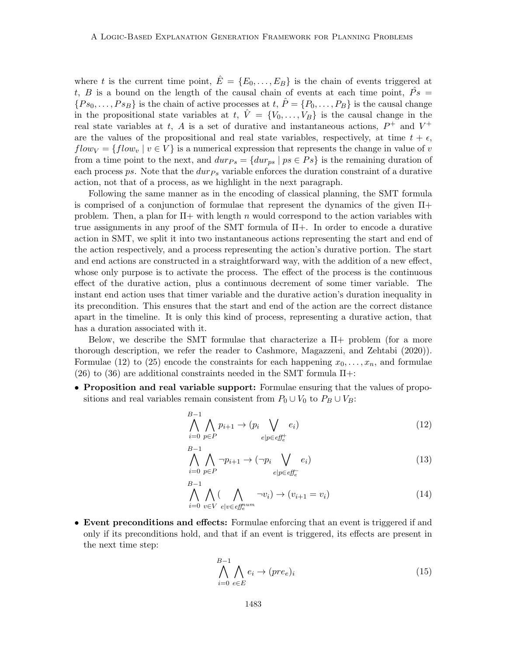where t is the current time point,  $\hat{E} = \{E_0, \ldots, E_B\}$  is the chain of events triggered at t, B is a bound on the length of the causal chain of events at each time point,  $\hat{Ps} =$  ${P_{s_0,\ldots,P_{s_B}}\}$  is the chain of active processes at  $t, \hat{P} = {P_0,\ldots,P_B}\}$  is the causal change in the propositional state variables at t,  $\hat{V} = \{V_0, \ldots, V_B\}$  is the causal change in the real state variables at t, A is a set of durative and instantaneous actions,  $P^+$  and  $V^+$ are the values of the propositional and real state variables, respectively, at time  $t + \epsilon$ ,  $flow_V = \{flow_v | v \in V\}$  is a numerical expression that represents the change in value of v from a time point to the next, and  $dur_{Ps} = \{dur_{ps} | ps \in Ps\}$  is the remaining duration of each process ps. Note that the  $dur_{Ps}$  variable enforces the duration constraint of a durative action, not that of a process, as we highlight in the next paragraph.

Following the same manner as in the encoding of classical planning, the SMT formula is comprised of a conjunction of formulae that represent the dynamics of the given  $\Pi$ + problem. Then, a plan for  $\Pi$ + with length n would correspond to the action variables with true assignments in any proof of the SMT formula of Π+. In order to encode a durative action in SMT, we split it into two instantaneous actions representing the start and end of the action respectively, and a process representing the action's durative portion. The start and end actions are constructed in a straightforward way, with the addition of a new effect, whose only purpose is to activate the process. The effect of the process is the continuous effect of the durative action, plus a continuous decrement of some timer variable. The instant end action uses that timer variable and the durative action's duration inequality in its precondition. This ensures that the start and end of the action are the correct distance apart in the timeline. It is only this kind of process, representing a durative action, that has a duration associated with it.

Below, we describe the SMT formulae that characterize a  $\Pi$ + problem (for a more thorough description, we refer the reader to Cashmore, Magazzeni, and Zehtabi (2020)). Formulae (12) to (25) encode the constraints for each happening  $x_0, \ldots, x_n$ , and formulae (26) to (36) are additional constraints needed in the SMT formula  $\Pi$ +:

• Proposition and real variable support: Formulae ensuring that the values of propositions and real variables remain consistent from  $P_0 \cup V_0$  to  $P_B \cup V_B$ :

$$
\bigwedge_{i=0}^{B-1} \bigwedge_{p \in P} p_{i+1} \to (p_i \bigvee_{e|p \in \ell f_e^+} e_i)
$$
\n
$$
(12)
$$

$$
\bigwedge_{i=0}^{B-1} \bigwedge_{p \in P} \neg p_{i+1} \to (\neg p_i \bigvee_{e | p \in \text{eff}_e^-} e_i)
$$
\n(13)

$$
\bigwedge_{i=0}^{B-1} \bigwedge_{v \in V} (\bigwedge_{e|v \in \text{eff}_e^{num}} \neg v_i) \to (v_{i+1} = v_i) \tag{14}
$$

• Event preconditions and effects: Formulae enforcing that an event is triggered if and only if its preconditions hold, and that if an event is triggered, its effects are present in the next time step:

$$
\bigwedge_{i=0}^{B-1} \bigwedge_{e \in E} e_i \to (pre_e)_i \tag{15}
$$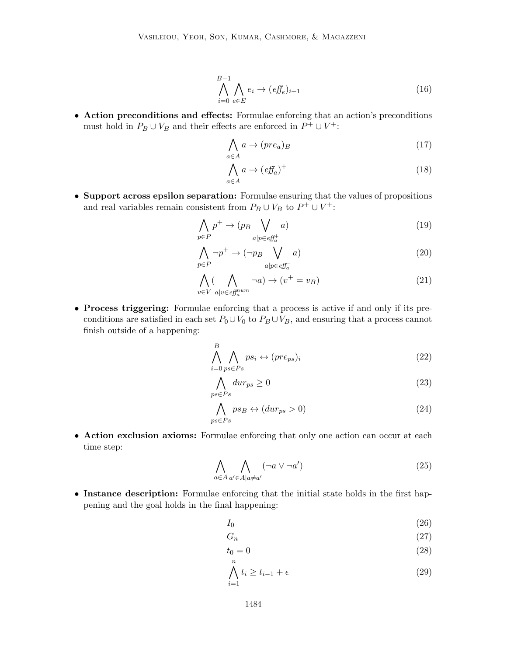$$
\bigwedge_{i=0}^{B-1} \bigwedge_{e \in E} e_i \to (e f_e)_{i+1} \tag{16}
$$

• Action preconditions and effects: Formulae enforcing that an action's preconditions must hold in  $P_B \cup V_B$  and their effects are enforced in  $P^+ \cup V^+$ :

$$
\bigwedge_{a \in A} a \to (pre_a)_B \tag{17}
$$

$$
\bigwedge_{a \in A} a \to (e\mathit{ff}_a)^+ \tag{18}
$$

• Support across epsilon separation: Formulae ensuring that the values of propositions and real variables remain consistent from  $P_B \cup V_B$  to  $P^+ \cup V^+$ :

$$
\bigwedge_{p \in P} p^+ \to (p_B \bigvee_{a|p \in \ell \mathcal{F}_a^+} a) \tag{19}
$$

$$
\bigwedge_{p \in P} \neg p^+ \to (\neg p_B \bigvee_{a|p \in \text{eff}_a^-} a) \tag{20}
$$

$$
\bigwedge_{v \in V} (\bigwedge_{a|v \in \ell_{a}^{mu}} \neg a) \to (v^{+} = v_{B})
$$
\n(21)

• Process triggering: Formulae enforcing that a process is active if and only if its preconditions are satisfied in each set  $P_0 \cup V_0$  to  $P_B \cup V_B$ , and ensuring that a process cannot finish outside of a happening:

$$
\bigwedge_{i=0}^{B} \bigwedge_{ps \in Ps_i} ps_i \leftrightarrow (pre_{ps})_i \tag{22}
$$

$$
\bigwedge_{ps \in Ps} dur_{ps} \ge 0\tag{23}
$$

$$
\bigwedge_{ps \in Ps} ps_B \leftrightarrow (dur_{ps} > 0)
$$
\n(24)

• Action exclusion axioms: Formulae enforcing that only one action can occur at each time step:

$$
\bigwedge_{a \in A} \bigwedge_{a' \in A \mid a \neq a'} (\neg a \lor \neg a') \tag{25}
$$

• Instance description: Formulae enforcing that the initial state holds in the first happening and the goal holds in the final happening:

$$
I_0 \tag{26}
$$

$$
G_n \tag{27}
$$

$$
t_0 = 0 \tag{28}
$$

$$
\bigwedge_{i=1}^{n} t_i \ge t_{i-1} + \epsilon \tag{29}
$$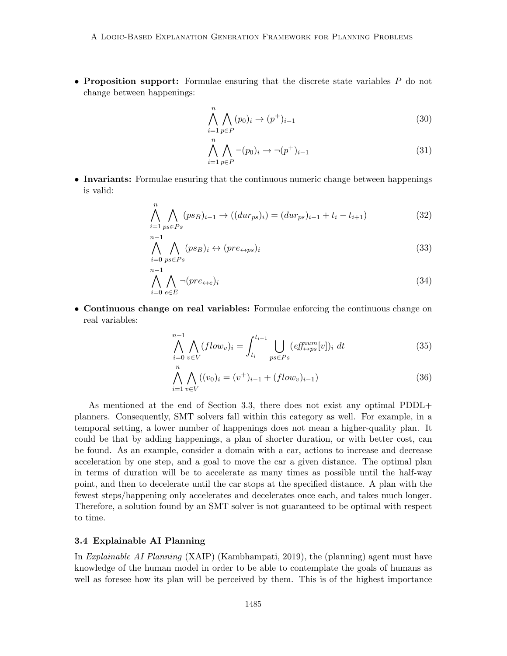• Proposition support: Formulae ensuring that the discrete state variables  $P$  do not change between happenings:

$$
\bigwedge_{i=1}^{n} \bigwedge_{p \in P} (p_0)_i \to (p^+)_{i-1}
$$
\n(30)

$$
\bigwedge_{i=1}^{n} \bigwedge_{p \in P} \neg (p_0)_i \to \neg (p^+)_{i-1} \tag{31}
$$

• Invariants: Formulae ensuring that the continuous numeric change between happenings is valid:

$$
\bigwedge_{i=1}^{n} \bigwedge_{p s \in P s} (p s_{B})_{i-1} \to ((dur_{ps})_{i}) = (dur_{ps})_{i-1} + t_{i} - t_{i+1})
$$
\n(32)

$$
\bigwedge_{i=0}^{n-1} \bigwedge_{p s \in Ps_i} (ps_B)_i \leftrightarrow (pre_{\leftrightarrow ps})_i \tag{33}
$$

$$
\bigwedge_{i=0}^{n-1} \bigwedge_{e \in E} \neg (pre_{\leftrightarrow e})_i \tag{34}
$$

• Continuous change on real variables: Formulae enforcing the continuous change on real variables:

$$
\bigwedge_{i=0}^{n-1} \bigwedge_{v \in V} (flow_v)_i = \int_{t_i}^{t_{i+1}} \bigcup_{ps \in Ps} (eff_{\leftrightarrow ps}^{num}[v])_i dt \tag{35}
$$

$$
\bigwedge_{i=1}^{n} \bigwedge_{v \in V} ((v_0)_i = (v^+)_{i-1} + (flow_v)_{i-1})
$$
\n(36)

As mentioned at the end of Section 3.3, there does not exist any optimal PDDL+ planners. Consequently, SMT solvers fall within this category as well. For example, in a temporal setting, a lower number of happenings does not mean a higher-quality plan. It could be that by adding happenings, a plan of shorter duration, or with better cost, can be found. As an example, consider a domain with a car, actions to increase and decrease acceleration by one step, and a goal to move the car a given distance. The optimal plan in terms of duration will be to accelerate as many times as possible until the half-way point, and then to decelerate until the car stops at the specified distance. A plan with the fewest steps/happening only accelerates and decelerates once each, and takes much longer. Therefore, a solution found by an SMT solver is not guaranteed to be optimal with respect to time.

#### 3.4 Explainable AI Planning

In Explainable AI Planning (XAIP) (Kambhampati, 2019), the (planning) agent must have knowledge of the human model in order to be able to contemplate the goals of humans as well as foresee how its plan will be perceived by them. This is of the highest importance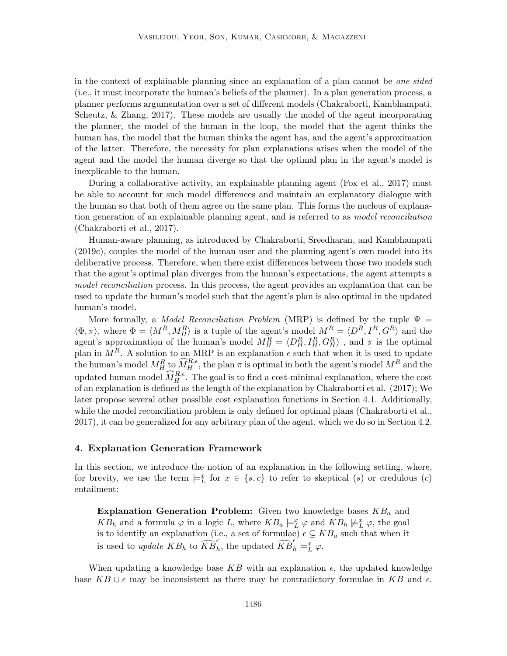in the context of explainable planning since an explanation of a plan cannot be one-sided (i.e., it must incorporate the human's beliefs of the planner). In a plan generation process, a planner performs argumentation over a set of different models (Chakraborti, Kambhampati, Scheutz, & Zhang, 2017). These models are usually the model of the agent incorporating the planner, the model of the human in the loop, the model that the agent thinks the human has, the model that the human thinks the agent has, and the agent's approximation of the latter. Therefore, the necessity for plan explanations arises when the model of the agent and the model the human diverge so that the optimal plan in the agent's model is inexplicable to the human.

During a collaborative activity, an explainable planning agent (Fox et al., 2017) must be able to account for such model differences and maintain an explanatory dialogue with the human so that both of them agree on the same plan. This forms the nucleus of explanation generation of an explainable planning agent, and is referred to as model reconciliation (Chakraborti et al., 2017).

Human-aware planning, as introduced by Chakraborti, Sreedharan, and Kambhampati (2019c), couples the model of the human user and the planning agent's own model into its deliberative process. Therefore, when there exist differences between those two models such that the agent's optimal plan diverges from the human's expectations, the agent attempts a model reconciliation process. In this process, the agent provides an explanation that can be used to update the human's model such that the agent's plan is also optimal in the updated human's model.

More formally, a *Model Reconciliation Problem* (MRP) is defined by the tuple  $\Psi$  =  $\langle \Phi, \pi \rangle$ , where  $\Phi = \langle M^R, M_H^R \rangle$  is a tuple of the agent's model  $M^R = \langle D^R, I^R, G^R \rangle$  and the agent's approximation of the human's model  $M_H^R = \langle D_H^R, I_H^R, G_H^R \rangle$ , and  $\pi$  is the optimal plan in  $M^R$ . A solution to an MRP is an explanation  $\epsilon$  such that when it is used to update the human's model  $M_H^R$  to  $\widehat{M}_H^{R,\epsilon}$ , the plan  $\pi$  is optimal in both the agent's model  $M^R$  and the updated human model  $\widehat{M}_{H}^{R,\epsilon}$ . The goal is to find a cost-minimal explanation, where the cost of an explanation is defined as the length of the explanation by Chakraborti et al. (2017); We later propose several other possible cost explanation functions in Section 4.1. Additionally, while the model reconciliation problem is only defined for optimal plans (Chakraborti et al., 2017), it can be generalized for any arbitrary plan of the agent, which we do so in Section 4.2.

## 4. Explanation Generation Framework

In this section, we introduce the notion of an explanation in the following setting, where, for brevity, we use the term  $\models_L^x$  for  $x \in \{s, c\}$  to refer to skeptical  $(s)$  or credulous  $(c)$ entailment:

Explanation Generation Problem: Given two knowledge bases  $KB_a$  and  $KB_h$  and a formula  $\varphi$  in a logic L, where  $KB_a \models^x_L \varphi$  and  $KB_h \not\models^x_L \varphi$ , the goal is to identify an explanation (i.e., a set of formulae)  $\epsilon \subseteq KB_a$  such that when it is used to *update*  $KB_h$  to  $\widehat{KB}_h^{\epsilon}$ , the updated  $\widehat{KB}_h^{\epsilon'}\models^{\mathcal{I}}_{\mathcal{L}} \varphi$ .

When updating a knowledge base KB with an explanation  $\epsilon$ , the updated knowledge base  $KB \cup \epsilon$  may be inconsistent as there may be contradictory formulae in KB and  $\epsilon$ .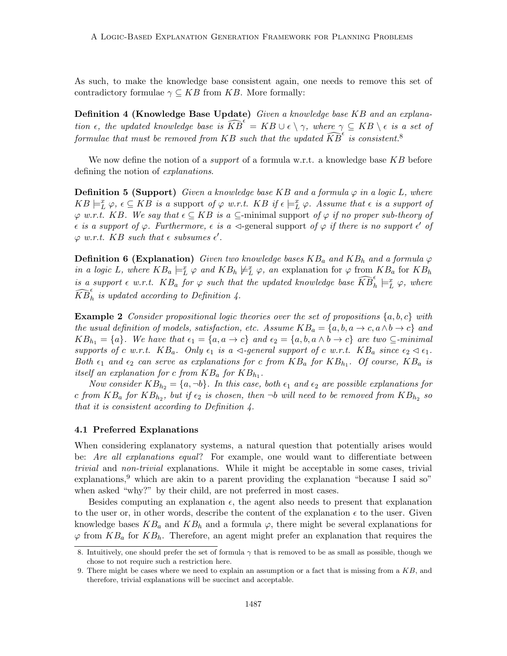As such, to make the knowledge base consistent again, one needs to remove this set of contradictory formulae  $\gamma \subseteq KB$  from KB. More formally:

Definition 4 (Knowledge Base Update) Given a knowledge base KB and an explanation  $\epsilon$ , the updated knowledge base is  $\widehat{KB}^{\epsilon'} = KB \cup \epsilon \setminus \gamma$ , where  $\gamma \subseteq KB \setminus \epsilon$  is a set of formulae that must be removed from KB such that the updated  $\widehat{KB}^{\epsilon}$  is consistent.<sup>8</sup>

We now define the notion of a *support* of a formula w.r.t. a knowledge base  $KB$  before defining the notion of explanations.

**Definition 5 (Support)** Given a knowledge base KB and a formula  $\varphi$  in a logic L, where  $KB \models_L^x \varphi, \epsilon \subseteq KB$  is a support of  $\varphi$  w.r.t.  $KB$  if  $\epsilon \models_L^x \varphi$ . Assume that  $\epsilon$  is a support of  $\varphi$  w.r.t. KB. We say that  $\epsilon \subseteq KB$  is a  $\subseteq$ -minimal support of  $\varphi$  if no proper sub-theory of  $\epsilon$  is a support of  $\varphi$ . Furthermore,  $\epsilon$  is a  $\triangleleft$ -general support of  $\varphi$  if there is no support  $\epsilon'$  of  $\varphi$  w.r.t. KB such that  $\epsilon$  subsumes  $\epsilon'$ .

**Definition 6 (Explanation)** Given two knowledge bases  $KB_a$  and  $KB_b$  and a formula  $\varphi$ in a logic L, where  $KB_a \models^x_L \varphi$  and  $KB_h \not\models^x_L \varphi$ , an explanation for  $\varphi$  from  $KB_a$  for  $KB_h$ is a support  $\epsilon$  w.r.t.  $KB_a$  for  $\varphi$  such that the updated knowledge base  $\widehat{KB}_h^{\epsilon} \models^x_L \varphi$ , where  $\widehat{KB}_h^{\epsilon}$  is updated according to Definition 4.

**Example 2** Consider propositional logic theories over the set of propositions  $\{a, b, c\}$  with the usual definition of models, satisfaction, etc. Assume  $KB_a = \{a, b, a \rightarrow c, a \land b \rightarrow c\}$  and  $KB_{h_1} = \{a\}.$  We have that  $\epsilon_1 = \{a, a \to c\}$  and  $\epsilon_2 = \{a, b, a \land b \to c\}$  are two  $\subseteq \text{-minimal}$ supports of c w.r.t.  $KB_a$ . Only  $\epsilon_1$  is a  $\triangleleft$ -general support of c w.r.t.  $KB_a$  since  $\epsilon_2 \triangleleft \epsilon_1$ . Both  $\epsilon_1$  and  $\epsilon_2$  can serve as explanations for c from  $KB_a$  for  $KB_{h_1}$ . Of course,  $KB_a$  is itself an explanation for c from  $KB_a$  for  $KB_{h_1}$ .

Now consider  $KB_{h_2} = \{a, \neg b\}$ . In this case, both  $\epsilon_1$  and  $\epsilon_2$  are possible explanations for c from  $KB_a$  for  $KB_{h_2}$ , but if  $\epsilon_2$  is chosen, then  $\neg b$  will need to be removed from  $KB_{h_2}$  so that it is consistent according to Definition 4.

#### 4.1 Preferred Explanations

When considering explanatory systems, a natural question that potentially arises would be: Are all explanations equal? For example, one would want to differentiate between trivial and non-trivial explanations. While it might be acceptable in some cases, trivial explanations,<sup>9</sup> which are akin to a parent providing the explanation "because I said so" when asked "why?" by their child, are not preferred in most cases.

Besides computing an explanation  $\epsilon$ , the agent also needs to present that explanation to the user or, in other words, describe the content of the explanation  $\epsilon$  to the user. Given knowledge bases  $KB_a$  and  $KB_b$  and a formula  $\varphi$ , there might be several explanations for  $\varphi$  from  $KB_a$  for  $KB_b$ . Therefore, an agent might prefer an explanation that requires the

<sup>8.</sup> Intuitively, one should prefer the set of formula  $\gamma$  that is removed to be as small as possible, though we chose to not require such a restriction here.

<sup>9.</sup> There might be cases where we need to explain an assumption or a fact that is missing from a KB, and therefore, trivial explanations will be succinct and acceptable.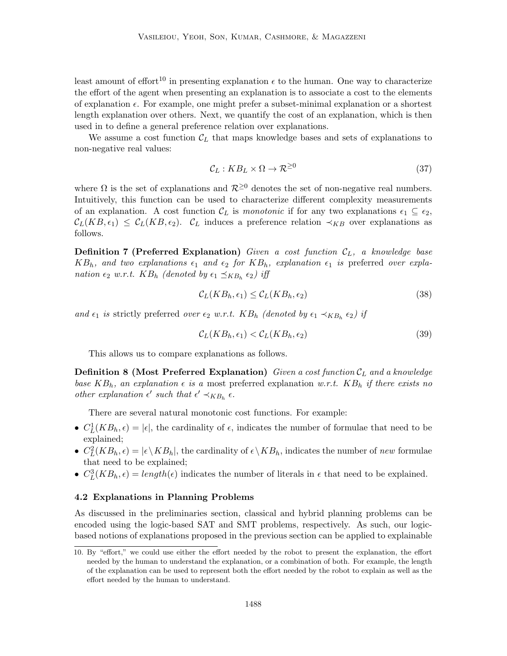least amount of effort<sup>10</sup> in presenting explanation  $\epsilon$  to the human. One way to characterize the effort of the agent when presenting an explanation is to associate a cost to the elements of explanation  $\epsilon$ . For example, one might prefer a subset-minimal explanation or a shortest length explanation over others. Next, we quantify the cost of an explanation, which is then used in to define a general preference relation over explanations.

We assume a cost function  $\mathcal{C}_L$  that maps knowledge bases and sets of explanations to non-negative real values:

$$
\mathcal{C}_L: KB_L \times \Omega \to \mathcal{R}^{\geq 0} \tag{37}
$$

where  $\Omega$  is the set of explanations and  $\mathcal{R}^{\geq 0}$  denotes the set of non-negative real numbers. Intuitively, this function can be used to characterize different complexity measurements of an explanation. A cost function  $\mathcal{C}_L$  is monotonic if for any two explanations  $\epsilon_1 \subseteq \epsilon_2$ ,  $\mathcal{C}_L(KB, \epsilon_1) \leq \mathcal{C}_L(KB, \epsilon_2)$ .  $\mathcal{C}_L$  induces a preference relation  $\prec_{KB}$  over explanations as follows.

**Definition 7 (Preferred Explanation)** Given a cost function  $C_L$ , a knowledge base  $KB_h$ , and two explanations  $\epsilon_1$  and  $\epsilon_2$  for  $KB_h$ , explanation  $\epsilon_1$  is preferred over explanation  $\epsilon_2$  w.r.t.  $KB_h$  (denoted by  $\epsilon_1 \preceq_{KB_h} \epsilon_2$ ) iff

$$
\mathcal{C}_L(KB_h, \epsilon_1) \le \mathcal{C}_L(KB_h, \epsilon_2) \tag{38}
$$

and  $\epsilon_1$  is strictly preferred over  $\epsilon_2$  w.r.t.  $KB_h$  (denoted by  $\epsilon_1 \prec_{KB_h} \epsilon_2$ ) if

$$
\mathcal{C}_L(KB_h, \epsilon_1) < \mathcal{C}_L(KB_h, \epsilon_2) \tag{39}
$$

This allows us to compare explanations as follows.

**Definition 8 (Most Preferred Explanation)** Given a cost function  $C_L$  and a knowledge base  $KB_h$ , an explanation  $\epsilon$  is a most preferred explanation w.r.t.  $KB_h$  if there exists no other explanation  $\epsilon'$  such that  $\epsilon' \prec_{KB_h} \epsilon$ .

There are several natural monotonic cost functions. For example:

- $C_L^1(KB_h, \epsilon) = |\epsilon|$ , the cardinality of  $\epsilon$ , indicates the number of formulae that need to be explained;
- $C_L^2(KB_h, \epsilon) = |\epsilon \setminus KB_h|$ , the cardinality of  $\epsilon \setminus KB_h$ , indicates the number of new formulae that need to be explained;
- $C_L^3(KB_h, \epsilon) = length(\epsilon)$  indicates the number of literals in  $\epsilon$  that need to be explained.

## 4.2 Explanations in Planning Problems

As discussed in the preliminaries section, classical and hybrid planning problems can be encoded using the logic-based SAT and SMT problems, respectively. As such, our logicbased notions of explanations proposed in the previous section can be applied to explainable

<sup>10.</sup> By "effort," we could use either the effort needed by the robot to present the explanation, the effort needed by the human to understand the explanation, or a combination of both. For example, the length of the explanation can be used to represent both the effort needed by the robot to explain as well as the effort needed by the human to understand.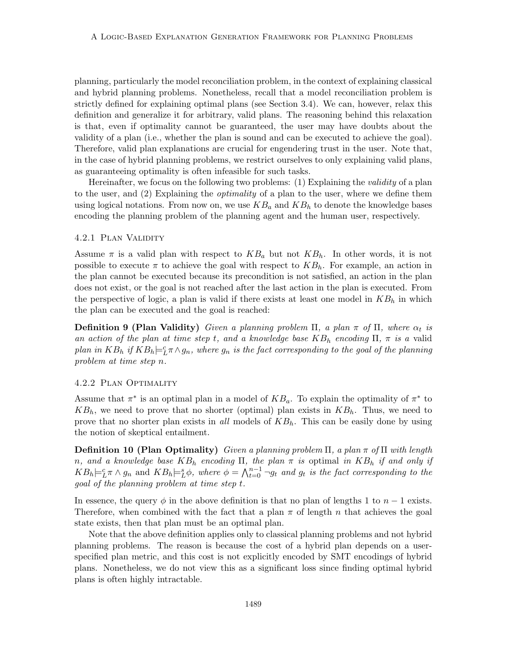planning, particularly the model reconciliation problem, in the context of explaining classical and hybrid planning problems. Nonetheless, recall that a model reconciliation problem is strictly defined for explaining optimal plans (see Section 3.4). We can, however, relax this definition and generalize it for arbitrary, valid plans. The reasoning behind this relaxation is that, even if optimality cannot be guaranteed, the user may have doubts about the validity of a plan (i.e., whether the plan is sound and can be executed to achieve the goal). Therefore, valid plan explanations are crucial for engendering trust in the user. Note that, in the case of hybrid planning problems, we restrict ourselves to only explaining valid plans, as guaranteeing optimality is often infeasible for such tasks.

Hereinafter, we focus on the following two problems: (1) Explaining the validity of a plan to the user, and (2) Explaining the *optimality* of a plan to the user, where we define them using logical notations. From now on, we use  $KB_a$  and  $KB_h$  to denote the knowledge bases encoding the planning problem of the planning agent and the human user, respectively.

#### 4.2.1 Plan Validity

Assume  $\pi$  is a valid plan with respect to  $KB_a$  but not  $KB_b$ . In other words, it is not possible to execute  $\pi$  to achieve the goal with respect to  $KB_h$ . For example, an action in the plan cannot be executed because its precondition is not satisfied, an action in the plan does not exist, or the goal is not reached after the last action in the plan is executed. From the perspective of logic, a plan is valid if there exists at least one model in  $KB<sub>h</sub>$  in which the plan can be executed and the goal is reached:

**Definition 9 (Plan Validity)** Given a planning problem  $\Pi$ , a plan  $\pi$  of  $\Pi$ , where  $\alpha_t$  is an action of the plan at time step t, and a knowledge base  $KB_h$  encoding  $\Pi$ ,  $\pi$  is a valid plan in  $KB_h$  if  $KB_h \models^c_L \pi \wedge g_n$ , where  $g_n$  is the fact corresponding to the goal of the planning problem at time step n.

## 4.2.2 Plan Optimality

Assume that  $\pi^*$  is an optimal plan in a model of  $KB_a$ . To explain the optimality of  $\pi^*$  to  $KB_h$ , we need to prove that no shorter (optimal) plan exists in  $KB_h$ . Thus, we need to prove that no shorter plan exists in all models of  $KB_h$ . This can be easily done by using the notion of skeptical entailment.

**Definition 10 (Plan Optimality)** Given a planning problem  $\Pi$ , a plan  $\pi$  of  $\Pi$  with length n, and a knowledge base  $KB_h$  encoding  $\Pi$ , the plan  $\pi$  is optimal in  $KB_h$  if and only if  $KB_h \models^c_L \pi \wedge g_n$  and  $KB_h \models^s_L \phi$ , where  $\phi = \bigwedge^{n-1}_{t=0} \neg g_t$  and  $g_t$  is the fact corresponding to the goal of the planning problem at time step t.

In essence, the query  $\phi$  in the above definition is that no plan of lengths 1 to  $n-1$  exists. Therefore, when combined with the fact that a plan  $\pi$  of length n that achieves the goal state exists, then that plan must be an optimal plan.

Note that the above definition applies only to classical planning problems and not hybrid planning problems. The reason is because the cost of a hybrid plan depends on a userspecified plan metric, and this cost is not explicitly encoded by SMT encodings of hybrid plans. Nonetheless, we do not view this as a significant loss since finding optimal hybrid plans is often highly intractable.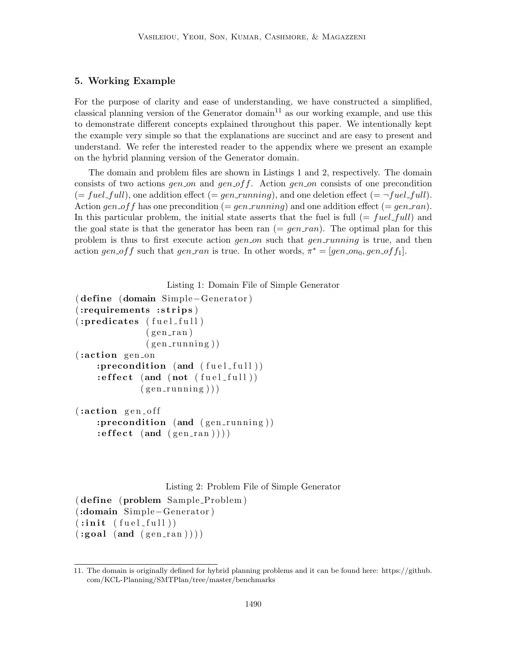## 5. Working Example

For the purpose of clarity and ease of understanding, we have constructed a simplified, classical planning version of the Generator domain<sup>11</sup> as our working example, and use this to demonstrate different concepts explained throughout this paper. We intentionally kept the example very simple so that the explanations are succinct and are easy to present and understand. We refer the interested reader to the appendix where we present an example on the hybrid planning version of the Generator domain.

The domain and problem files are shown in Listings 1 and 2, respectively. The domain consists of two actions gen on and gen of f. Action gen on consists of one precondition  $(= fuel\_full)$ , one addition effect  $(= gen\_running)$ , and one deletion effect  $(= \neg fuel\_full)$ . Action gen of f has one precondition  $(=gen_r running)$  and one addition effect  $(=gen_ran)$ . In this particular problem, the initial state asserts that the fuel is full  $(= fuel$ -full) and the goal state is that the generator has been ran  $(=gen\_ran)$ . The optimal plan for this problem is thus to first execute action gen on such that gen running is true, and then action gen of f such that gen ran is true. In other words,  $\pi^* = [gen_{0}0, gen_{0}ff_{1}]$ .

```
Listing 1: Domain File of Simple Generator
```

```
( define ( domain Simple–Generator)
(:requirements :strips)
(:predicates (fuel_full)(gen\_ran)(gen_r running)(:action gen_on
    :precondition (and (fuel_full))
    \textbf{:} effect (and (not (fuel_full))
             (gen_r running))
( :action \text{gen}_off):precondition (and (gen_running))
```

```
: effect (and (gen\_ran)))
```
Listing 2: Problem File of Simple Generator

```
(define (problem Sample-Problem))(:domain Simple−Generator )
(iinit (fuel\_full))(\text{goal } (and (gen\_ran))))
```
<sup>11.</sup> The domain is originally defined for hybrid planning problems and it can be found here: https://github. com/KCL-Planning/SMTPlan/tree/master/benchmarks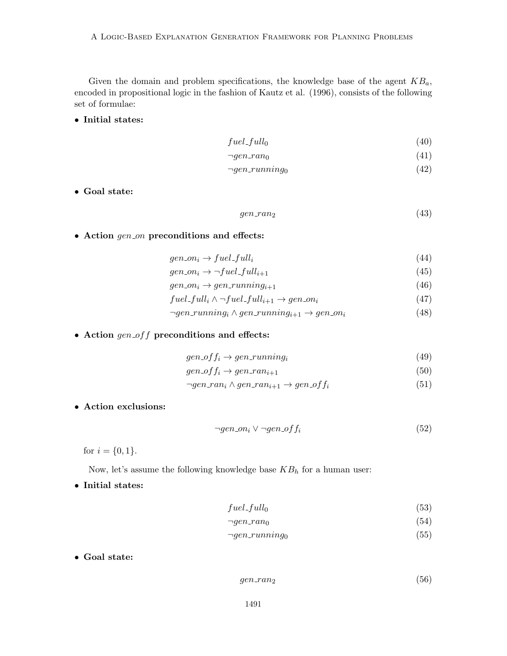Given the domain and problem specifications, the knowledge base of the agent  $KB_a$ , encoded in propositional logic in the fashion of Kautz et al. (1996), consists of the following set of formulae:

• Initial states:

$$
fuel\_full_0 \tag{40}
$$

$$
\neg gen\_ran_0 \tag{41}
$$

$$
\neg gen\_running_0 \tag{42}
$$

• Goal state:

$$
gen\_ran_2 \tag{43}
$$

• Action  $gen\_on$  preconditions and effects:

$$
gen\_on_i \to fuel\_full_i \tag{44}
$$

$$
gen\_on_i \to \neg fuel\_full_{i+1} \tag{45}
$$

- $gen_{i} \rightarrow gen_{\text{running}_{i+1}$  (46)
- $fuel\_full_i \wedge \neg fuel\_full_{i+1} \rightarrow gen\_on_i$  (47)
- $\neg gen-running_i \wedge gen-running_{i+1} \rightarrow gen,on_i$ (48)
- $\bullet$  Action  $gen\_off$  preconditions and effects:

$$
gen\_off_i \rightarrow gen\_running_i
$$
\n
$$
gen\_off \rightarrow gen\_ranning_i
$$
\n
$$
(49)
$$
\n
$$
(50)
$$

$$
gen\_off_i \rightarrow gen\_ran_{i+1} \tag{50}
$$

$$
\neg gen\_{ran_i \land gen\_{ran_{i+1} \to gen\_{off_i}} \tag{51}
$$

• Action exclusions:

$$
\neg gen\_on_i \lor \neg gen\_off_i \tag{52}
$$

for  $i = \{0, 1\}.$ 

Now, let's assume the following knowledge base  $KB<sub>h</sub>$  for a human user:

• Initial states:

$$
fuel\_full_0 \tag{53}
$$

$$
\neg gen\_ran_0 \tag{54}
$$

$$
\neg gen\_running_0 \tag{55}
$$

• Goal state:

$$
gen\_ran_2 \tag{56}
$$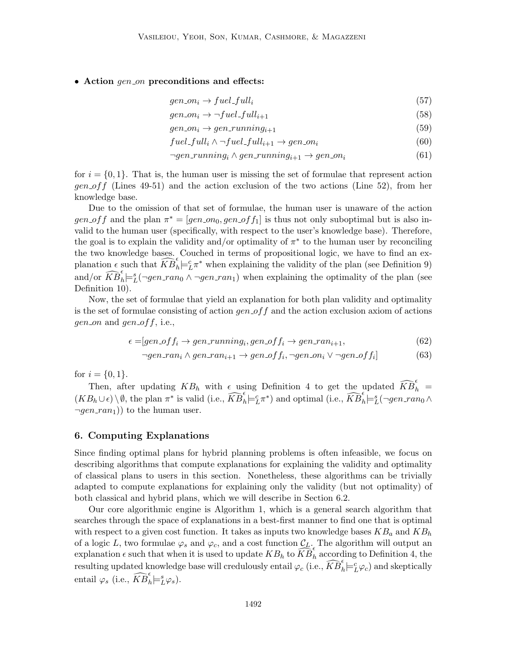## • Action  $gen\_on$  preconditions and effects:

$$
gen\_on_i \to fuel\_full_i \tag{57}
$$

$$
gen\_on_i \to \neg fuel\_full_{i+1} \tag{58}
$$

$$
gen\_on_i \to gen\_running_{i+1} \tag{59}
$$

$$
fuel_full_i \wedge \neg fuel_full_{i+1} \rightarrow gen\_on_i \tag{60}
$$

$$
\neg gen-running_i \land gen-running_{i+1} \rightarrow gen,on_i \tag{61}
$$

for  $i = \{0, 1\}$ . That is, the human user is missing the set of formulae that represent action  $gen\_off$  (Lines 49-51) and the action exclusion of the two actions (Line 52), from her knowledge base.

Due to the omission of that set of formulae, the human user is unaware of the action gen of f and the plan  $\pi^* = [gen_{0}, gen_{0}, gen_{0}f_{1}]$  is thus not only suboptimal but is also invalid to the human user (specifically, with respect to the user's knowledge base). Therefore, the goal is to explain the validity and/or optimality of  $\pi^*$  to the human user by reconciling the two knowledge bases. Couched in terms of propositional logic, we have to find an explanation  $\epsilon$  such that  $\widehat{KB}_h^{\epsilon} \models^c_L \pi^*$  when explaining the validity of the plan (see Definition 9) and/or  $\widehat{KB}_h^{\epsilon} \models_L^s (\neg gen\_ran_0 \land \neg gen\_ran_1)$  when explaining the optimality of the plan (see Definition 10).

Now, the set of formulae that yield an explanation for both plan validity and optimality is the set of formulae consisting of action  $gen\_off$  and the action exclusion axiom of actions *gen\_on* and *gen\_off*, i.e.,

$$
\epsilon = [gen\_off_i \rightarrow gen\_running_i, gen\_off_i \rightarrow gen\_ran_{i+1}, \tag{62}
$$

$$
\neg gen\_ran_i \land gen\_ran_{i+1} \rightarrow gen\_off_i, \neg gen\_on_i \lor \neg gen\_off_i] \tag{63}
$$

for  $i = \{0, 1\}.$ 

Then, after updating  $KB_h$  with  $\epsilon$  using Definition 4 to get the updated  $\widehat{KB}_h^{\epsilon}$  =  $(KB_h \cup \epsilon) \setminus \emptyset$ , the plan  $\pi^*$  is valid (i.e.,  $\widehat{KB}_h^{\epsilon} \models_L^c \pi^*$ ) and optimal (i.e.,  $\widehat{KB}_h^{\epsilon} \models_L^s (\neg gen\_ran_0 \wedge$  $\lnot gen\_ran_1)$  to the human user.

## 6. Computing Explanations

Since finding optimal plans for hybrid planning problems is often infeasible, we focus on describing algorithms that compute explanations for explaining the validity and optimality of classical plans to users in this section. Nonetheless, these algorithms can be trivially adapted to compute explanations for explaining only the validity (but not optimality) of both classical and hybrid plans, which we will describe in Section 6.2.

Our core algorithmic engine is Algorithm 1, which is a general search algorithm that searches through the space of explanations in a best-first manner to find one that is optimal with respect to a given cost function. It takes as inputs two knowledge bases  $KB_a$  and  $KB_h$ of a logic L, two formulae  $\varphi_s$  and  $\varphi_c$ , and a cost function  $\mathcal{C}_L$ . The algorithm will output an explanation  $\epsilon$  such that when it is used to update  $KB_h$  to  $\widehat{KB}_h^{\epsilon}$  according to Definition 4, the resulting updated knowledge base will credulously entail  $\varphi_c$  (i.e.,  $\widehat{KB}_h^{\epsilon} \models^c_L \varphi_c$ ) and skeptically entail  $\varphi_s$  (i.e.,  $\widehat{KB}_h^{\epsilon} \models_L^s \varphi_s$ ).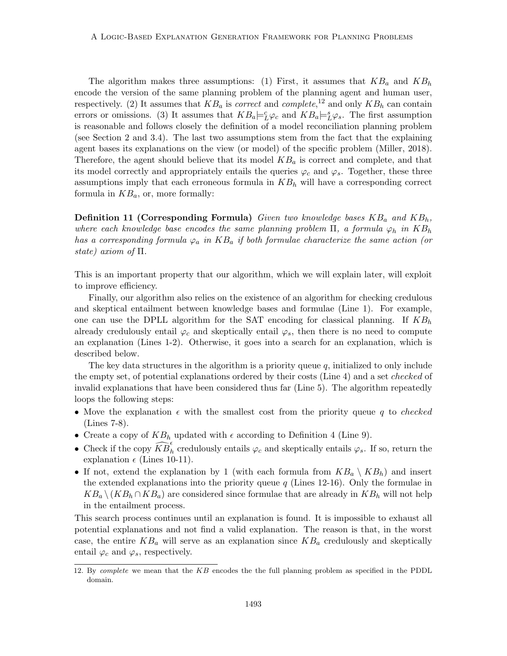The algorithm makes three assumptions: (1) First, it assumes that  $KB_a$  and  $KB_h$ encode the version of the same planning problem of the planning agent and human user, respectively. (2) It assumes that  $KB_a$  is *correct* and *complete*,<sup>12</sup> and only  $KB_h$  can contain errors or omissions. (3) It assumes that  $KB_a \models_L^c \varphi_c$  and  $KB_a \models_L^s \varphi_s$ . The first assumption is reasonable and follows closely the definition of a model reconciliation planning problem (see Section 2 and 3.4). The last two assumptions stem from the fact that the explaining agent bases its explanations on the view (or model) of the specific problem (Miller, 2018). Therefore, the agent should believe that its model  $KB<sub>a</sub>$  is correct and complete, and that its model correctly and appropriately entails the queries  $\varphi_c$  and  $\varphi_s$ . Together, these three assumptions imply that each erroneous formula in  $KB_h$  will have a corresponding correct formula in  $KB_a$ , or, more formally:

**Definition 11 (Corresponding Formula)** Given two knowledge bases  $KB_a$  and  $KB_b$ , where each knowledge base encodes the same planning problem  $\Pi$ , a formula  $\varphi_h$  in  $KB_h$ has a corresponding formula  $\varphi_a$  in  $KB_a$  if both formulae characterize the same action (or state) axiom of Π.

This is an important property that our algorithm, which we will explain later, will exploit to improve efficiency.

Finally, our algorithm also relies on the existence of an algorithm for checking credulous and skeptical entailment between knowledge bases and formulae (Line 1). For example, one can use the DPLL algorithm for the SAT encoding for classical planning. If  $KB<sub>h</sub>$ already credulously entail  $\varphi_c$  and skeptically entail  $\varphi_s$ , then there is no need to compute an explanation (Lines 1-2). Otherwise, it goes into a search for an explanation, which is described below.

The key data structures in the algorithm is a priority queue  $q$ , initialized to only include the empty set, of potential explanations ordered by their costs (Line 4) and a set *checked* of invalid explanations that have been considered thus far (Line 5). The algorithm repeatedly loops the following steps:

- Move the explanation  $\epsilon$  with the smallest cost from the priority queue q to checked (Lines 7-8).
- Create a copy of  $KB_h$  updated with  $\epsilon$  according to Definition 4 (Line 9).
- Check if the copy  $\widehat{KB}_h^{\epsilon}$  credulously entails  $\varphi_c$  and skeptically entails  $\varphi_s$ . If so, return the explanation  $\epsilon$  (Lines 10-11).
- If not, extend the explanation by 1 (with each formula from  $KB_a \setminus KB_h$ ) and insert the extended explanations into the priority queue  $q$  (Lines 12-16). Only the formulae in  $KB_a \setminus (KB_h \cap KB_a)$  are considered since formulae that are already in  $KB_h$  will not help in the entailment process.

This search process continues until an explanation is found. It is impossible to exhaust all potential explanations and not find a valid explanation. The reason is that, in the worst case, the entire  $KB_a$  will serve as an explanation since  $KB_a$  credulously and skeptically entail  $\varphi_c$  and  $\varphi_s$ , respectively.

<sup>12.</sup> By complete we mean that the KB encodes the the full planning problem as specified in the PDDL domain.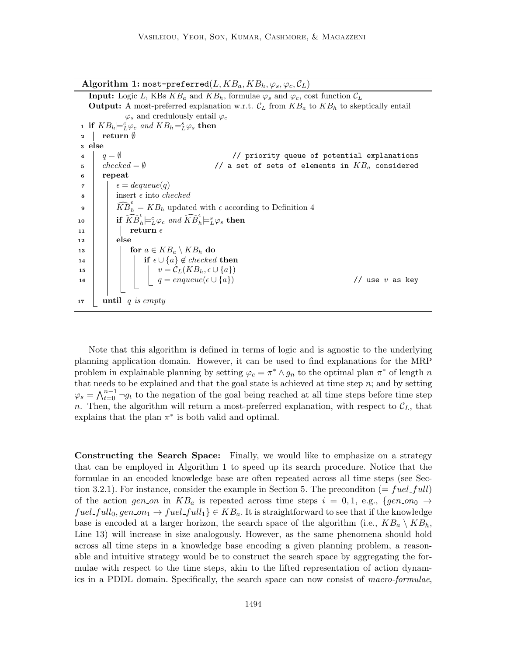Algorithm 1: most-preferred( $L, KB_a, KB_h, \varphi_s, \varphi_c, \mathcal{C}_L$ )

**Input:** Logic L, KBs  $KB_a$  and  $KB_b$ , formulae  $\varphi_s$  and  $\varphi_c$ , cost function  $\mathcal{C}_L$ **Output:** A most-preferred explanation w.r.t.  $\mathcal{C}_L$  from  $KB_a$  to  $KB_h$  to skeptically entail  $\varphi_s$  and credulously entail  $\varphi_c$ **1** if  $KB_h \models^c_L \varphi_c$  and  $KB_h \models^s_L \varphi_s$  then <sup>2</sup> return ∅ <sup>3</sup> else  $\begin{array}{c} 4 \end{array}$   $q = \emptyset$  // priority queue of potential explanations  $5 \mid checked = \emptyset$  // a set of sets of elements in  $KB_a$  considered <sup>6</sup> repeat  $\epsilon = degueue(q)$  $\vert$  insert  $\epsilon$  into *checked*  $\widehat{KB}_h^{\epsilon} = KB_h$  updated with  $\epsilon$  according to Definition 4 10 if  $\widehat{KB}_h^\epsilon \models^c_L \varphi_c$  and  $\widehat{KB}_h^\epsilon \models^s_L \varphi_s$  then 11 | | return  $\epsilon$  $_{12}$  | else 13 **for**  $a \in KB_a \setminus KB_h$  do 14 | | | if  $\epsilon \cup \{a\} \notin checked$  then 15  $\vert \vert \vert \vert \vert v = \mathcal{C}_L(KB_h, \epsilon \cup \{a\})$ 16  $q = enqueue(\epsilon \cup \{a\})$  // use v as key  $17$  until q is empty

Note that this algorithm is defined in terms of logic and is agnostic to the underlying planning application domain. However, it can be used to find explanations for the MRP problem in explainable planning by setting  $\varphi_c = \pi^* \wedge g_n$  to the optimal plan  $\pi^*$  of length n that needs to be explained and that the goal state is achieved at time step  $n$ ; and by setting  $\varphi_s = \bigwedge_{t=0}^{n-1} \neg g_t$  to the negation of the goal being reached at all time steps before time step n. Then, the algorithm will return a most-preferred explanation, with respect to  $\mathcal{C}_L$ , that explains that the plan  $\pi^*$  is both valid and optimal.

Constructing the Search Space: Finally, we would like to emphasize on a strategy that can be employed in Algorithm 1 to speed up its search procedure. Notice that the formulae in an encoded knowledge base are often repeated across all time steps (see Section 3.2.1). For instance, consider the example in Section 5. The precondition  $(= fuel_full)$ of the action gen on in  $KB_a$  is repeated across time steps  $i = 0, 1, e.g., \{gen_{0} \rightarrow$  $fuel\_full_0, gen\_on_1 \rightarrow fuel\_full_1$   $\in KB_a$ . It is straightforward to see that if the knowledge base is encoded at a larger horizon, the search space of the algorithm (i.e.,  $KB_a \setminus KB_h$ , Line 13) will increase in size analogously. However, as the same phenomena should hold across all time steps in a knowledge base encoding a given planning problem, a reasonable and intuitive strategy would be to construct the search space by aggregating the formulae with respect to the time steps, akin to the lifted representation of action dynamics in a PDDL domain. Specifically, the search space can now consist of macro-formulae,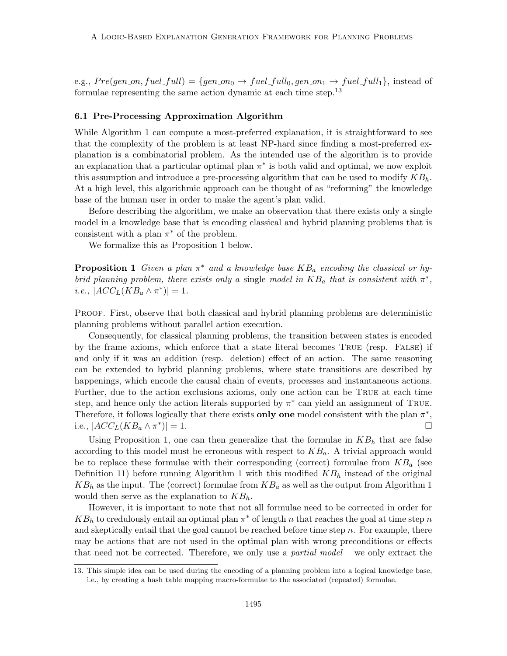e.g.,  $Pre(gen on, fuel-full) = {gen on_0 \rightarrow fuel-full_0, gen-on_1 \rightarrow fuel-full_1},$  instead of formulae representing the same action dynamic at each time step.<sup>13</sup>

#### 6.1 Pre-Processing Approximation Algorithm

While Algorithm 1 can compute a most-preferred explanation, it is straightforward to see that the complexity of the problem is at least NP-hard since finding a most-preferred explanation is a combinatorial problem. As the intended use of the algorithm is to provide an explanation that a particular optimal plan  $\pi^*$  is both valid and optimal, we now exploit this assumption and introduce a pre-processing algorithm that can be used to modify  $KB<sub>h</sub>$ . At a high level, this algorithmic approach can be thought of as "reforming" the knowledge base of the human user in order to make the agent's plan valid.

Before describing the algorithm, we make an observation that there exists only a single model in a knowledge base that is encoding classical and hybrid planning problems that is consistent with a plan  $\pi^*$  of the problem.

We formalize this as Proposition 1 below.

**Proposition 1** Given a plan  $\pi^*$  and a knowledge base  $KB_a$  encoding the classical or hybrid planning problem, there exists only a single model in  $KB_a$  that is consistent with  $\pi^*$ , *i.e.*,  $|ACC_L(KB_a \wedge \pi^*)| = 1$ .

PROOF. First, observe that both classical and hybrid planning problems are deterministic planning problems without parallel action execution.

Consequently, for classical planning problems, the transition between states is encoded by the frame axioms, which enforce that a state literal becomes True (resp. False) if and only if it was an addition (resp. deletion) effect of an action. The same reasoning can be extended to hybrid planning problems, where state transitions are described by happenings, which encode the causal chain of events, processes and instantaneous actions. Further, due to the action exclusions axioms, only one action can be True at each time step, and hence only the action literals supported by  $\pi^*$  can yield an assignment of TRUE. Therefore, it follows logically that there exists only one model consistent with the plan  $\pi^*$ , i.e.,  $|ACC_L(KB_a \wedge \pi^*)|$  $)| = 1.$ 

Using Proposition 1, one can then generalize that the formulae in  $KB<sub>h</sub>$  that are false according to this model must be erroneous with respect to  $KB_a$ . A trivial approach would be to replace these formulae with their corresponding (correct) formulae from  $KB<sub>a</sub>$  (see Definition 11) before running Algorithm 1 with this modified  $KB<sub>h</sub>$  instead of the original  $KB_h$  as the input. The (correct) formulae from  $KB_a$  as well as the output from Algorithm 1 would then serve as the explanation to  $KB_h$ .

However, it is important to note that not all formulae need to be corrected in order for  $KB_h$  to credulously entail an optimal plan  $\pi^*$  of length n that reaches the goal at time step n and skeptically entail that the goal cannot be reached before time step  $n$ . For example, there may be actions that are not used in the optimal plan with wrong preconditions or effects that need not be corrected. Therefore, we only use a *partial model* – we only extract the

<sup>13.</sup> This simple idea can be used during the encoding of a planning problem into a logical knowledge base, i.e., by creating a hash table mapping macro-formulae to the associated (repeated) formulae.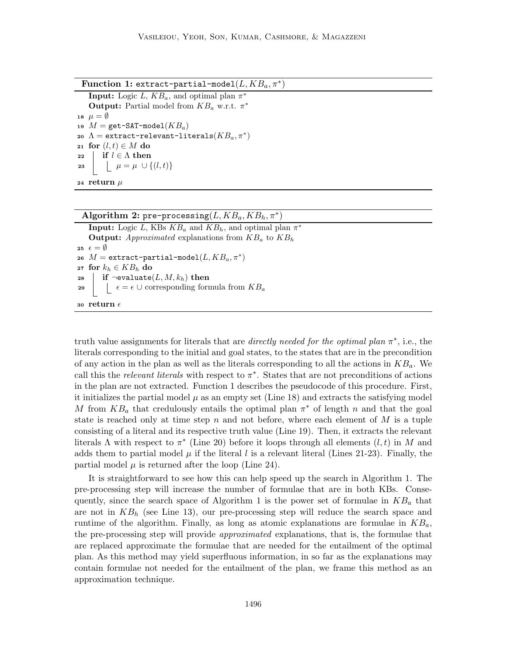Function 1: extract-partial-model $(L, KB_a, \pi^*)$ 

**Input:** Logic L,  $KB_a$ , and optimal plan  $\pi^*$ **Output:** Partial model from  $KB_a$  w.r.t.  $\pi^*$ 18  $\mu = \emptyset$ 19  $M =$  get-SAT-model( $KB_a$ ) 20  $\Lambda =$  extract-relevant-literals $(KB_a, \pi^*)$ 21 for  $(l, t) \in M$  do 22 if  $l \in \Lambda$  then 23  $\mu = \mu \cup \{(l, t)\}$ 24 return  $\mu$ 

# Algorithm 2: pre-processing  $(L, KB_a, KB_h, \pi^*)$

**Input:** Logic L, KBs  $KB_a$  and  $KB_h$ , and optimal plan  $\pi^*$ **Output:** Approximated explanations from  $KB_a$  to  $KB_h$ 25  $\epsilon = \emptyset$  $\mathbf{26}$   $M = \mathtt{extract\text{-}partial\text{-}model}(L, KB_a, \pi^*)$ 27 for  $k_h \in KB_h$  do 28 if  $\neg$ evaluate $(L, M, k_h)$  then 29  $\left| \quad \right| \quad \epsilon = \epsilon \cup \text{corresponding formula from } KB_a$ 30 return  $\epsilon$ 

truth value assignments for literals that are *directly needed for the optimal plan*  $\pi^*$ , i.e., the literals corresponding to the initial and goal states, to the states that are in the precondition of any action in the plan as well as the literals corresponding to all the actions in  $KB_a$ . We call this the relevant literals with respect to  $\pi^*$ . States that are not preconditions of actions in the plan are not extracted. Function 1 describes the pseudocode of this procedure. First, it initializes the partial model  $\mu$  as an empty set (Line 18) and extracts the satisfying model M from  $KB_a$  that credulously entails the optimal plan  $\pi^*$  of length n and that the goal state is reached only at time step n and not before, where each element of  $M$  is a tuple consisting of a literal and its respective truth value (Line 19). Then, it extracts the relevant literals  $\Lambda$  with respect to  $\pi^*$  (Line 20) before it loops through all elements  $(l, t)$  in M and adds them to partial model  $\mu$  if the literal l is a relevant literal (Lines 21-23). Finally, the partial model  $\mu$  is returned after the loop (Line 24).

It is straightforward to see how this can help speed up the search in Algorithm 1. The pre-processing step will increase the number of formulae that are in both KBs. Consequently, since the search space of Algorithm 1 is the power set of formulae in  $KB_a$  that are not in  $KB<sub>h</sub>$  (see Line 13), our pre-processing step will reduce the search space and runtime of the algorithm. Finally, as long as atomic explanations are formulae in  $KB_a$ , the pre-processing step will provide approximated explanations, that is, the formulae that are replaced approximate the formulae that are needed for the entailment of the optimal plan. As this method may yield superfluous information, in so far as the explanations may contain formulae not needed for the entailment of the plan, we frame this method as an approximation technique.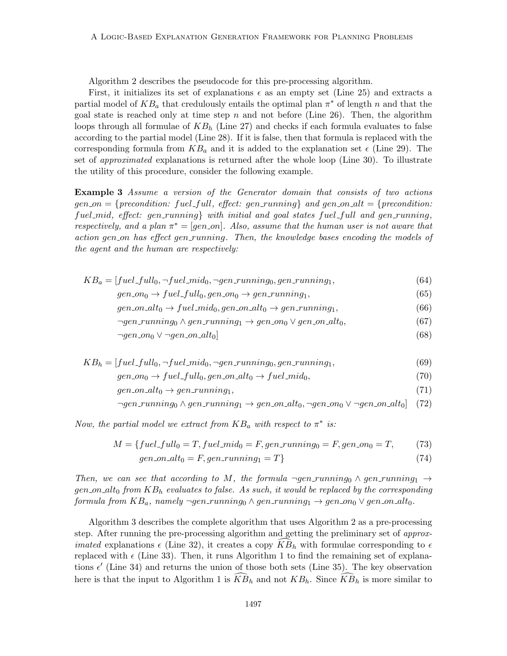Algorithm 2 describes the pseudocode for this pre-processing algorithm.

First, it initializes its set of explanations  $\epsilon$  as an empty set (Line 25) and extracts a partial model of  $KB_a$  that credulously entails the optimal plan  $\pi^*$  of length n and that the goal state is reached only at time step n and not before (Line 26). Then, the algorithm loops through all formulae of  $KB<sub>h</sub>$  (Line 27) and checks if each formula evaluates to false according to the partial model (Line 28). If it is false, then that formula is replaced with the corresponding formula from  $KB_a$  and it is added to the explanation set  $\epsilon$  (Line 29). The set of approximated explanations is returned after the whole loop (Line 30). To illustrate the utility of this procedure, consider the following example.

Example 3 Assume a version of the Generator domain that consists of two actions  $gen\_on = \{precondition: fuel\_full, effect: gen-running\}$  and  $gen\_on\_alt = \{precondition:$ fuel mid, effect: gen running with initial and goal states fuel full and gen running, respectively, and a plan  $\pi^* = [gen\_on]$ . Also, assume that the human user is not aware that action gen on has effect gen running. Then, the knowledge bases encoding the models of the agent and the human are respectively:

- $KB_a = [fuel\_full_0, \neg fuel\_mid_0, \neg gen\_running_0, gen\_running_1,$  (64)  $gen_{0} \rightarrow fuel_{\text{full}}_{0}, gen_{\text{on}} \rightarrow gen_{\text{running}}_{1},$  (65)
	- $gen\_on\_alt_0 \rightarrow fuel\_mid_0, gen\_on\_alt_0 \rightarrow gen\_running_1,$  (66)
		- $\neg gen\_running_0 \land gen\_running_1 \rightarrow gen\_on_0 \lor gen\_on\_alt_0,$ (67)
		- $\neg gen_{.} \lor \neg gen_{.} \neg alt_{0}$  (68)
- $KB_h = [fuel\_full_0, \neg fuel\_mid_0, \neg gen\_running_0, gen\_running_1,$  (69)  $gen_{0} \rightarrow fuel_full_0, gen\_on\_alt_0 \rightarrow fuel\_mid_0,$  (70)  $gen\_on\_alt_0 \rightarrow gen\_running_1,$  (71)
	- $\neg gen\_running_0 \wedge gen\_running_1 \rightarrow gen\_on\_alt_0, \neg gen\_on\_all_0$  (72)

Now, the partial model we extract from  $KB_a$  with respect to  $\pi^*$  is:

$$
M = \{ fuel\_full_0 = T, fuel\_mid_0 = F, gen\_running_0 = F, gen\_on_0 = T, \tag{73}
$$

$$
gen\_on\_alt_0 = F, gen\_running_1 = T
$$
\n
$$
(74)
$$

Then, we can see that according to M, the formula  $\neg gen-running_0 \wedge gen-running_1 \rightarrow$ gen on alto from  $KB_h$  evaluates to false. As such, it would be replaced by the corresponding formula from  $KB_a$ , namely ¬gen\_running<sub>0</sub>  $\land$  gen\_running<sub>1</sub>  $\rightarrow$  gen\_on<sub>0</sub>  $\lor$  gen\_on\_alt<sub>0</sub>.

Algorithm 3 describes the complete algorithm that uses Algorithm 2 as a pre-processing step. After running the pre-processing algorithm and getting the preliminary set of *approximated* explanations  $\epsilon$  (Line 32), it creates a copy  $\overline{KB}_h$  with formulae corresponding to  $\epsilon$ replaced with  $\epsilon$  (Line 33). Then, it runs Algorithm 1 to find the remaining set of explanations  $\epsilon'$  (Line 34) and returns the union of those both sets (Line 35). The key observation here is that the input to Algorithm 1 is  $\widehat{KB}_h$  and not  $KB_h$ . Since  $\widehat{KB}_h$  is more similar to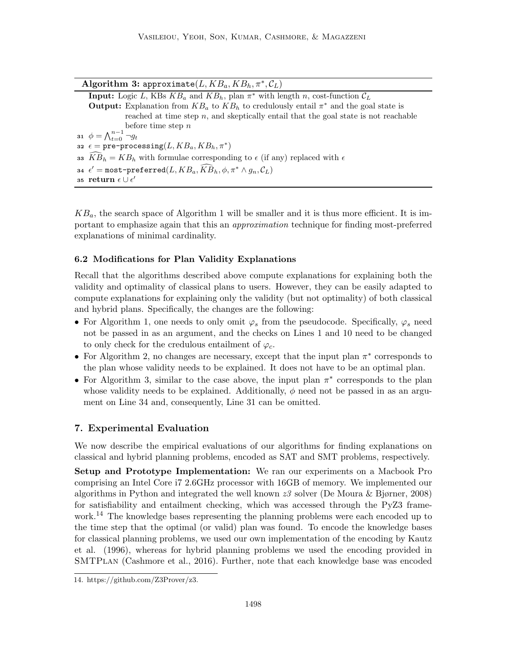| Algorithm 3: approximate $(L, KB_a, KB_h, \pi^*, \mathcal{C}_L)$                                               |
|----------------------------------------------------------------------------------------------------------------|
| <b>Input:</b> Logic L, KBs $KB_a$ and $KB_b$ , plan $\pi^*$ with length n, cost-function $\mathcal{C}_L$       |
| <b>Output:</b> Explanation from $KB_a$ to $KB_b$ to credulously entail $\pi^*$ and the goal state is           |
| reached at time step $n$ , and skeptically entail that the goal state is not reachable                         |
| before time step $n$                                                                                           |
| 31 $\phi = \bigwedge_{t=0}^{n-1} \neg g_t$                                                                     |
| 32 $\epsilon =$ pre-processing(L, $KB_a$ , $KB_b$ , $\pi^*$ )                                                  |
| 33 $\widehat{KB}_h = KB_h$ with formulae corresponding to $\epsilon$ (if any) replaced with $\epsilon$         |
| 34 $\epsilon'$ = most-preferred(L, $KB_a$ , $\widehat{KB}_h$ , $\phi$ , $\pi^* \wedge g_n$ , $\mathcal{C}_L$ ) |
| 35 return $\epsilon \cup \epsilon'$                                                                            |

 $KB_a$ , the search space of Algorithm 1 will be smaller and it is thus more efficient. It is important to emphasize again that this an approximation technique for finding most-preferred explanations of minimal cardinality.

## 6.2 Modifications for Plan Validity Explanations

Recall that the algorithms described above compute explanations for explaining both the validity and optimality of classical plans to users. However, they can be easily adapted to compute explanations for explaining only the validity (but not optimality) of both classical and hybrid plans. Specifically, the changes are the following:

- For Algorithm 1, one needs to only omit  $\varphi_s$  from the pseudocode. Specifically,  $\varphi_s$  need not be passed in as an argument, and the checks on Lines 1 and 10 need to be changed to only check for the credulous entailment of  $\varphi_c$ .
- For Algorithm 2, no changes are necessary, except that the input plan  $\pi^*$  corresponds to the plan whose validity needs to be explained. It does not have to be an optimal plan.
- For Algorithm 3, similar to the case above, the input plan  $\pi^*$  corresponds to the plan whose validity needs to be explained. Additionally,  $\phi$  need not be passed in as an argument on Line 34 and, consequently, Line 31 can be omitted.

## 7. Experimental Evaluation

We now describe the empirical evaluations of our algorithms for finding explanations on classical and hybrid planning problems, encoded as SAT and SMT problems, respectively.

Setup and Prototype Implementation: We ran our experiments on a Macbook Pro comprising an Intel Core i7 2.6GHz processor with 16GB of memory. We implemented our algorithms in Python and integrated the well known  $z<sub>3</sub>$  solver (De Moura & Bjørner, 2008) for satisfiability and entailment checking, which was accessed through the PyZ3 framework.<sup>14</sup> The knowledge bases representing the planning problems were each encoded up to the time step that the optimal (or valid) plan was found. To encode the knowledge bases for classical planning problems, we used our own implementation of the encoding by Kautz et al. (1996), whereas for hybrid planning problems we used the encoding provided in SMTPlan (Cashmore et al., 2016). Further, note that each knowledge base was encoded

<sup>14.</sup> https://github.com/Z3Prover/z3.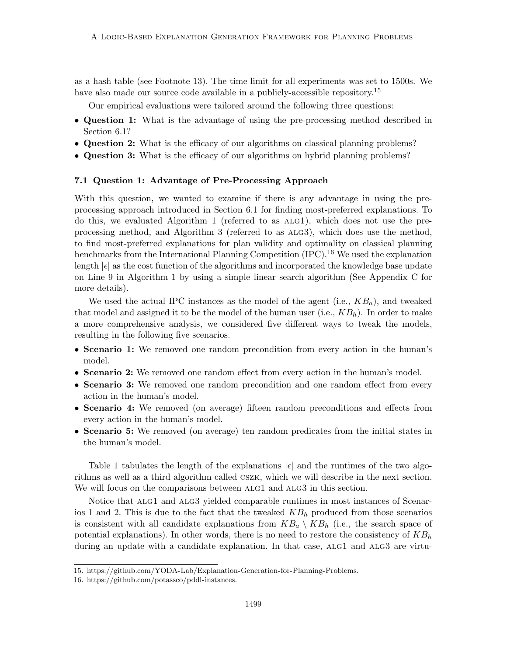as a hash table (see Footnote 13). The time limit for all experiments was set to 1500s. We have also made our source code available in a publicly-accessible repository.<sup>15</sup>

Our empirical evaluations were tailored around the following three questions:

- Question 1: What is the advantage of using the pre-processing method described in Section 6.1?
- Question 2: What is the efficacy of our algorithms on classical planning problems?
- Question 3: What is the efficacy of our algorithms on hybrid planning problems?

#### 7.1 Question 1: Advantage of Pre-Processing Approach

With this question, we wanted to examine if there is any advantage in using the preprocessing approach introduced in Section 6.1 for finding most-preferred explanations. To do this, we evaluated Algorithm 1 (referred to as alg1), which does not use the preprocessing method, and Algorithm 3 (referred to as alg3), which does use the method, to find most-preferred explanations for plan validity and optimality on classical planning benchmarks from the International Planning Competition  $(IPC)$ .<sup>16</sup> We used the explanation length  $|\epsilon|$  as the cost function of the algorithms and incorporated the knowledge base update on Line 9 in Algorithm 1 by using a simple linear search algorithm (See Appendix C for more details).

We used the actual IPC instances as the model of the agent (i.e.,  $KB_a$ ), and tweaked that model and assigned it to be the model of the human user (i.e.,  $KB<sub>h</sub>$ ). In order to make a more comprehensive analysis, we considered five different ways to tweak the models, resulting in the following five scenarios.

- Scenario 1: We removed one random precondition from every action in the human's model.
- Scenario 2: We removed one random effect from every action in the human's model.
- Scenario 3: We removed one random precondition and one random effect from every action in the human's model.
- Scenario 4: We removed (on average) fifteen random preconditions and effects from every action in the human's model.
- Scenario 5: We removed (on average) ten random predicates from the initial states in the human's model.

Table 1 tabulates the length of the explanations  $|\epsilon|$  and the runtimes of the two algorithms as well as a third algorithm called cszk, which we will describe in the next section. We will focus on the comparisons between ALG1 and ALG3 in this section.

Notice that ALG1 and ALG3 yielded comparable runtimes in most instances of Scenarios 1 and 2. This is due to the fact that the tweaked  $KB_h$  produced from those scenarios is consistent with all candidate explanations from  $KB_a \setminus KB_h$  (i.e., the search space of potential explanations). In other words, there is no need to restore the consistency of  $KB<sub>h</sub>$ during an update with a candidate explanation. In that case, ALG1 and ALG3 are virtu-

<sup>15.</sup> https://github.com/YODA-Lab/Explanation-Generation-for-Planning-Problems.

<sup>16.</sup> https://github.com/potassco/pddl-instances.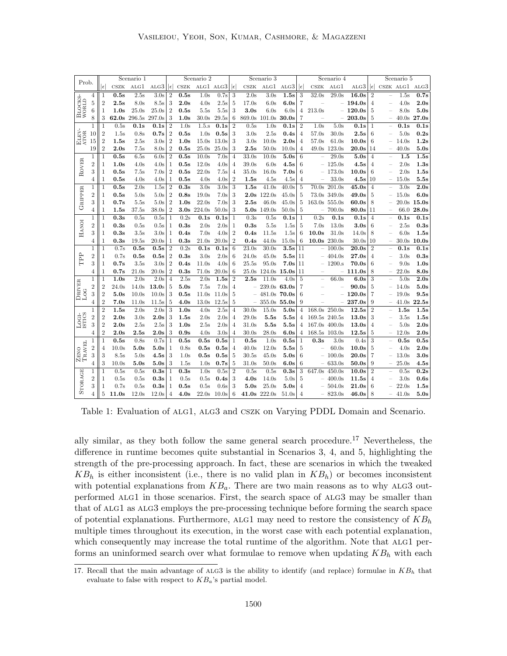| Prob.                |                |                |                  | Scenario 1       |                     |                |                 | Scenario 2               |                  |                |                          | Scenario 3         |       |                |                          | Scenario 4       |                  |                |                          | Scenario 5       |                   |
|----------------------|----------------|----------------|------------------|------------------|---------------------|----------------|-----------------|--------------------------|------------------|----------------|--------------------------|--------------------|-------|----------------|--------------------------|------------------|------------------|----------------|--------------------------|------------------|-------------------|
|                      |                | $ \epsilon $   | CSZK             | ALG1             | ALG3 $  \epsilon  $ |                | CSZK            | ALG1 ALG3 $  \epsilon  $ |                  |                | CSZK                     | ALG1               | ALG3  | $ \epsilon $   | CSZK                     | ALG1             | ALG3             | $ \epsilon $   |                          |                  | CSZK ALG1 ALG3    |
|                      | 4              | 1              | 0.5s             | 2.5s             | 3.0s                | $\overline{2}$ | 0.5s            | 1.0s                     | 0.7s             | -3             | 2.0s                     | 3.0s               | 1.5s  | 3              | 32.0s                    | 29.0s            | 16.0s            | $\overline{2}$ |                          | 1.5s             | 0.7s              |
| BLOCKS-<br>WORLD     | 5              | $\overline{2}$ | 2.5s             | 8.0s             | 8.5s                | 3              | 2.0s            | $4.0\mathrm{s}$          | $2.5\mathrm{s}$  | 5              | 17.0s                    | 6.0s               | 6.0s  | $\overline{7}$ | $\overline{\phantom{0}}$ |                  | 194.0s           | $\overline{4}$ |                          | 4.0s             | 2.0s              |
|                      | 6              | 1              | 1.0s             | 25.0s            | $25.0\mathrm{s}$    | $\overline{2}$ | 0.5s            | $5.5\mathrm{s}$          | 5.5s             | 3              | 3.0s                     | 6.0s               | 6.0s  | $\overline{4}$ | 213.0s                   |                  | 120.0s           | 5              |                          | 8.0s             | 5.0s              |
|                      | 8              | 3              |                  | 62.0s 296.5s     | 297.0s              | 3              | 1.0s            | 30.0 <sub>s</sub>        | 29.5s            | 6              |                          | 869.0s 101.0s      | 30.0s | 7              |                          |                  | 203.0s           | 5              | $-$                      | 40.0s            | 27.0s             |
|                      | 1              | 1              | 0.5s             | 0.1s             | 0.1s                | $\overline{2}$ | 1.0s            | $1.5$ .s                 | 0.1s             | $\overline{2}$ | 0.5s                     | 1.0s               | 0.1s  | $\overline{2}$ | 1.0s                     | 5.0s             | 0.1s             | -1             |                          | 0.1s             | 0.1s              |
|                      | 10             | $\overline{2}$ | 1.5s             | 0.8s             | 0.7s                | $\overline{2}$ | 0.5s            | 1.0s                     | 0.5s             | 3              | $3.0\mathrm{s}$          | 2.5s               | 0.4s  | 4              | $57.0\mathrm{s}$         | 30.0s            | 2.5s             | 6              |                          | 5.0s             | 0.2s              |
| ELEV-<br>ATOR        | 15             | $\overline{2}$ | 1.5s             | 2.5s             | 3.0s                | $\overline{2}$ | 1.0s            | 15.0s                    | 13.0s            | 3              | $3.0\mathrm{s}$          | 10.0s              | 2.0s  | $\overline{4}$ | $57.0\mathrm{s}$         | 61.0s            | 10.0s            | 6              |                          | 14.0s            | 1.2s              |
|                      | 19             | $\overline{2}$ | 2.0s             | $7.5\mathrm{s}$  | 8.0s                | $\overline{2}$ | 0.5s            | 25.0s                    | 25.0s            | 3              | $_{\rm 2.5s}$            | 50.0s              | 10.0s | 4              | 49.0s                    | 123.0s           | $_{20.0\rm s}$   | 14             | $\overline{\phantom{0}}$ | 40.0s            | 5.0s              |
|                      | 1              | 1              | 0.5s             | 6.5s             | 6.0s                | $\overline{2}$ | 0.5s            | 10.0s                    | 7.0s             | $\overline{4}$ | 33.0s                    | 10.0s              | 5.0s  | 6              |                          | 29.0s            | 5.0s             | $\overline{4}$ |                          | 1.5              | 1.5s              |
| ROVER                | $\overline{2}$ | 1              | 1.0s             | 4.0s             | 4.0s                | 1              | 0.5s            | 12.0s                    | 4.0s             | $\overline{4}$ | 39.0s                    | 6.0s               | 4.5s  | 6              |                          | 125.0s           | 4.5s             | 4              | $\overline{\phantom{0}}$ | 2.0s             | 1.3s              |
|                      | 3              | 1              | 0.5s             | 7.5s             | 7.0s                | $\overline{2}$ | 0.5s            | 22.0s                    | 7.5s             | $\overline{4}$ | 35.0s                    | 16.0s              | 7.0s  | 6              |                          | 173.0s           | 10.0s            | 6              |                          | 2.0s             | 1.5s              |
|                      | 4              | 1              | 0.5s             | 4.0s             | 4.0s                | 1              | 0.5s            | $_{4.0\rm s}$            | 4.0s             | $\overline{2}$ | 1.5s                     | 4.5s               | 4.5s  | 4              |                          | 33.0s            | 4.5s             | 10             | $\overline{\phantom{0}}$ | 15.0s            | 5.5s              |
|                      | 1              | 1              | 0.5s             | 2.0s             | 1.5s                | $\overline{2}$ | 0.3s            | 3.0 <sub>s</sub>         | 3.0 <sub>s</sub> | 3              | 1.5s                     | 41.0s              | 40.0s | 5              | $70.0\mathrm{s}$         | 201.0s           | 45.0s            | $\overline{4}$ |                          | 3.0 <sub>s</sub> | $\overline{2.0s}$ |
| <b>GRIPPER</b>       | $\overline{2}$ | 1              | 0.5s             | 5.0s             | 5.0s                | $\overline{2}$ | 0.8s            | 19.0s                    | 7.0s             | 3              | $2.0\mathrm{s}$          | 122.0s             | 45.0s | 5              | 73.0s                    | 349.0s           | 49.0s            | 5              |                          | 15.0s            | 6.0s              |
|                      | 3              | 1              | 0.7s             | 5.5s             | 5.0s                | $\overline{2}$ | 1.0s            | 22.0s                    | 7.0s             | 3              | 2.5s                     | 46.0s              | 45.0s | 5              | $163.0s$ 555.0s          |                  | 60.0s            | 8              |                          |                  | $20.0s$ 15.0s     |
|                      | 4              | 1              | 1.5s             | $37.5\mathrm{s}$ | $38.0\mathrm{s}$    | $\overline{2}$ | $3.0\mathrm{s}$ | 224.0s                   | 50.0s            | 3              |                          | 5.0s 149.0s        | 50.0s | 5              |                          | 700.0s           | $80.0\mathrm{s}$ | 11             |                          |                  | 66.0 28.0s        |
|                      | 1              | 1              | 0.3s             | 0.5s             | 0.5s                | 1              | 0.2s            | 0.1s                     | 0.1s             | -1             | 0.3s                     | 0.5s               | 0.1s  | 1              | 0.2s                     | 0.1s             | 0.1s             | $\overline{4}$ |                          | 0.1s             | 0.1s              |
| HANOI                | $\overline{2}$ | 1              | 0.3s             | 0.5s             | 0.5s                | 1              | 0.3s            | $_{2.0\rm s}$            | 2.0s             | -1             | 0.3s                     | 5.5s               | 1.5s  | 5              | 7.0s                     | 13.0s            | $3.0\mathrm{s}$  | 6              |                          | 2.5s             | 0.3s              |
|                      | 3              | 1              | 0.3s             | 3.5s             | 3.0s                | 1              | 0.4s            | 7.0s                     | 4.0s             | $\overline{2}$ | 0.4s                     | 11.5s              | 1.5s  | 6              | 10.0s                    | 31.0s            | 14.0s            | 8              |                          | 6.0s             | 1.5s              |
|                      | 4              | 1              | 0.3s             | 19.5s            | 20.0s               | 1              | 0.3s            | 21.0s                    | 20.0s            | $\overline{2}$ | 0.4s                     | 44.0s              | 15.0s | 6              |                          | $10.0s$ 230.0s   | 30.0s            | 10             |                          | 30.0s            | 10.0s             |
|                      | 1              | $\mathbf{1}$   | 0.7s             | 0.5s             | 0.5s                | $\overline{2}$ | 0.2s            | 0.1s                     | 0.1s             | 6              | 23.0s                    | 30.0s              | 3.5s  | 11             |                          | $-100.0s$        | 20.0s            | $\overline{2}$ |                          | 0.1s             | 0.1s              |
| PP                   | $\overline{2}$ | 1              | 0.7s             | 0.5s             | 0.5s                | $\overline{2}$ | 0.3s            | $_{\rm 3.0s}$            | 2.0s             | 6              | 24.0s                    | 45.0s              | 5.5s  | 11             |                          | $-404.0s$        | $27.0\mathrm{s}$ | $\overline{4}$ |                          | 3.0s             | 0.3s              |
|                      | 3              | 1              | 0.7s             | 3.5s             | 3.0s                | $\overline{2}$ | 0.4s            | 11.0s                    | 4.0s             | 6              | 25.5s                    | 95.0s              | 7.0s  | 11             |                          | $-1200.\text{s}$ | $70.0\mathrm{s}$ | 6              |                          | 9.0s             | 1.0s              |
|                      | 4              | 1              | 0.7s             | 21.0s            | 20.0s               | $\overline{2}$ | 0.3s            | 71.0s                    | 20.0s            | 6              |                          | 25.0s 124.0s 15.0s |       | 11             |                          |                  | 111.0s           | 8              |                          | 22.0s            | 8.0s              |
|                      | 1              | 1              | 1.0s             | 2.0s             | 2.0s                | $\overline{4}$ | 2.5s            | 2.0s                     | 1.5s             | $\overline{2}$ | 2.5s                     | 11.0s              | 4.0s  | 5              |                          | 66.0s            | 6.0s             | 3              |                          | 5.0s             | 2.0s              |
| DRIVER               | $\overline{2}$ | $\overline{2}$ | $24.0\mathrm{s}$ | 14.0s            | 13.0s               | 5              | 5.0s            | 7.5s                     | 7.0s             | $\overline{4}$ |                          | 239.0s 63.0s       |       | 7              |                          |                  | 90.0s            | 5              |                          | 14.0s            | 5.0s              |
| Log                  | 3              | $\overline{2}$ | 5.0s             | 10.0s            | 10.0s               | 3              | 0.5s            | 11.0s                    | 11.0s            | 5              |                          | 481.0s             | 70.0s | 6              |                          |                  | 120.0s           | 7              |                          | 19.0s            | 9.5s              |
|                      | 4              | $\overline{2}$ | 7.0s             | 11.0s            | 11.5s               | 5              | 4.0s            | 13.0s                    | 12.5s            | 5              | $\overline{\phantom{m}}$ | $355.0s$ 55.0s     |       | 9              |                          |                  | 237.0s           | 9              | -                        | 41.0s            | 22.5s             |
|                      | 1              | $\overline{2}$ | 1.5s             | 2.0s             | 2.0s                | 3              | 1.0s            | $_{4.0s}$                | 2.5s             | $\overline{4}$ | 30.0s                    | 15.0s              | 5.0s  | 4              | 168.0s                   | 250.0s           | 12.5s            | $\overline{2}$ |                          | 1.5s             | 1.5s              |
| $\frac{L}{L} = 1.03$ | $\,2$          | $\overline{2}$ | 2.0s             | 3.0 <sub>s</sub> | 2.0s                | 3              | 1.5s            | $_{2.0\rm s}$            | 2.0s             | $\overline{4}$ | 29.0s                    | 5.5s               | 5.5s  | 4              | 169.5s 240.5s            |                  | $13.0\mathrm{s}$ | 3              |                          | 3.5s             | 1.5s              |
|                      | 3              | $\overline{2}$ | 2.0s             | 2.5s             | 2.5s                | 3              | 1.0s            | $2.5\mathrm{s}$          | 2.0s             | $\overline{4}$ | 31.0s                    | 5.5s               | 5.5s  | 4              | 167.0s 400.0s            |                  | 13.0s            | 4              |                          | 5.0s             | 2.0s              |
|                      | 4              | $\overline{2}$ | 2.0s             | $2.5\mathrm{s}$  | 2.0s                | 3              | 0.9s            | 4.0s                     | 3.0s             | $\overline{4}$ | 30.0s                    | 28.0s              | 6.0s  | $\overline{4}$ | 168.5s 103.0s            |                  | 12.5s            | 5              | -                        | 12.0s            | 2.0s              |
| E <sub>L</sub>       | 1              | 1              | 0.5s             | 0.8s             | 0.7s                | 1              | 0.5s            | 0.5s                     | 0.5s             | 1              | 0.5s                     | 1.0s               | 0.5s  | 1              | 0.3s                     | 3.0s             | 0.4s             | 3              |                          | 0.5s             | 0.5s              |
|                      | $\,2$          | $\overline{4}$ | 10.0s            | $_{5.0\rm s}$    | 5.0s                | 1              | 0.8s            | 0.5s                     | 0.5s             | $\overline{4}$ | 40.0s                    | 12.0s              | 5.5s  | 5              |                          | 60.0s            | 10.0s            | 5              |                          | 4.0s             | 2.0s              |
| ZENO<br>Travi        | 3              | 3              | 8.5s             | 5.0s             | 4.5s                | 3              | 1.0s            | 0.5s                     | 0.5s             | 5              | 30.5s                    | 45.0s              | 5.0s  | 6              |                          | 100.0s           | $20.0\mathrm{s}$ | 7              |                          | 13.0s            | 3.0s              |
|                      | 4              | 3              | 10.0s            | $_{5.0\rm s}$    | 5.0s                | 3              | 1.5s            | 1.0s                     | 0.7s             | 5              | 31.0s                    | 50.0s              | 6.0s  | 6              |                          | 633.0s           | 50.0s            | 9              | -                        | 25.0s            | 4.5s              |
| <b>STORAGE</b>       | 1              | 1              | 0.5s             | 0.5s             | 0.3s                | 1              | 0.3s            | 1.0s                     | 0.5s             | $\overline{2}$ | 0.5s                     | 0.5s               | 0.3s  | 3              | 647.0s                   | 450.0s           | 10.0s            | $\overline{2}$ |                          | 0.5s             | 0.2s              |
|                      | $\overline{2}$ | 1              | 0.5s             | 0.5s             | 0.3s                | 1              | 0.5s            | $0.5\mathrm{s}$          | 0.4s             | 3              | 4.0s                     | 14.0s              | 5.0s  | 5              |                          | 400.0s           | 11.5s            | 4              |                          | 3.0 <sub>s</sub> | 0.6s              |
|                      | 3              | 1              | 0.7s             | 0.5s             | 0.3s                | 1              | 0.5s            | $0.5\mathrm{s}$          | 0.6s             | 3              | 5.0s                     | 25.0s              | 5.0s  | 4              |                          | 504.0s           | $_{21.0\rm s}$   | 6              |                          | 22.0s            | 1.5s              |
|                      | $\overline{4}$ | 5              | 11.0s            | 12.0s            | 12.0s               | $\overline{4}$ | 4.0s            | 22.0s                    | 10.0s            | 6              |                          | 41.0s 222.0s       | 51.0s | 4              |                          | $-823.0s$        | 46.0s            | 8              |                          | $-41.0s$         | 5.0s              |

Table 1: Evaluation of ALG1, ALG3 and CSZK on Varying PDDL Domain and Scenario.

ally similar, as they both follow the same general search procedure.<sup>17</sup> Nevertheless, the difference in runtime becomes quite substantial in Scenarios 3, 4, and 5, highlighting the strength of the pre-processing approach. In fact, these are scenarios in which the tweaked  $KB_h$  is either inconsistent (i.e., there is no valid plan in  $KB_h$ ) or becomes inconsistent with potential explanations from  $KB_a$ . There are two main reasons as to why ALG3 outperformed alg1 in those scenarios. First, the search space of alg3 may be smaller than that of ALG1 as ALG3 employs the pre-processing technique before forming the search space of potential explanations. Furthermore, ALG1 may need to restore the consistency of  $KB<sub>h</sub>$ multiple times throughout its execution, in the worst case with each potential explanation, which consequently may increase the total runtime of the algorithm. Note that ALG1 performs an uninformed search over what formulae to remove when updating  $KB<sub>h</sub>$  with each

<sup>17.</sup> Recall that the main advantage of ALG3 is the ability to identify (and replace) formulae in  $KB<sub>h</sub>$  that evaluate to false with respect to  $KB<sub>a</sub>$ 's partial model.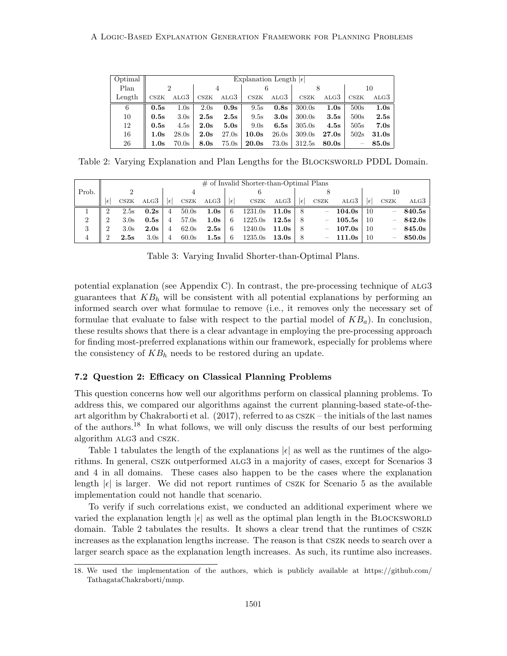| Optimal |      | Explanation Length $ \epsilon $ |                       |       |       |                  |        |       |                          |       |
|---------|------|---------------------------------|-----------------------|-------|-------|------------------|--------|-------|--------------------------|-------|
| Plan    | റ    |                                 | 4                     |       |       |                  |        |       | 10                       |       |
| Length  | CSZK | ALG3                            | $\operatorname{CSZK}$ | ALG3  | CSZK  | ALG3             | CSZK   | ALG3  | CSZK                     | ALG3  |
| 6       | 0.5s | $1.0\mathrm{s}$                 | 2.0s                  | 0.9s  | 9.5s  | 0.8s             | 300.0s | 1.0s  | 500s                     | 1.0s  |
| 10      | 0.5s | 3.0 <sub>s</sub>                | 2.5s                  | 2.5s  | 9.5s  | 3.0 <sub>s</sub> | 300.0s | 3.5s  | 500s                     | 2.5s  |
| 12      | 0.5s | 4.5s                            | 2.0s                  | 5.0s  | 9.0s  | 6.5s             | 305.0s | 4.5s  | 505s                     | 7.0s  |
| 16      | 1.0s | 28.0s                           | 2.0s                  | 27.0s | 10.0s | 26.0s            | 309.0s | 27.0s | 502s                     | 31.0s |
| 26      | 1.0s | 70.0s                           | 8.0s                  | 75.0s | 20.0s | 73.0s            | 312.5s | 80.0s | $\overline{\phantom{a}}$ | 85.0s |

Table 2: Varying Explanation and Plan Lengths for the BLOCKSWORLD PDDL Domain.

|       |    |                       |      |    |                       |      |              | $\#$ of Invalid Shorter-than-Optimal Plans |                  |     |      |        |            |                          |        |
|-------|----|-----------------------|------|----|-----------------------|------|--------------|--------------------------------------------|------------------|-----|------|--------|------------|--------------------------|--------|
| Prob. |    |                       |      |    |                       |      |              |                                            |                  |     |      |        |            | 10                       |        |
|       | ΙE | $\operatorname{CSZK}$ | ALG3 | ١€ | $\operatorname{CSZK}$ | ALG3 | $ \epsilon $ | $\mathop{\rm csz}\nolimits$ K              | ALG3             | ۱€  | CSZK | ALG3   | $\epsilon$ | CSZK                     | ALG3   |
|       | റ  | 2.5s                  | 0.2s | 4  | 50.0s                 | 1.0s | 6            | 1231.0s                                    | $11.0\mathrm{s}$ | - 8 | -    | 104.0s | 10         | $\overline{\phantom{0}}$ | 840.5s |
| 2     |    | 3.0 <sub>s</sub>      | 0.5s | 4  | 57.0s                 | 1.0s | 6            | 1225.0s                                    | $12.5\mathrm{s}$ | - 8 | -    | 105.5s | 10         | $\overline{\phantom{0}}$ | 842.0s |
| 3     |    | 3.0 <sub>s</sub>      | 2.0s | 4  | 62.0s                 | 2.5s | 6            | 1240.0s                                    | 11.0s            | 8   | -    | 107.0s | 10         | -                        | 845.0s |
| 4     |    | 2.5s                  | 3.0s | 4  | 60.0s                 | 1.5s | 6            | 1235.0s                                    | $13.0\mathrm{s}$ | 8   | -    | 111.0s | 10         | $\overline{\phantom{a}}$ | 850.0s |

Table 3: Varying Invalid Shorter-than-Optimal Plans.

potential explanation (see Appendix C). In contrast, the pre-processing technique of  $ALG3$ guarantees that  $KB<sub>h</sub>$  will be consistent with all potential explanations by performing an informed search over what formulae to remove (i.e., it removes only the necessary set of formulae that evaluate to false with respect to the partial model of  $KB_a$ ). In conclusion, these results shows that there is a clear advantage in employing the pre-processing approach for finding most-preferred explanations within our framework, especially for problems where the consistency of  $KB_h$  needs to be restored during an update.

## 7.2 Question 2: Efficacy on Classical Planning Problems

This question concerns how well our algorithms perform on classical planning problems. To address this, we compared our algorithms against the current planning-based state-of-theart algorithm by Chakraborti et al. (2017), referred to as cszk – the initials of the last names of the authors.<sup>18</sup> In what follows, we will only discuss the results of our best performing algorithm ALG3 and CSZK.

Table 1 tabulates the length of the explanations  $|\epsilon|$  as well as the runtimes of the algorithms. In general, cszk outperformed alg3 in a majority of cases, except for Scenarios 3 and 4 in all domains. These cases also happen to be the cases where the explanation length  $|\epsilon|$  is larger. We did not report runtimes of CSZK for Scenario 5 as the available implementation could not handle that scenario.

To verify if such correlations exist, we conducted an additional experiment where we varied the explanation length  $|\epsilon|$  as well as the optimal plan length in the BLOCKSWORLD domain. Table 2 tabulates the results. It shows a clear trend that the runtimes of cszk increases as the explanation lengths increase. The reason is that cszk needs to search over a larger search space as the explanation length increases. As such, its runtime also increases.

<sup>18.</sup> We used the implementation of the authors, which is publicly available at https://github.com/ TathagataChakraborti/mmp.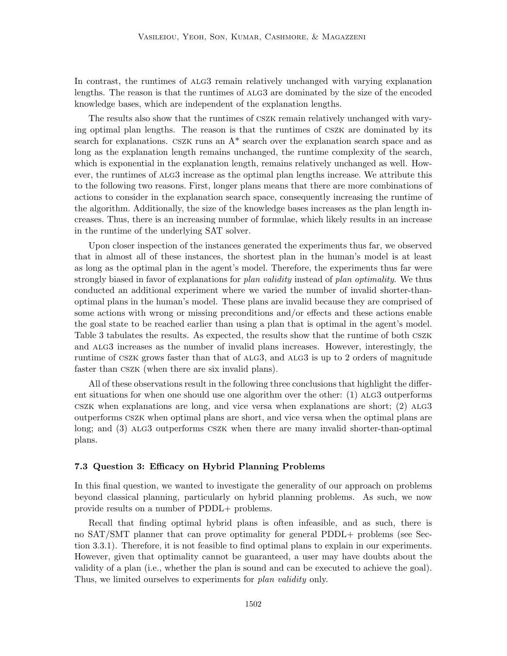In contrast, the runtimes of  $A<sub>L</sub>G<sub>3</sub>$  remain relatively unchanged with varying explanation lengths. The reason is that the runtimes of alg3 are dominated by the size of the encoded knowledge bases, which are independent of the explanation lengths.

The results also show that the runtimes of cszk remain relatively unchanged with varying optimal plan lengths. The reason is that the runtimes of cszk are dominated by its search for explanations. CSZK runs an  $A^*$  search over the explanation search space and as long as the explanation length remains unchanged, the runtime complexity of the search, which is exponential in the explanation length, remains relatively unchanged as well. However, the runtimes of alg3 increase as the optimal plan lengths increase. We attribute this to the following two reasons. First, longer plans means that there are more combinations of actions to consider in the explanation search space, consequently increasing the runtime of the algorithm. Additionally, the size of the knowledge bases increases as the plan length increases. Thus, there is an increasing number of formulae, which likely results in an increase in the runtime of the underlying SAT solver.

Upon closer inspection of the instances generated the experiments thus far, we observed that in almost all of these instances, the shortest plan in the human's model is at least as long as the optimal plan in the agent's model. Therefore, the experiments thus far were strongly biased in favor of explanations for plan validity instead of plan optimality. We thus conducted an additional experiment where we varied the number of invalid shorter-thanoptimal plans in the human's model. These plans are invalid because they are comprised of some actions with wrong or missing preconditions and/or effects and these actions enable the goal state to be reached earlier than using a plan that is optimal in the agent's model. Table 3 tabulates the results. As expected, the results show that the runtime of both cszk and ALG3 increases as the number of invalid plans increases. However, interestingly, the runtime of cszk grows faster than that of alg3, and alg3 is up to 2 orders of magnitude faster than cszk (when there are six invalid plans).

All of these observations result in the following three conclusions that highlight the different situations for when one should use one algorithm over the other: (1) ALG3 outperforms  $Cszk$  when explanations are long, and vice versa when explanations are short;  $(2)$  ALG3 outperforms cszk when optimal plans are short, and vice versa when the optimal plans are long; and (3) ALG3 outperforms CSZK when there are many invalid shorter-than-optimal plans.

#### 7.3 Question 3: Efficacy on Hybrid Planning Problems

In this final question, we wanted to investigate the generality of our approach on problems beyond classical planning, particularly on hybrid planning problems. As such, we now provide results on a number of PDDL+ problems.

Recall that finding optimal hybrid plans is often infeasible, and as such, there is no SAT/SMT planner that can prove optimality for general PDDL+ problems (see Section 3.3.1). Therefore, it is not feasible to find optimal plans to explain in our experiments. However, given that optimality cannot be guaranteed, a user may have doubts about the validity of a plan (i.e., whether the plan is sound and can be executed to achieve the goal). Thus, we limited ourselves to experiments for *plan validity* only.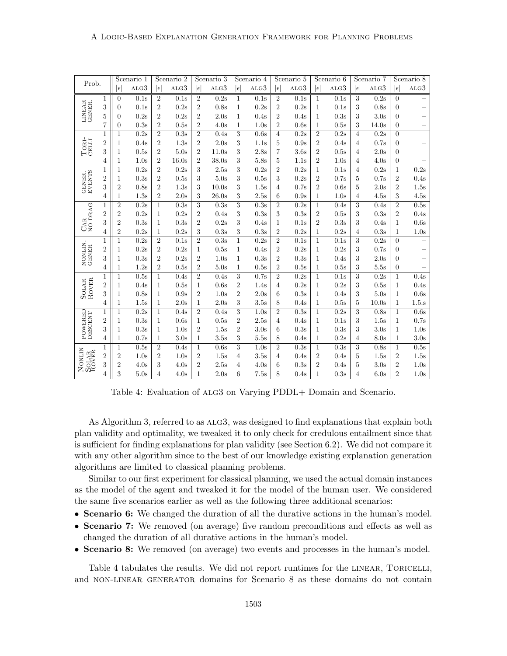| Prob.                                                           |                  |                  | Scenario 1                   |                | Scenario 2       |                | Scenario 3 |                | Scenario 4       |                | Scenario 5       |                | Scenario 6 |                | Scenario 7       |                  | Scenario 8 |
|-----------------------------------------------------------------|------------------|------------------|------------------------------|----------------|------------------|----------------|------------|----------------|------------------|----------------|------------------|----------------|------------|----------------|------------------|------------------|------------|
|                                                                 |                  | $ \epsilon $     | $\ensuremath{\mathrm{ALG3}}$ | $ \epsilon $   | ALG3             | $ \epsilon $   | ALG3       | $ \epsilon $   | ALG3             | $ \epsilon $   | ALG3             | $ \epsilon $   | ALG3       | $ \epsilon $   | $_{\rm ALG3}$    | $ \epsilon $     | ALG3       |
|                                                                 | $\mathbf 1$      | $\overline{0}$   | 0.1s                         | $\sqrt{2}$     | 0.1s             | $\sqrt{2}$     | 0.2s       | $\mathbf 1$    | 0.1s             | $\sqrt{2}$     | 0.1s             | $\mathbf 1$    | 0.1s       | 3              | 0.2s             | $\boldsymbol{0}$ |            |
|                                                                 | 3                | $\boldsymbol{0}$ | 0.1s                         | $\overline{2}$ | 0.2s             | $\overline{2}$ | 0.8s       | $\mathbf 1$    | 0.2s             | $\overline{2}$ | 0.2s             | $\mathbf{1}$   | 0.1s       | 3              | 0.8s             | $\boldsymbol{0}$ |            |
| LINEAR<br><b>GENER</b>                                          | $\bf 5$          | $\overline{0}$   | 0.2s                         | $\overline{2}$ | 0.2s             | $\overline{2}$ | 2.0s       | $\mathbf 1$    | 0.4s             | $\overline{2}$ | 0.4s             | $\mathbf{1}$   | 0.3s       | 3              | 3.0 <sub>s</sub> | $\boldsymbol{0}$ |            |
|                                                                 | 7                | $\boldsymbol{0}$ | 0.3s                         | $\overline{2}$ | 0.5s             | $\overline{2}$ | 4.0s       | $\mathbf 1$    | 1.0s             | $\overline{2}$ | 0.6s             | $\mathbf{1}$   | 0.5s       | 3              | 14.0s            | $\overline{0}$   |            |
|                                                                 | $\mathbf{1}$     | $\mathbf{1}$     | 0.2s                         | $\overline{2}$ | 0.3s             | $\overline{2}$ | 0.4s       | 3              | 0.6s             | $\overline{4}$ | 0.2s             | $\overline{2}$ | 0.2s       | 4              | 0.2s             | $\overline{0}$   |            |
|                                                                 | $\overline{2}$   | $\mathbf 1$      | 0.4s                         | $\overline{2}$ | 1.3s             | $\overline{2}$ | 2.0s       | 3              | 1.1s             | 5              | 0.9s             | $\overline{2}$ | 0.4s       | 4              | 0.7s             | $\boldsymbol{0}$ |            |
| $TORI-CHII$                                                     | 3                | $\mathbf 1$      | 0.5s                         | $\overline{2}$ | 5.0s             | $\overline{2}$ | 11.0s      | 3              | 2.8s             | 7              | 3.6 <sub>s</sub> | $\overline{2}$ | 0.5s       | $\overline{4}$ | 2.0s             | $\boldsymbol{0}$ |            |
|                                                                 | 4                | $\mathbf 1$      | 1.0s                         | $\overline{2}$ | 16.0s            | $\overline{2}$ | 38.0s      | 3              | 5.8s             | 5              | 1.1s             | $\overline{2}$ | 1.0s       | 4              | 4.0s             | $\overline{0}$   |            |
|                                                                 | $\mathbf{1}$     | $\mathbf{1}$     | 0.2s                         | $\overline{2}$ | 0.2s             | 3              | 2.5s       | 3              | 0.2s             | $\overline{2}$ | 0.2s             | 1              | 0.1s       | $\overline{4}$ | 0.2s             | $\mathbf 1$      | 0.2s       |
| GENER.<br>EVENTS                                                | $\boldsymbol{2}$ | $\mathbf 1$      | 0.3s                         | $\sqrt{2}$     | 0.5s             | 3              | 5.0s       | 3              | 0.5s             | 3              | 0.2s             | $\overline{2}$ | 0.7s       | 5              | 0.7s             | $\overline{2}$   | 0.4s       |
|                                                                 | $\sqrt{3}$       | $\overline{2}$   | 0.8s                         | $\sqrt{2}$     | 1.3s             | 3              | 10.0s      | 3              | 1.5s             | 4              | 0.7s             | $\overline{2}$ | 0.6s       | 5              | 2.0s             | $\overline{2}$   | 1.5s       |
|                                                                 | 4                | $\mathbf 1$      | 1.3s                         | $\overline{2}$ | 2.0s             | 3              | 26.0s      | 3              | 2.5s             | 6              | 0.9s             | 1              | 1.0s       | $\overline{4}$ | 4.5s             | 3                | 4.5s       |
| $\begin{array}{c} \mathrm{CAR} \\ \mathrm{NO~DRAG} \end{array}$ | $\mathbf{1}$     | $\overline{2}$   | 0.2s                         | $\mathbf{1}$   | 0.3s             | $\overline{3}$ | 0.3s       | 3              | 0.3s             | $\overline{2}$ | 0.2s             | $\mathbf{1}$   | 0.4s       | 3              | 0.4s             | $\overline{2}$   | 0.5s       |
|                                                                 | $\boldsymbol{2}$ | $\overline{2}$   | 0.2s                         | $\mathbf 1$    | 0.2s             | $\overline{2}$ | 0.4s       | 3              | 0.3s             | 3              | 0.3s             | $\overline{2}$ | 0.5s       | 3              | 0.3s             | $\overline{2}$   | 0.4s       |
|                                                                 | 3                | $\overline{2}$   | 0.3s                         | $\mathbf{1}$   | 0.3s             | $\overline{2}$ | 0.2s       | 3              | 0.4s             | 1              | 0.1s             | $\overline{2}$ | 0.3s       | 3              | 0.4s             | $\mathbf 1$      | 0.6s       |
|                                                                 | $\overline{4}$   | $\sqrt{2}$       | 0.2s                         | $\mathbf 1$    | 0.2s             | 3              | 0.3s       | 3              | 0.3s             | $\overline{2}$ | 0.2s             | 1              | 0.2s       | $\overline{4}$ | 0.3s             | $\mathbf{1}$     | 1.0s       |
|                                                                 | $\mathbf{1}$     | $\mathbf{1}$     | 0.2s                         | $\overline{2}$ | 0.1s             | $\overline{2}$ | 0.3s       | $\mathbf{1}$   | 0.2s             | $\overline{2}$ | 0.1s             | $\mathbf{1}$   | 0.1s       | 3              | 0.2s             | $\overline{0}$   |            |
|                                                                 | $\overline{2}$   | $\mathbf 1$      | 0.2s                         | $\overline{2}$ | 0.2s             | 1              | 0.5s       | $\mathbf 1$    | 0.4s             | $\overline{2}$ | 0.2s             | 1              | 0.2s       | 3              | 0.7s             | $\boldsymbol{0}$ |            |
| NONLIN.<br>GENER                                                | 3                | $\mathbf{1}$     | 0.3s                         | $\overline{2}$ | 0.2s             | $\overline{2}$ | 1.0s       | $\mathbf{1}$   | 0.3s             | $\overline{2}$ | 0.3s             | $\mathbf{1}$   | 0.4s       | 3              | 2.0s             | $\overline{0}$   |            |
|                                                                 | 4                | $\mathbf{1}$     | 1.2s                         | $\overline{2}$ | 0.5s             | $\overline{2}$ | 5.0s       | $\mathbf 1$    | 0.5s             | 2              | 0.5s             | $\mathbf 1$    | 0.5s       | 3              | 5.5s             | $\overline{0}$   |            |
|                                                                 | $\mathbf{1}$     | $\mathbf{1}$     | 0.5s                         | $\mathbf{1}$   | 0.4s             | $\overline{2}$ | 0.4s       | 3              | 0.7s             | $\overline{2}$ | 0.2s             | $\mathbf{1}$   | 0.1s       | 3              | 0.2s             | $\mathbf{1}$     | 0.4s       |
| SOLAR<br>ROVER                                                  | $\overline{2}$   | $\mathbf 1$      | 0.4s                         | $\mathbf{1}$   | 0.5s             | $\mathbf{1}$   | 0.6s       | $\overline{2}$ | 1.4s             | 4              | 0.2s             | $\mathbf{1}$   | 0.2s       | 3              | 0.5s             | $\mathbf{1}$     | 0.4s       |
|                                                                 | $\sqrt{3}$       | $\mathbf 1$      | 0.8s                         | $\mathbf 1$    | 0.9s             | $\overline{2}$ | 1.0s       | $\overline{2}$ | 2.0s             | 6              | 0.3s             | $\mathbf{1}$   | 0.4s       | 3              | 5.0s             | 1                | 0.6s       |
|                                                                 | 4                | 1                | 1.5s                         | 1              | 2.0s             | $\mathbf{1}$   | 2.0s       | $\sqrt{3}$     | 3.5s             | 8              | 0.4s             | 1              | 0.5s       | 5              | 10.0s            | 1                | $1.5$ .s   |
| POWERED<br>DESCENT                                              | 1                | $\mathbf 1$      | 0.2s                         | $\mathbf 1$    | 0.4s             | $\overline{2}$ | 0.4s       | $\sqrt{3}$     | 1.0s             | $\overline{2}$ | 0.3s             | 1              | 0.2s       | 3              | 0.8s             | $\mathbf{1}$     | 0.6s       |
|                                                                 | $\overline{2}$   | 1                | 0.3s                         | $\mathbf 1$    | 0.6s             | 1              | 0.5s       | $\overline{2}$ | 2.5s             | 4              | 0.4s             | $\mathbf{1}$   | 0.1s       | 3              | 1.5s             | 1                | 0.7s       |
|                                                                 | 3                | 1                | 0.3s                         | $\mathbf{1}$   | 1.0s             | $\overline{2}$ | 1.5s       | $\overline{2}$ | 3.0 <sub>s</sub> | 6              | 0.3s             | $\mathbf{1}$   | 0.3s       | 3              | 3.0s             | $\mathbf{1}$     | 1.0s       |
|                                                                 | 4                | $\mathbf 1$      | 0.7s                         | $\mathbf{1}$   | 3.0 <sub>s</sub> | $\mathbf{1}$   | 3.5s       | 3              | 5.5s             | 8              | 0.4s             | $\mathbf{1}$   | 0.2s       | 4              | 8.0s             | 1                | 3.0s       |
|                                                                 | $\mathbf 1$      | $\mathbf 1$      | 0.5s                         | $\overline{2}$ | 0.4s             | $\mathbf{1}$   | 0.6s       | 3              | 1.0s             | $\overline{2}$ | 0.3s             | $\mathbf{1}$   | 0.3s       | 3              | 0.8s             | $\mathbf{1}$     | 0.5s       |
| NONLIN<br>SOLAR<br>ROVER                                        | $\boldsymbol{2}$ | $\sqrt{2}$       | 1.0s                         | 2              | 1.0s             | $\overline{2}$ | 1.5s       | 4              | 3.5s             | 4              | 0.4s             | $\overline{2}$ | 0.4s       | 5              | 1.5s             | 2                | 1.5s       |
|                                                                 | 3                | $\overline{2}$   | 4.0s                         | 3              | 4.0s             | $\overline{2}$ | 2.5s       | 4              | 4.0s             | 6              | 0.3s             | $\overline{2}$ | 0.4s       | 5              | 3.0 <sub>s</sub> | $\overline{2}$   | 1.0s       |
|                                                                 | 4                | 3                | 5.0s                         | 4              | 4.0s             | $\mathbf{1}$   | 2.0s       | 6              | 7.5s             | 8              | 0.4s             | $\mathbf 1$    | 0.3s       | $\overline{4}$ | 6.0s             | $\overline{2}$   | 1.0s       |

Table 4: Evaluation of ALG3 on Varying PDDL+ Domain and Scenario.

As Algorithm 3, referred to as  $A_{\text{LG}}$  as designed to find explanations that explain both plan validity and optimality, we tweaked it to only check for credulous entailment since that is sufficient for finding explanations for plan validity (see Section 6.2). We did not compare it with any other algorithm since to the best of our knowledge existing explanation generation algorithms are limited to classical planning problems.

Similar to our first experiment for classical planning, we used the actual domain instances as the model of the agent and tweaked it for the model of the human user. We considered the same five scenarios earlier as well as the following three additional scenarios:

- Scenario 6: We changed the duration of all the durative actions in the human's model.
- Scenario 7: We removed (on average) five random preconditions and effects as well as changed the duration of all durative actions in the human's model.
- Scenario 8: We removed (on average) two events and processes in the human's model.

Table 4 tabulates the results. We did not report runtimes for the LINEAR, TORICELLI, and non-linear generator domains for Scenario 8 as these domains do not contain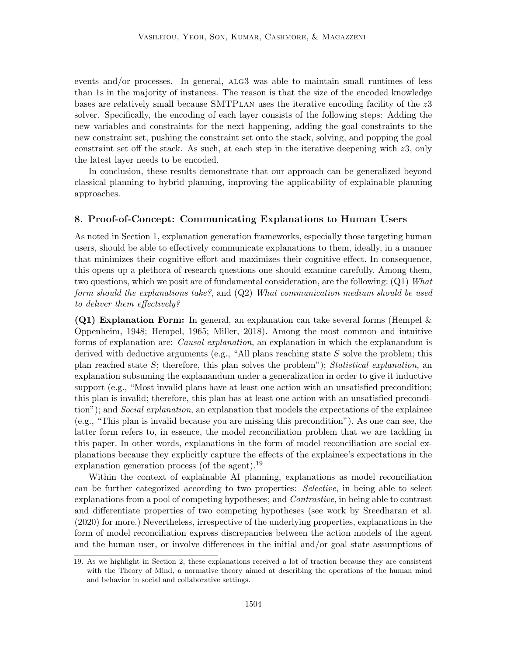events and/or processes. In general, alg3 was able to maintain small runtimes of less than 1s in the majority of instances. The reason is that the size of the encoded knowledge bases are relatively small because SMTPlan uses the iterative encoding facility of the z3 solver. Specifically, the encoding of each layer consists of the following steps: Adding the new variables and constraints for the next happening, adding the goal constraints to the new constraint set, pushing the constraint set onto the stack, solving, and popping the goal constraint set off the stack. As such, at each step in the iterative deepening with  $z_3$ , only the latest layer needs to be encoded.

In conclusion, these results demonstrate that our approach can be generalized beyond classical planning to hybrid planning, improving the applicability of explainable planning approaches.

## 8. Proof-of-Concept: Communicating Explanations to Human Users

As noted in Section 1, explanation generation frameworks, especially those targeting human users, should be able to effectively communicate explanations to them, ideally, in a manner that minimizes their cognitive effort and maximizes their cognitive effect. In consequence, this opens up a plethora of research questions one should examine carefully. Among them, two questions, which we posit are of fundamental consideration, are the following:  $(Q1)$  What form should the explanations take?, and (Q2) What communication medium should be used to deliver them effectively?

**(Q1) Explanation Form:** In general, an explanation can take several forms (Hempel  $\&$ Oppenheim, 1948; Hempel, 1965; Miller, 2018). Among the most common and intuitive forms of explanation are: Causal explanation, an explanation in which the explanandum is derived with deductive arguments (e.g., "All plans reaching state  $S$  solve the problem; this plan reached state  $S$ ; therefore, this plan solves the problem"); Statistical explanation, an explanation subsuming the explanandum under a generalization in order to give it inductive support (e.g., "Most invalid plans have at least one action with an unsatisfied precondition; this plan is invalid; therefore, this plan has at least one action with an unsatisfied precondition"); and *Social explanation*, an explanation that models the expectations of the explainee (e.g., "This plan is invalid because you are missing this precondition"). As one can see, the latter form refers to, in essence, the model reconciliation problem that we are tackling in this paper. In other words, explanations in the form of model reconciliation are social explanations because they explicitly capture the effects of the explainee's expectations in the explanation generation process (of the agent).<sup>19</sup>

Within the context of explainable AI planning, explanations as model reconciliation can be further categorized according to two properties: Selective, in being able to select explanations from a pool of competing hypotheses; and *Contrastive*, in being able to contrast and differentiate properties of two competing hypotheses (see work by Sreedharan et al. (2020) for more.) Nevertheless, irrespective of the underlying properties, explanations in the form of model reconciliation express discrepancies between the action models of the agent and the human user, or involve differences in the initial and/or goal state assumptions of

<sup>19.</sup> As we highlight in Section 2, these explanations received a lot of traction because they are consistent with the Theory of Mind, a normative theory aimed at describing the operations of the human mind and behavior in social and collaborative settings.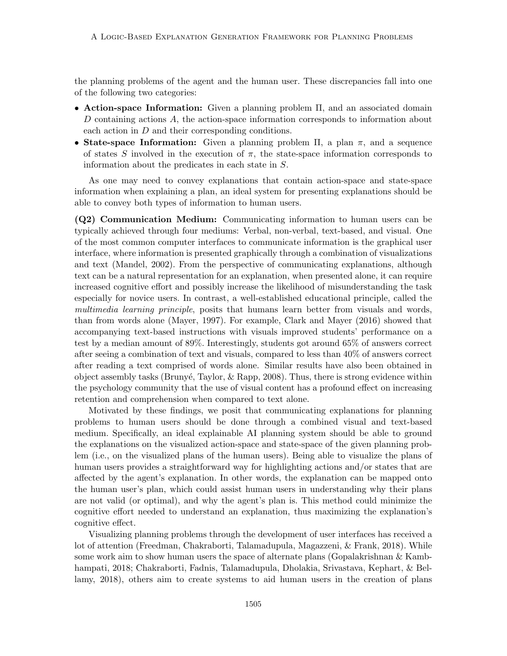the planning problems of the agent and the human user. These discrepancies fall into one of the following two categories:

- Action-space Information: Given a planning problem Π, and an associated domain D containing actions A, the action-space information corresponds to information about each action in D and their corresponding conditions.
- State-space Information: Given a planning problem  $\Pi$ , a plan  $\pi$ , and a sequence of states S involved in the execution of  $\pi$ , the state-space information corresponds to information about the predicates in each state in S.

As one may need to convey explanations that contain action-space and state-space information when explaining a plan, an ideal system for presenting explanations should be able to convey both types of information to human users.

(Q2) Communication Medium: Communicating information to human users can be typically achieved through four mediums: Verbal, non-verbal, text-based, and visual. One of the most common computer interfaces to communicate information is the graphical user interface, where information is presented graphically through a combination of visualizations and text (Mandel, 2002). From the perspective of communicating explanations, although text can be a natural representation for an explanation, when presented alone, it can require increased cognitive effort and possibly increase the likelihood of misunderstanding the task especially for novice users. In contrast, a well-established educational principle, called the multimedia learning principle, posits that humans learn better from visuals and words, than from words alone (Mayer, 1997). For example, Clark and Mayer (2016) showed that accompanying text-based instructions with visuals improved students' performance on a test by a median amount of 89%. Interestingly, students got around 65% of answers correct after seeing a combination of text and visuals, compared to less than 40% of answers correct after reading a text comprised of words alone. Similar results have also been obtained in object assembly tasks (Brunyé, Taylor,  $\&$  Rapp, 2008). Thus, there is strong evidence within the psychology community that the use of visual content has a profound effect on increasing retention and comprehension when compared to text alone.

Motivated by these findings, we posit that communicating explanations for planning problems to human users should be done through a combined visual and text-based medium. Specifically, an ideal explainable AI planning system should be able to ground the explanations on the visualized action-space and state-space of the given planning problem (i.e., on the visualized plans of the human users). Being able to visualize the plans of human users provides a straightforward way for highlighting actions and/or states that are affected by the agent's explanation. In other words, the explanation can be mapped onto the human user's plan, which could assist human users in understanding why their plans are not valid (or optimal), and why the agent's plan is. This method could minimize the cognitive effort needed to understand an explanation, thus maximizing the explanation's cognitive effect.

Visualizing planning problems through the development of user interfaces has received a lot of attention (Freedman, Chakraborti, Talamadupula, Magazzeni, & Frank, 2018). While some work aim to show human users the space of alternate plans (Gopalakrishnan & Kambhampati, 2018; Chakraborti, Fadnis, Talamadupula, Dholakia, Srivastava, Kephart, & Bellamy, 2018), others aim to create systems to aid human users in the creation of plans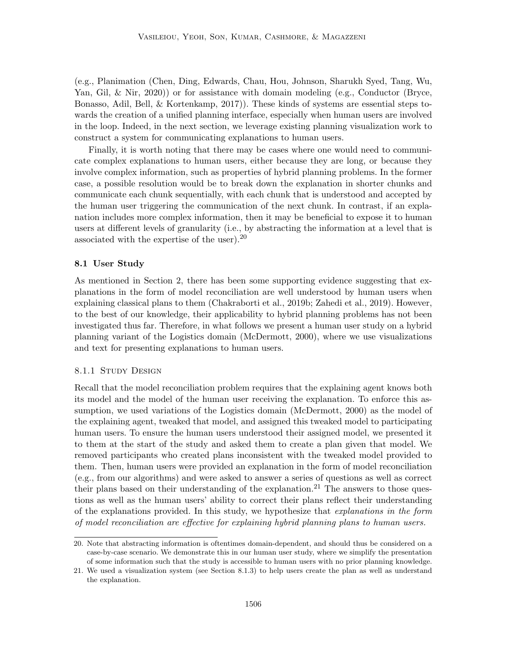(e.g., Planimation (Chen, Ding, Edwards, Chau, Hou, Johnson, Sharukh Syed, Tang, Wu, Yan, Gil, & Nir, 2020)) or for assistance with domain modeling (e.g., Conductor (Bryce, Bonasso, Adil, Bell, & Kortenkamp, 2017)). These kinds of systems are essential steps towards the creation of a unified planning interface, especially when human users are involved in the loop. Indeed, in the next section, we leverage existing planning visualization work to construct a system for communicating explanations to human users.

Finally, it is worth noting that there may be cases where one would need to communicate complex explanations to human users, either because they are long, or because they involve complex information, such as properties of hybrid planning problems. In the former case, a possible resolution would be to break down the explanation in shorter chunks and communicate each chunk sequentially, with each chunk that is understood and accepted by the human user triggering the communication of the next chunk. In contrast, if an explanation includes more complex information, then it may be beneficial to expose it to human users at different levels of granularity (i.e., by abstracting the information at a level that is associated with the expertise of the user).<sup>20</sup>

#### 8.1 User Study

As mentioned in Section 2, there has been some supporting evidence suggesting that explanations in the form of model reconciliation are well understood by human users when explaining classical plans to them (Chakraborti et al., 2019b; Zahedi et al., 2019). However, to the best of our knowledge, their applicability to hybrid planning problems has not been investigated thus far. Therefore, in what follows we present a human user study on a hybrid planning variant of the Logistics domain (McDermott, 2000), where we use visualizations and text for presenting explanations to human users.

#### 8.1.1 STUDY DESIGN

Recall that the model reconciliation problem requires that the explaining agent knows both its model and the model of the human user receiving the explanation. To enforce this assumption, we used variations of the Logistics domain (McDermott, 2000) as the model of the explaining agent, tweaked that model, and assigned this tweaked model to participating human users. To ensure the human users understood their assigned model, we presented it to them at the start of the study and asked them to create a plan given that model. We removed participants who created plans inconsistent with the tweaked model provided to them. Then, human users were provided an explanation in the form of model reconciliation (e.g., from our algorithms) and were asked to answer a series of questions as well as correct their plans based on their understanding of the explanation.<sup>21</sup> The answers to those questions as well as the human users' ability to correct their plans reflect their understanding of the explanations provided. In this study, we hypothesize that explanations in the form of model reconciliation are effective for explaining hybrid planning plans to human users.

<sup>20.</sup> Note that abstracting information is oftentimes domain-dependent, and should thus be considered on a case-by-case scenario. We demonstrate this in our human user study, where we simplify the presentation of some information such that the study is accessible to human users with no prior planning knowledge.

<sup>21.</sup> We used a visualization system (see Section 8.1.3) to help users create the plan as well as understand the explanation.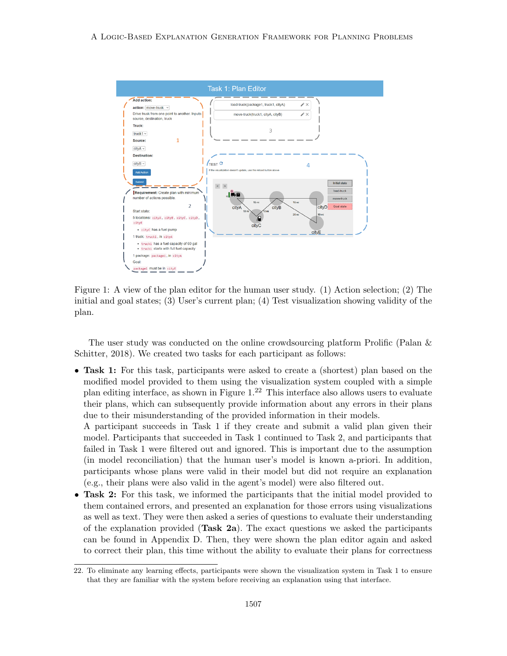

Figure 1: A view of the plan editor for the human user study. (1) Action selection; (2) The initial and goal states; (3) User's current plan; (4) Test visualization showing validity of the plan.

The user study was conducted on the online crowdsourcing platform Prolific (Palan & Schitter, 2018). We created two tasks for each participant as follows:

• Task 1: For this task, participants were asked to create a (shortest) plan based on the modified model provided to them using the visualization system coupled with a simple plan editing interface, as shown in Figure  $1<sup>22</sup>$  This interface also allows users to evaluate their plans, which can subsequently provide information about any errors in their plans due to their misunderstanding of the provided information in their models.

A participant succeeds in Task 1 if they create and submit a valid plan given their model. Participants that succeeded in Task 1 continued to Task 2, and participants that failed in Task 1 were filtered out and ignored. This is important due to the assumption (in model reconciliation) that the human user's model is known a-priori. In addition, participants whose plans were valid in their model but did not require an explanation (e.g., their plans were also valid in the agent's model) were also filtered out.

• Task 2: For this task, we informed the participants that the initial model provided to them contained errors, and presented an explanation for those errors using visualizations as well as text. They were then asked a series of questions to evaluate their understanding of the explanation provided  $(Task 2a)$ . The exact questions we asked the participants can be found in Appendix D. Then, they were shown the plan editor again and asked to correct their plan, this time without the ability to evaluate their plans for correctness

<sup>22.</sup> To eliminate any learning effects, participants were shown the visualization system in Task 1 to ensure that they are familiar with the system before receiving an explanation using that interface.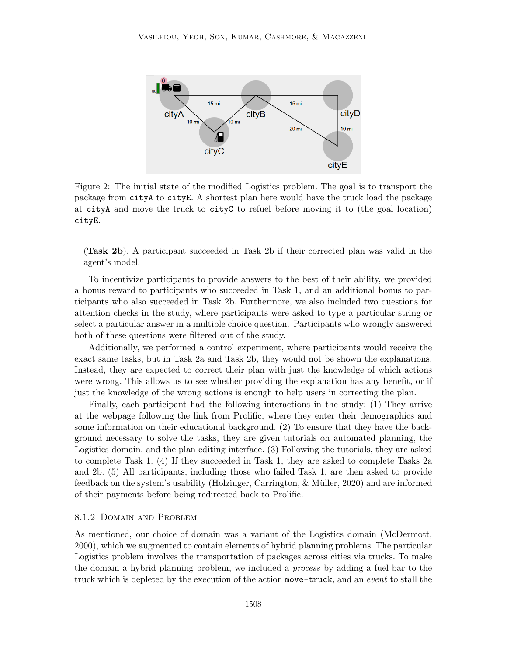

Figure 2: The initial state of the modified Logistics problem. The goal is to transport the package from cityA to cityE. A shortest plan here would have the truck load the package at cityA and move the truck to cityC to refuel before moving it to (the goal location) cityE.

(Task 2b). A participant succeeded in Task 2b if their corrected plan was valid in the agent's model.

To incentivize participants to provide answers to the best of their ability, we provided a bonus reward to participants who succeeded in Task 1, and an additional bonus to participants who also succeeded in Task 2b. Furthermore, we also included two questions for attention checks in the study, where participants were asked to type a particular string or select a particular answer in a multiple choice question. Participants who wrongly answered both of these questions were filtered out of the study.

Additionally, we performed a control experiment, where participants would receive the exact same tasks, but in Task 2a and Task 2b, they would not be shown the explanations. Instead, they are expected to correct their plan with just the knowledge of which actions were wrong. This allows us to see whether providing the explanation has any benefit, or if just the knowledge of the wrong actions is enough to help users in correcting the plan.

Finally, each participant had the following interactions in the study: (1) They arrive at the webpage following the link from Prolific, where they enter their demographics and some information on their educational background. (2) To ensure that they have the background necessary to solve the tasks, they are given tutorials on automated planning, the Logistics domain, and the plan editing interface. (3) Following the tutorials, they are asked to complete Task 1. (4) If they succeeded in Task 1, they are asked to complete Tasks 2a and 2b. (5) All participants, including those who failed Task 1, are then asked to provide feedback on the system's usability (Holzinger, Carrington, & Müller, 2020) and are informed of their payments before being redirected back to Prolific.

#### 8.1.2 Domain and Problem

As mentioned, our choice of domain was a variant of the Logistics domain (McDermott, 2000), which we augmented to contain elements of hybrid planning problems. The particular Logistics problem involves the transportation of packages across cities via trucks. To make the domain a hybrid planning problem, we included a process by adding a fuel bar to the truck which is depleted by the execution of the action move-truck, and an event to stall the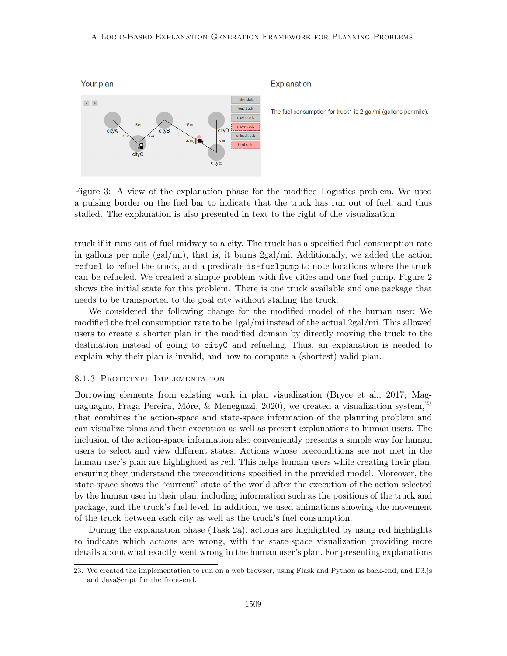#### A Logic-Based Explanation Generation Framework for Planning Problems



Explanation

The fuel consumption for truck1 is 2 gal/mi (gallons per mile).

Figure 3: A view of the explanation phase for the modified Logistics problem. We used a pulsing border on the fuel bar to indicate that the truck has run out of fuel, and thus stalled. The explanation is also presented in text to the right of the visualization.

truck if it runs out of fuel midway to a city. The truck has a specified fuel consumption rate in gallons per mile (gal/mi), that is, it burns 2gal/mi. Additionally, we added the action refuel to refuel the truck, and a predicate is-fuelpump to note locations where the truck can be refueled. We created a simple problem with five cities and one fuel pump. Figure 2 shows the initial state for this problem. There is one truck available and one package that needs to be transported to the goal city without stalling the truck.

We considered the following change for the modified model of the human user: We modified the fuel consumption rate to be 1gal/mi instead of the actual 2gal/mi. This allowed users to create a shorter plan in the modified domain by directly moving the truck to the destination instead of going to cityC and refueling. Thus, an explanation is needed to explain why their plan is invalid, and how to compute a (shortest) valid plan.

## 8.1.3 PROTOTYPE IMPLEMENTATION

Borrowing elements from existing work in plan visualization (Bryce et al., 2017; Magnaguagno, Fraga Pereira, Móre, & Meneguzzi, 2020), we created a visualization system,  $^{23}$ that combines the action-space and state-space information of the planning problem and can visualize plans and their execution as well as present explanations to human users. The inclusion of the action-space information also conveniently presents a simple way for human users to select and view different states. Actions whose preconditions are not met in the human user's plan are highlighted as red. This helps human users while creating their plan, ensuring they understand the preconditions specified in the provided model. Moreover, the state-space shows the "current" state of the world after the execution of the action selected by the human user in their plan, including information such as the positions of the truck and package, and the truck's fuel level. In addition, we used animations showing the movement of the truck between each city as well as the truck's fuel consumption.

During the explanation phase (Task 2a), actions are highlighted by using red highlights to indicate which actions are wrong, with the state-space visualization providing more details about what exactly went wrong in the human user's plan. For presenting explanations

<sup>23.</sup> We created the implementation to run on a web browser, using Flask and Python as back-end, and D3.js and JavaScript for the front-end.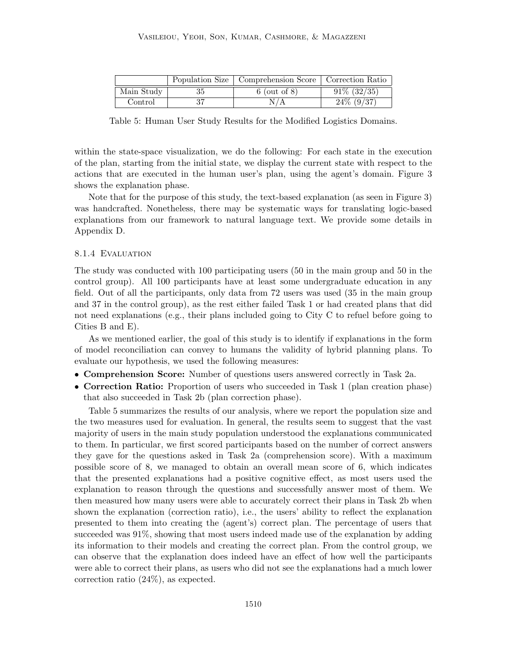|            | Population Size   Comprehension Score   Correction Ratio |                |
|------------|----------------------------------------------------------|----------------|
| Main Study | $6$ (out of 8)                                           | $91\%$ (32/35) |
| Control    |                                                          | $24\%$ (9/37)  |

Table 5: Human User Study Results for the Modified Logistics Domains.

within the state-space visualization, we do the following: For each state in the execution of the plan, starting from the initial state, we display the current state with respect to the actions that are executed in the human user's plan, using the agent's domain. Figure 3 shows the explanation phase.

Note that for the purpose of this study, the text-based explanation (as seen in Figure 3) was handcrafted. Nonetheless, there may be systematic ways for translating logic-based explanations from our framework to natural language text. We provide some details in Appendix D.

#### 8.1.4 EVALUATION

The study was conducted with 100 participating users (50 in the main group and 50 in the control group). All 100 participants have at least some undergraduate education in any field. Out of all the participants, only data from 72 users was used (35 in the main group and 37 in the control group), as the rest either failed Task 1 or had created plans that did not need explanations (e.g., their plans included going to City C to refuel before going to Cities B and E).

As we mentioned earlier, the goal of this study is to identify if explanations in the form of model reconciliation can convey to humans the validity of hybrid planning plans. To evaluate our hypothesis, we used the following measures:

- Comprehension Score: Number of questions users answered correctly in Task 2a.
- Correction Ratio: Proportion of users who succeeded in Task 1 (plan creation phase) that also succeeded in Task 2b (plan correction phase).

Table 5 summarizes the results of our analysis, where we report the population size and the two measures used for evaluation. In general, the results seem to suggest that the vast majority of users in the main study population understood the explanations communicated to them. In particular, we first scored participants based on the number of correct answers they gave for the questions asked in Task 2a (comprehension score). With a maximum possible score of 8, we managed to obtain an overall mean score of 6, which indicates that the presented explanations had a positive cognitive effect, as most users used the explanation to reason through the questions and successfully answer most of them. We then measured how many users were able to accurately correct their plans in Task 2b when shown the explanation (correction ratio), i.e., the users' ability to reflect the explanation presented to them into creating the (agent's) correct plan. The percentage of users that succeeded was 91%, showing that most users indeed made use of the explanation by adding its information to their models and creating the correct plan. From the control group, we can observe that the explanation does indeed have an effect of how well the participants were able to correct their plans, as users who did not see the explanations had a much lower correction ratio (24%), as expected.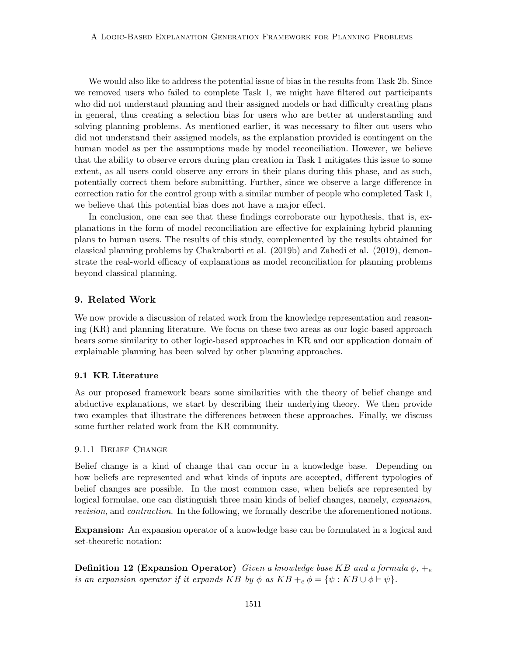We would also like to address the potential issue of bias in the results from Task 2b. Since we removed users who failed to complete Task 1, we might have filtered out participants who did not understand planning and their assigned models or had difficulty creating plans in general, thus creating a selection bias for users who are better at understanding and solving planning problems. As mentioned earlier, it was necessary to filter out users who did not understand their assigned models, as the explanation provided is contingent on the human model as per the assumptions made by model reconciliation. However, we believe that the ability to observe errors during plan creation in Task 1 mitigates this issue to some extent, as all users could observe any errors in their plans during this phase, and as such, potentially correct them before submitting. Further, since we observe a large difference in correction ratio for the control group with a similar number of people who completed Task 1, we believe that this potential bias does not have a major effect.

In conclusion, one can see that these findings corroborate our hypothesis, that is, explanations in the form of model reconciliation are effective for explaining hybrid planning plans to human users. The results of this study, complemented by the results obtained for classical planning problems by Chakraborti et al. (2019b) and Zahedi et al. (2019), demonstrate the real-world efficacy of explanations as model reconciliation for planning problems beyond classical planning.

## 9. Related Work

We now provide a discussion of related work from the knowledge representation and reasoning (KR) and planning literature. We focus on these two areas as our logic-based approach bears some similarity to other logic-based approaches in KR and our application domain of explainable planning has been solved by other planning approaches.

#### 9.1 KR Literature

As our proposed framework bears some similarities with the theory of belief change and abductive explanations, we start by describing their underlying theory. We then provide two examples that illustrate the differences between these approaches. Finally, we discuss some further related work from the KR community.

#### 9.1.1 Belief Change

Belief change is a kind of change that can occur in a knowledge base. Depending on how beliefs are represented and what kinds of inputs are accepted, different typologies of belief changes are possible. In the most common case, when beliefs are represented by logical formulae, one can distinguish three main kinds of belief changes, namely, *expansion*, revision, and contraction. In the following, we formally describe the aforementioned notions.

Expansion: An expansion operator of a knowledge base can be formulated in a logical and set-theoretic notation:

**Definition 12 (Expansion Operator)** Given a knowledge base KB and a formula  $\phi$ ,  $+_{e}$ is an expansion operator if it expands KB by  $\phi$  as  $KB +_{e} \phi = {\psi : KB \cup \phi \vdash \psi}.$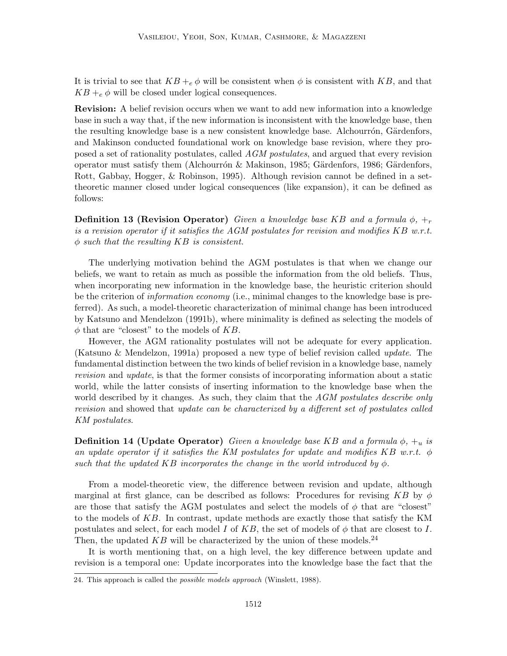It is trivial to see that  $KB + e \phi$  will be consistent when  $\phi$  is consistent with KB, and that  $KB +_{e} \phi$  will be closed under logical consequences.

Revision: A belief revision occurs when we want to add new information into a knowledge base in such a way that, if the new information is inconsistent with the knowledge base, then the resulting knowledge base is a new consistent knowledge base. Alchourrón, Gärdenfors, and Makinson conducted foundational work on knowledge base revision, where they proposed a set of rationality postulates, called AGM postulates, and argued that every revision operator must satisfy them (Alchourrón & Makinson, 1985; Gärdenfors, 1986; Gärdenfors, Rott, Gabbay, Hogger, & Robinson, 1995). Although revision cannot be defined in a settheoretic manner closed under logical consequences (like expansion), it can be defined as follows:

**Definition 13 (Revision Operator)** Given a knowledge base KB and a formula  $\phi$ ,  $\pm_r$ is a revision operator if it satisfies the AGM postulates for revision and modifies  $KB$  w.r.t.  $\phi$  such that the resulting KB is consistent.

The underlying motivation behind the AGM postulates is that when we change our beliefs, we want to retain as much as possible the information from the old beliefs. Thus, when incorporating new information in the knowledge base, the heuristic criterion should be the criterion of *information economy* (i.e., minimal changes to the knowledge base is preferred). As such, a model-theoretic characterization of minimal change has been introduced by Katsuno and Mendelzon (1991b), where minimality is defined as selecting the models of  $\phi$  that are "closest" to the models of KB.

However, the AGM rationality postulates will not be adequate for every application. (Katsuno & Mendelzon, 1991a) proposed a new type of belief revision called update. The fundamental distinction between the two kinds of belief revision in a knowledge base, namely revision and update, is that the former consists of incorporating information about a static world, while the latter consists of inserting information to the knowledge base when the world described by it changes. As such, they claim that the AGM postulates describe only revision and showed that update can be characterized by a different set of postulates called KM postulates.

**Definition 14 (Update Operator)** Given a knowledge base KB and a formula  $\phi$ ,  $+_{u}$  is an update operator if it satisfies the KM postulates for update and modifies KB w.r.t.  $\phi$ such that the updated KB incorporates the change in the world introduced by  $\phi$ .

From a model-theoretic view, the difference between revision and update, although marginal at first glance, can be described as follows: Procedures for revising KB by  $\phi$ are those that satisfy the AGM postulates and select the models of  $\phi$  that are "closest" to the models of KB. In contrast, update methods are exactly those that satisfy the KM postulates and select, for each model I of KB, the set of models of  $\phi$  that are closest to I. Then, the updated  $KB$  will be characterized by the union of these models.<sup>24</sup>

It is worth mentioning that, on a high level, the key difference between update and revision is a temporal one: Update incorporates into the knowledge base the fact that the

<sup>24.</sup> This approach is called the possible models approach (Winslett, 1988).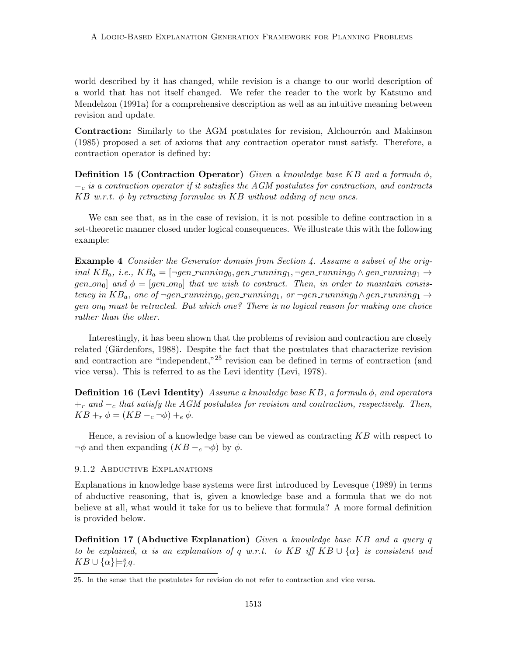world described by it has changed, while revision is a change to our world description of a world that has not itself changed. We refer the reader to the work by Katsuno and Mendelzon (1991a) for a comprehensive description as well as an intuitive meaning between revision and update.

Contraction: Similarly to the AGM postulates for revision, Alchourron and Makinson (1985) proposed a set of axioms that any contraction operator must satisfy. Therefore, a contraction operator is defined by:

**Definition 15 (Contraction Operator)** Given a knowledge base KB and a formula  $\phi$ ,  $-<sub>c</sub>$  is a contraction operator if it satisfies the AGM postulates for contraction, and contracts  $KB$  w.r.t.  $\phi$  by retracting formulae in KB without adding of new ones.

We can see that, as in the case of revision, it is not possible to define contraction in a set-theoretic manner closed under logical consequences. We illustrate this with the following example:

Example 4 Consider the Generator domain from Section 4. Assume a subset of the original  $KB_a$ , i.e.,  $KB_a = \lceil \neg gen\_running_0, gen\_running_1, \neg gen\_running_0 \land gen\_running_1 \rightarrow$ gen on<sub>0</sub>] and  $\phi = [gen_{\text{on}}]$  that we wish to contract. Then, in order to maintain consistency in  $KB_a$ , one of ¬gen\_running<sub>0</sub>, gen\_running<sub>1</sub>, or ¬gen\_running<sub>0</sub> ∧gen\_running<sub>1</sub> →  $gen_{0}$  must be retracted. But which one? There is no logical reason for making one choice rather than the other.

Interestingly, it has been shown that the problems of revision and contraction are closely related (Gärdenfors, 1988). Despite the fact that the postulates that characterize revision and contraction are "independent,"<sup>25</sup> revision can be defined in terms of contraction (and vice versa). This is referred to as the Levi identity (Levi, 1978).

**Definition 16 (Levi Identity)** Assume a knowledge base KB, a formula  $\phi$ , and operators  $+r$  and  $-c$  that satisfy the AGM postulates for revision and contraction, respectively. Then,  $KB + r \phi = (KB - c \neg \phi) + e \phi.$ 

Hence, a revision of a knowledge base can be viewed as contracting  $KB$  with respect to  $\neg \phi$  and then expanding  $(KB - c \neg \phi)$  by  $\phi$ .

#### 9.1.2 Abductive Explanations

Explanations in knowledge base systems were first introduced by Levesque (1989) in terms of abductive reasoning, that is, given a knowledge base and a formula that we do not believe at all, what would it take for us to believe that formula? A more formal definition is provided below.

Definition 17 (Abductive Explanation) Given a knowledge base KB and a query q to be explained,  $\alpha$  is an explanation of q w.r.t. to KB iff KB  $\cup \{\alpha\}$  is consistent and  $KB \cup {\alpha} \models_L^s q.$ 

<sup>25.</sup> In the sense that the postulates for revision do not refer to contraction and vice versa.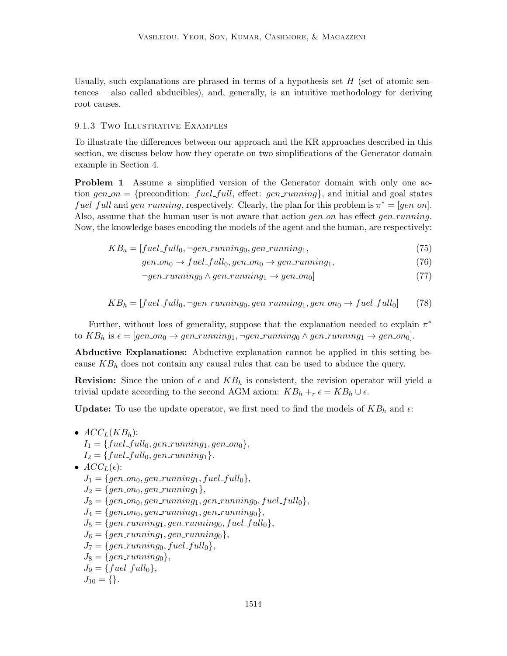Usually, such explanations are phrased in terms of a hypothesis set  $H$  (set of atomic sentences – also called abducibles), and, generally, is an intuitive methodology for deriving root causes.

#### 9.1.3 Two Illustrative Examples

To illustrate the differences between our approach and the KR approaches described in this section, we discuss below how they operate on two simplifications of the Generator domain example in Section 4.

**Problem 1** Assume a simplified version of the Generator domain with only one action gen on  $=$  {precondition: fuel full, effect: gen running}, and initial and goal states fuel\_full and gen\_running, respectively. Clearly, the plan for this problem is  $\pi^* = [gen\_on]$ . Also, assume that the human user is not aware that action  $gen\_on$  has effect  $gen\_running$ . Now, the knowledge bases encoding the models of the agent and the human, are respectively:

$$
KB_a = [fuel\_full_0, \neg gen\_running_0, gen\_running_1, \tag{75}
$$

$$
gen\_on_0 \to fuel\_full_0, gen\_on_0 \to gen\_running_1,\tag{76}
$$

$$
\neg gen\_running_0 \land gen\_running_1 \rightarrow gen\_on_0] \tag{77}
$$

$$
KB_h = [fuel\_full_0, \neg gen\_running_0, gen\_running_1, gen\_on_0 \rightarrow fuel\_full_0] \tag{78}
$$

Further, without loss of generality, suppose that the explanation needed to explain  $\pi^*$ to  $KB_h$  is  $\epsilon = [gen\ldots on_0 \rightarrow gen\ldots in_1, \neg gen\ldots in_0 \wedge gen\ldots in_1]$ .

Abductive Explanations: Abductive explanation cannot be applied in this setting because  $KB<sub>h</sub>$  does not contain any causal rules that can be used to abduce the query.

**Revision:** Since the union of  $\epsilon$  and  $KB_h$  is consistent, the revision operator will yield a trivial update according to the second AGM axiom:  $KB_h +_r \epsilon = KB_h \cup \epsilon$ .

**Update:** To use the update operator, we first need to find the models of  $KB_h$  and  $\epsilon$ .

•  $ACC_L(KB_h)$ :  $I_1 = \{fuel\_full_0, gen\_running_1, gen\_on_0\},\$  $I_2 = \{fuel\_full_0, gen\_running_1\}.$ •  $ACC_{L}(\epsilon)$ :  $J_1 = \{gen\_on_0, gen\_running_1, fuel\_full_0\},\$  $J_2 = \{gen\_on_0, gen\_running_1\},\$  $J_3 = \{gen\_on_0, gen\_running_1, gen\_running_0, fuel\_full_0\},\$  $J_4 = \{gen\_on_0, gen\_running_1, gen\_running_0\},\$  $J_5 = \{gen\_running_1, gen\_running_0, fuel\_full_0\},\$  $J_6 = \{gen\_running_1, gen\_running_0\},\$  $J_7 = \{gen\_running_0, fuel\_full_0\},\$  $J_8 = \{gen\_running_0\},\$  $J_9 = \{fuel\_full_0\},\$  $J_{10} = \{\}.$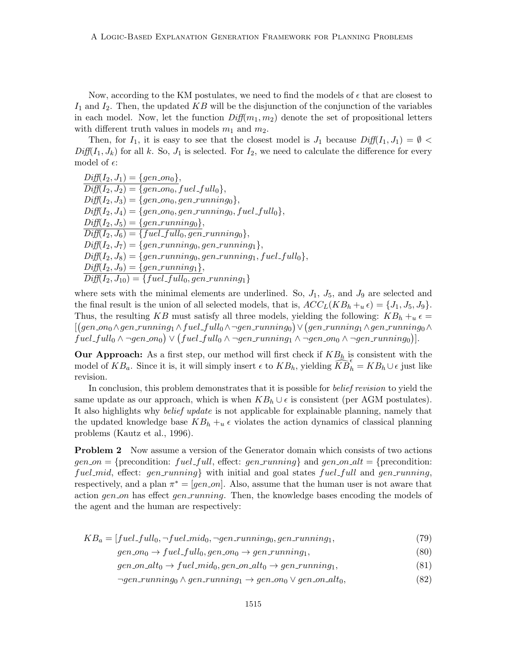Now, according to the KM postulates, we need to find the models of  $\epsilon$  that are closest to  $I_1$  and  $I_2$ . Then, the updated KB will be the disjunction of the conjunction of the variables in each model. Now, let the function  $Diff(m_1, m_2)$  denote the set of propositional letters with different truth values in models  $m_1$  and  $m_2$ .

Then, for  $I_1$ , it is easy to see that the closest model is  $J_1$  because  $Diff(I_1, J_1) = \emptyset$  $Diff(I_1, J_k)$  for all k. So,  $J_1$  is selected. For  $I_2$ , we need to calculate the difference for every model of  $\epsilon$ :

 $Diff(I_2, J_1) = \{gen\_on_0\},\}$  $Diff(I_2, J_2) = \{gen\_on_0, fuel\_full_0\},\$  $Diff(I_2, J_3) = \{gen\_on_0, gen\_running_0\},\$  $Diff(I_2, J_4) = \{gen\_on_0, gen\_running_0, fuel\_full_0\},\$  $Diff(I_2, J_5) = \{gen\_running_0\},\$  $Diff(I_2, J_6) = \{fuel\_full_0, gen\_running_0\},\$  $Diff(I_2, J_7) = \{gen\_running_0, gen\_running_1\},\$  $Diff(I_2, J_8) = \{gen\_running_0, gen\_running_1, fuel\_full_0\},\$  $Diff(I_2, J_9) = \{gen\_running_1\},\$  $Diff(I_2, J_{10}) = \{fuel\_full_0, gen\_running_1\}$ 

where sets with the minimal elements are underlined. So,  $J_1$ ,  $J_5$ , and  $J_9$  are selected and the final result is the union of all selected models, that is,  $ACC_L(KB_h +_{u} \epsilon) = \{J_1, J_5, J_9\}.$ Thus, the resulting KB must satisfy all three models, yielding the following:  $KB_h + u \epsilon =$  $[(gen\_on_0\wedge gen\_running_1\wedge fuel\_full_0\wedge \neg gen\_running_0) \vee (gen\_running_1\wedge gen\_running_0\wedge \neg gen\_running_1\wedge gen\_running_1\wedge gen\_running_1\wedge gen\_running_2\wedge gen\_running_2\wedge gen\_running_3\wedge gen\_running_3\wedge gen\_running_3\wedge gen\_running_3\wedge gen\_running_3\wedge gen\_running_3\wedge gen\_running_3\wedge gen\_running_3\wedge gen\_running_3\wedge gen\_running_3\wedge gen\_running_3\wedge gen\_running_3\wedge gen\_running_3\wedge gen\_running_3\wedge gen\_training_3\wedge gen\_running_3$  $fuel\_full_0 \wedge \neg gen\_on_0) \vee (fuel\_full_0 \wedge \neg gen\_running_1 \wedge \neg gen\_on_0 \wedge \neg gen\_running_0)].$ 

**Our Approach:** As a first step, our method will first check if  $KB<sub>h</sub>$  is consistent with the model of  $KB_a$ . Since it is, it will simply insert  $\epsilon$  to  $KB_h$ , yielding  $\widehat{KB}_h^{\epsilon} = KB_h \cup \epsilon$  just like revision.

In conclusion, this problem demonstrates that it is possible for *belief revision* to yield the same update as our approach, which is when  $KB_h \cup \epsilon$  is consistent (per AGM postulates). It also highlights why belief update is not applicable for explainable planning, namely that the updated knowledge base  $KB_h + u \epsilon$  violates the action dynamics of classical planning problems (Kautz et al., 1996).

**Problem 2** Now assume a version of the Generator domain which consists of two actions  $gen\_on = \{precondition: fuel\_full, effect: gen-running\}$  and  $gen\_on\_alt = \{precondition:$ fuel mid, effect:  $gen\_running$  with initial and goal states fuel full and gen-running, respectively, and a plan  $\pi^* = [gen\_on]$ . Also, assume that the human user is not aware that action gen on has effect gen running. Then, the knowledge bases encoding the models of the agent and the human are respectively:

$$
KB_a = [fuel\_full_0, \neg fuel\_mid_0, \neg gen\_running_0, gen\_running_1, \tag{79}
$$

 $gen_{0} \rightarrow fuel_{\text{full}}_{0}, gen_{\text{on}} \rightarrow gen_{\text{running}}_{1},$  (80)

- $gen\_on\_alt_0 \rightarrow fuel\_mid_0, gen\_on\_alt_0 \rightarrow gen\_running_1,$  (81)
- $\neg gen\_running_0 \wedge gen\_running_1 \rightarrow gen\_on_0 \vee gen\_on\_alt_0,$ (82)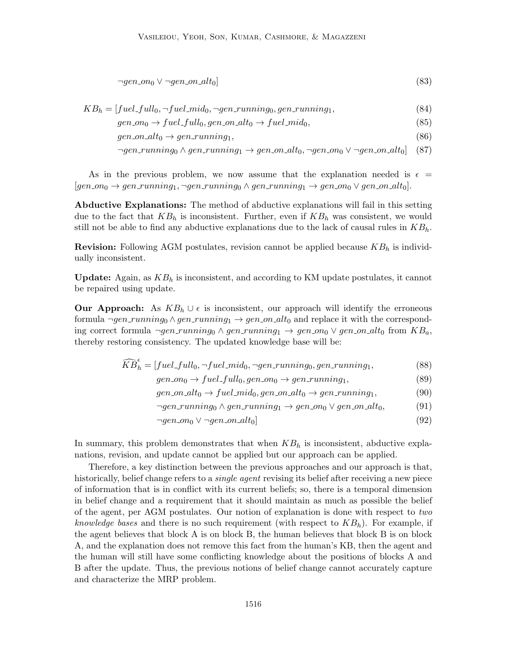$$
\neg gen\_\_0 \lor \neg gen\_\_0\_alt_0] \tag{83}
$$

 $KB_h = [fuel\_full_0, \neg fuel\_mid_0, \neg gen\_running_0, gen\_running_1,$  (84)

$$
gen\_on_0 \to fuel\_full_0, gen\_on\_alt_0 \to fuel\_mid_0,\tag{85}
$$

 $gen\_on\_alt_0 \rightarrow gen\_running_1,$  (86)

$$
\neg gen-running_0 \land gen-running_1 \rightarrow gen\_on\_alt_0, \neg gen\_on_0 \lor \neg gen\_on\_alt_0] \quad (87)
$$

As in the previous problem, we now assume that the explanation needed is  $\epsilon =$  $[gen\_on_0 \rightarrow gen\_running_1, \neg gen\_running_0 \land gen\_running_1 \rightarrow gen\_on_0 \lor gen\_on\_alt_0].$ 

Abductive Explanations: The method of abductive explanations will fail in this setting due to the fact that  $KB_h$  is inconsistent. Further, even if  $KB_h$  was consistent, we would still not be able to find any abductive explanations due to the lack of causal rules in  $KB<sub>h</sub>$ .

**Revision:** Following AGM postulates, revision cannot be applied because  $KB<sub>h</sub>$  is individually inconsistent.

**Update:** Again, as  $KB<sub>h</sub>$  is inconsistent, and according to KM update postulates, it cannot be repaired using update.

**Our Approach:** As  $KB_h \cup \epsilon$  is inconsistent, our approach will identify the erroneous formula  $\neg gen\_running_0 \land gen\_running_1 \rightarrow gen\_on\_alt_0$  and replace it with the corresponding correct formula  $\neg gen\_running_0 \wedge gen\_running_1 \rightarrow gen\_on_0 \vee gen\_on\_alt_0$  from  $KB_a$ , thereby restoring consistency. The updated knowledge base will be:

$$
\widehat{KB}_h^{\epsilon} = [fuel\_full_0, \neg fuel\_mid_0, \neg gen\_running_0, gen\_running_1, \tag{88}
$$

 $gen_{0} \rightarrow fuel_full_{0}, gen_{0} \rightarrow gen_r running_{1},$  (89)

 $gen\_on\_alt_0 \rightarrow fuel\_mid_0, gen\_on\_alt_0 \rightarrow gen\_running_1,$  (90)

$$
\neg gen\_running_0 \land gen\_running_1 \rightarrow gen\_on_0 \lor gen\_on\_alt_0,\tag{91}
$$

$$
\neg gen\_{on} \lor \neg gen\_{on}\_alt_0] \tag{92}
$$

In summary, this problem demonstrates that when  $KB<sub>h</sub>$  is inconsistent, abductive explanations, revision, and update cannot be applied but our approach can be applied.

Therefore, a key distinction between the previous approaches and our approach is that, historically, belief change refers to a single agent revising its belief after receiving a new piece of information that is in conflict with its current beliefs; so, there is a temporal dimension in belief change and a requirement that it should maintain as much as possible the belief of the agent, per AGM postulates. Our notion of explanation is done with respect to two *knowledge bases* and there is no such requirement (with respect to  $KB<sub>h</sub>$ ). For example, if the agent believes that block A is on block B, the human believes that block B is on block A, and the explanation does not remove this fact from the human's KB, then the agent and the human will still have some conflicting knowledge about the positions of blocks A and B after the update. Thus, the previous notions of belief change cannot accurately capture and characterize the MRP problem.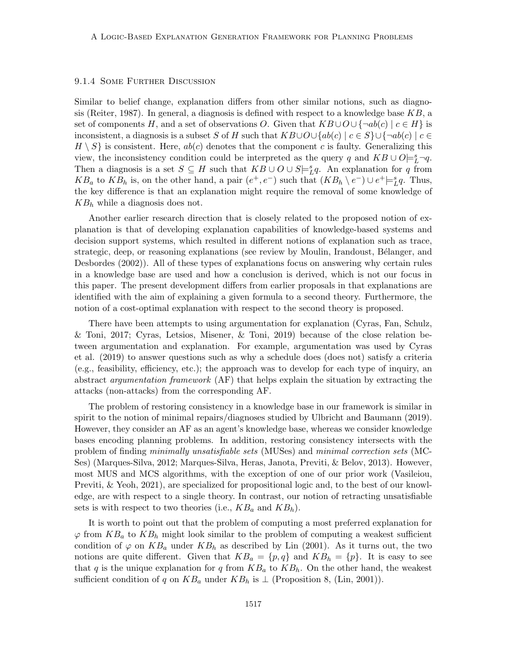#### 9.1.4 Some Further Discussion

Similar to belief change, explanation differs from other similar notions, such as diagnosis (Reiter, 1987). In general, a diagnosis is defined with respect to a knowledge base  $KB$ , a set of components H, and a set of observations O. Given that  $KB \cup O \cup \{\neg ab(c) \mid c \in H\}$  is inconsistent, a diagnosis is a subset S of H such that  $KB\cup O\cup \{ab(c) \mid c \in S\} \cup \{\neg ab(c) \mid c \in$  $H \setminus S$  is consistent. Here,  $ab(c)$  denotes that the component c is faulty. Generalizing this view, the inconsistency condition could be interpreted as the query q and  $KB \cup O \models^s_L \neg q$ . Then a diagnosis is a set  $S \subseteq H$  such that  $KB \cup O \cup S \models_L^s q$ . An explanation for q from KB<sub>a</sub> to KB<sub>h</sub> is, on the other hand, a pair  $(e^+, e^-)$  such that  $(KB_h \setminus e^-) \cup e^+ \models_L^s q$ . Thus, the key difference is that an explanation might require the removal of some knowledge of  $KB<sub>h</sub>$  while a diagnosis does not.

Another earlier research direction that is closely related to the proposed notion of explanation is that of developing explanation capabilities of knowledge-based systems and decision support systems, which resulted in different notions of explanation such as trace, strategic, deep, or reasoning explanations (see review by Moulin, Irandoust, Bélanger, and Desbordes (2002)). All of these types of explanations focus on answering why certain rules in a knowledge base are used and how a conclusion is derived, which is not our focus in this paper. The present development differs from earlier proposals in that explanations are identified with the aim of explaining a given formula to a second theory. Furthermore, the notion of a cost-optimal explanation with respect to the second theory is proposed.

There have been attempts to using argumentation for explanation (Cyras, Fan, Schulz, & Toni, 2017; Cyras, Letsios, Misener, & Toni, 2019) because of the close relation between argumentation and explanation. For example, argumentation was used by Cyras et al. (2019) to answer questions such as why a schedule does (does not) satisfy a criteria (e.g., feasibility, efficiency, etc.); the approach was to develop for each type of inquiry, an abstract argumentation framework (AF) that helps explain the situation by extracting the attacks (non-attacks) from the corresponding AF.

The problem of restoring consistency in a knowledge base in our framework is similar in spirit to the notion of minimal repairs/diagnoses studied by Ulbricht and Baumann (2019). However, they consider an AF as an agent's knowledge base, whereas we consider knowledge bases encoding planning problems. In addition, restoring consistency intersects with the problem of finding minimally unsatisfiable sets (MUSes) and minimal correction sets (MC-Ses) (Marques-Silva, 2012; Marques-Silva, Heras, Janota, Previti, & Belov, 2013). However, most MUS and MCS algorithms, with the exception of one of our prior work (Vasileiou, Previti, & Yeoh, 2021), are specialized for propositional logic and, to the best of our knowledge, are with respect to a single theory. In contrast, our notion of retracting unsatisfiable sets is with respect to two theories (i.e.,  $KB_a$  and  $KB_h$ ).

It is worth to point out that the problem of computing a most preferred explanation for  $\varphi$  from  $KB_a$  to  $KB_b$  might look similar to the problem of computing a weakest sufficient condition of  $\varphi$  on  $KB_a$  under  $KB_h$  as described by Lin (2001). As it turns out, the two notions are quite different. Given that  $KB_a = \{p, q\}$  and  $KB_h = \{p\}$ . It is easy to see that q is the unique explanation for q from  $KB_a$  to  $KB_h$ . On the other hand, the weakest sufficient condition of q on  $KB_a$  under  $KB_h$  is  $\perp$  (Proposition 8, (Lin, 2001)).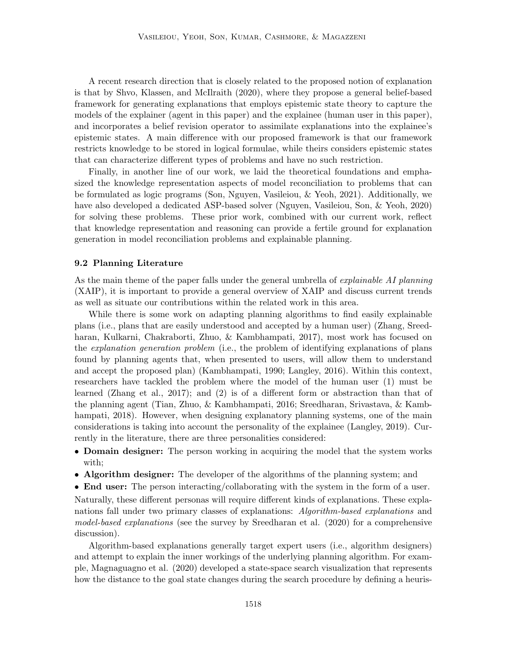A recent research direction that is closely related to the proposed notion of explanation is that by Shvo, Klassen, and McIlraith (2020), where they propose a general belief-based framework for generating explanations that employs epistemic state theory to capture the models of the explainer (agent in this paper) and the explainee (human user in this paper), and incorporates a belief revision operator to assimilate explanations into the explainee's epistemic states. A main difference with our proposed framework is that our framework restricts knowledge to be stored in logical formulae, while theirs considers epistemic states that can characterize different types of problems and have no such restriction.

Finally, in another line of our work, we laid the theoretical foundations and emphasized the knowledge representation aspects of model reconciliation to problems that can be formulated as logic programs (Son, Nguyen, Vasileiou, & Yeoh, 2021). Additionally, we have also developed a dedicated ASP-based solver (Nguyen, Vasileiou, Son, & Yeoh, 2020) for solving these problems. These prior work, combined with our current work, reflect that knowledge representation and reasoning can provide a fertile ground for explanation generation in model reconciliation problems and explainable planning.

#### 9.2 Planning Literature

As the main theme of the paper falls under the general umbrella of *explainable AI planning* (XAIP), it is important to provide a general overview of XAIP and discuss current trends as well as situate our contributions within the related work in this area.

While there is some work on adapting planning algorithms to find easily explainable plans (i.e., plans that are easily understood and accepted by a human user) (Zhang, Sreedharan, Kulkarni, Chakraborti, Zhuo, & Kambhampati, 2017), most work has focused on the explanation generation problem (i.e., the problem of identifying explanations of plans found by planning agents that, when presented to users, will allow them to understand and accept the proposed plan) (Kambhampati, 1990; Langley, 2016). Within this context, researchers have tackled the problem where the model of the human user (1) must be learned (Zhang et al., 2017); and (2) is of a different form or abstraction than that of the planning agent (Tian, Zhuo, & Kambhampati, 2016; Sreedharan, Srivastava, & Kambhampati, 2018). However, when designing explanatory planning systems, one of the main considerations is taking into account the personality of the explainee (Langley, 2019). Currently in the literature, there are three personalities considered:

- Domain designer: The person working in acquiring the model that the system works with;
- Algorithm designer: The developer of the algorithms of the planning system; and
- End user: The person interacting/collaborating with the system in the form of a user.

Naturally, these different personas will require different kinds of explanations. These explanations fall under two primary classes of explanations: Algorithm-based explanations and model-based explanations (see the survey by Sreedharan et al. (2020) for a comprehensive discussion).

Algorithm-based explanations generally target expert users (i.e., algorithm designers) and attempt to explain the inner workings of the underlying planning algorithm. For example, Magnaguagno et al. (2020) developed a state-space search visualization that represents how the distance to the goal state changes during the search procedure by defining a heuris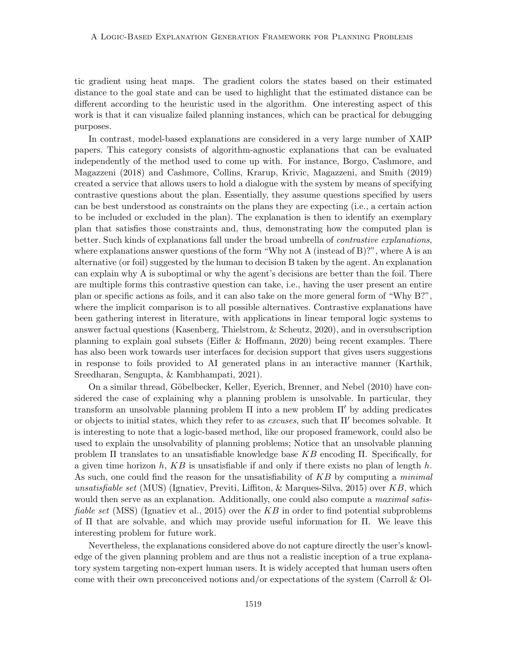tic gradient using heat maps. The gradient colors the states based on their estimated distance to the goal state and can be used to highlight that the estimated distance can be different according to the heuristic used in the algorithm. One interesting aspect of this work is that it can visualize failed planning instances, which can be practical for debugging purposes.

In contrast, model-based explanations are considered in a very large number of XAIP papers. This category consists of algorithm-agnostic explanations that can be evaluated independently of the method used to come up with. For instance, Borgo, Cashmore, and Magazzeni (2018) and Cashmore, Collins, Krarup, Krivic, Magazzeni, and Smith (2019) created a service that allows users to hold a dialogue with the system by means of specifying contrastive questions about the plan. Essentially, they assume questions specified by users can be best understood as constraints on the plans they are expecting (i.e., a certain action to be included or excluded in the plan). The explanation is then to identify an exemplary plan that satisfies those constraints and, thus, demonstrating how the computed plan is better. Such kinds of explanations fall under the broad umbrella of *contrastive explanations*, where explanations answer questions of the form "Why not A (instead of B)?", where A is an alternative (or foil) suggested by the human to decision B taken by the agent. An explanation can explain why A is suboptimal or why the agent's decisions are better than the foil. There are multiple forms this contrastive question can take, i.e., having the user present an entire plan or specific actions as foils, and it can also take on the more general form of "Why B?", where the implicit comparison is to all possible alternatives. Contrastive explanations have been gathering interest in literature, with applications in linear temporal logic systems to answer factual questions (Kasenberg, Thielstrom, & Scheutz, 2020), and in oversubscription planning to explain goal subsets (Eifler & Hoffmann, 2020) being recent examples. There has also been work towards user interfaces for decision support that gives users suggestions in response to foils provided to AI generated plans in an interactive manner (Karthik, Sreedharan, Sengupta, & Kambhampati, 2021).

On a similar thread, Göbelbecker, Keller, Eyerich, Brenner, and Nebel (2010) have considered the case of explaining why a planning problem is unsolvable. In particular, they transform an unsolvable planning problem  $\Pi$  into a new problem  $\Pi'$  by adding predicates or objects to initial states, which they refer to as *excuses*, such that  $\Pi'$  becomes solvable. It is interesting to note that a logic-based method, like our proposed framework, could also be used to explain the unsolvability of planning problems; Notice that an unsolvable planning problem  $\Pi$  translates to an unsatisfiable knowledge base  $KB$  encoding  $\Pi$ . Specifically, for a given time horizon h,  $KB$  is unsatisfiable if and only if there exists no plan of length h. As such, one could find the reason for the unsatisfiability of KB by computing a minimal unsatisfiable set (MUS) (Ignatiev, Previti, Liffiton, & Marques-Silva, 2015) over  $KB$ , which would then serve as an explanation. Additionally, one could also compute a *maximal satisfiable set* (MSS) (Ignatiev et al., 2015) over the  $KB$  in order to find potential subproblems of Π that are solvable, and which may provide useful information for Π. We leave this interesting problem for future work.

Nevertheless, the explanations considered above do not capture directly the user's knowledge of the given planning problem and are thus not a realistic inception of a true explanatory system targeting non-expert human users. It is widely accepted that human users often come with their own preconceived notions and/or expectations of the system (Carroll  $\&$  Ol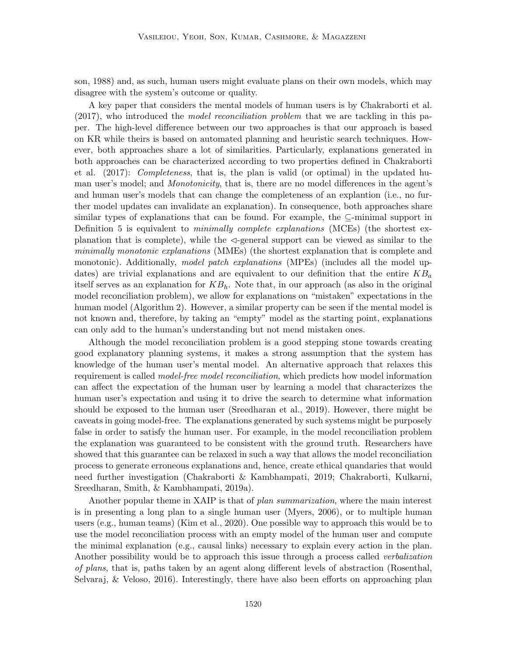son, 1988) and, as such, human users might evaluate plans on their own models, which may disagree with the system's outcome or quality.

A key paper that considers the mental models of human users is by Chakraborti et al.  $(2017)$ , who introduced the *model reconciliation problem* that we are tackling in this paper. The high-level difference between our two approaches is that our approach is based on KR while theirs is based on automated planning and heuristic search techniques. However, both approaches share a lot of similarities. Particularly, explanations generated in both approaches can be characterized according to two properties defined in Chakraborti et al. (2017): Completeness, that is, the plan is valid (or optimal) in the updated human user's model; and *Monotonicity*, that is, there are no model differences in the agent's and human user's models that can change the completeness of an explantion (i.e., no further model updates can invalidate an explanation). In consequence, both approaches share similar types of explanations that can be found. For example, the  $\subseteq$ -minimal support in Definition 5 is equivalent to *minimally complete explanations* (MCEs) (the shortest explanation that is complete), while the  $\triangleleft$ -general support can be viewed as similar to the minimally monotonic explanations (MMEs) (the shortest explanation that is complete and monotonic). Additionally, model patch explanations (MPEs) (includes all the model updates) are trivial explanations and are equivalent to our definition that the entire  $KB_a$ itself serves as an explanation for  $KB_h$ . Note that, in our approach (as also in the original model reconciliation problem), we allow for explanations on "mistaken" expectations in the human model (Algorithm 2). However, a similar property can be seen if the mental model is not known and, therefore, by taking an "empty" model as the starting point, explanations can only add to the human's understanding but not mend mistaken ones.

Although the model reconciliation problem is a good stepping stone towards creating good explanatory planning systems, it makes a strong assumption that the system has knowledge of the human user's mental model. An alternative approach that relaxes this requirement is called *model-free model reconciliation*, which predicts how model information can affect the expectation of the human user by learning a model that characterizes the human user's expectation and using it to drive the search to determine what information should be exposed to the human user (Sreedharan et al., 2019). However, there might be caveats in going model-free. The explanations generated by such systems might be purposely false in order to satisfy the human user. For example, in the model reconciliation problem the explanation was guaranteed to be consistent with the ground truth. Researchers have showed that this guarantee can be relaxed in such a way that allows the model reconciliation process to generate erroneous explanations and, hence, create ethical quandaries that would need further investigation (Chakraborti & Kambhampati, 2019; Chakraborti, Kulkarni, Sreedharan, Smith, & Kambhampati, 2019a).

Another popular theme in XAIP is that of plan summarization, where the main interest is in presenting a long plan to a single human user (Myers, 2006), or to multiple human users (e.g., human teams) (Kim et al., 2020). One possible way to approach this would be to use the model reconciliation process with an empty model of the human user and compute the minimal explanation (e.g., causal links) necessary to explain every action in the plan. Another possibility would be to approach this issue through a process called verbalization of plans, that is, paths taken by an agent along different levels of abstraction (Rosenthal, Selvaraj, & Veloso, 2016). Interestingly, there have also been efforts on approaching plan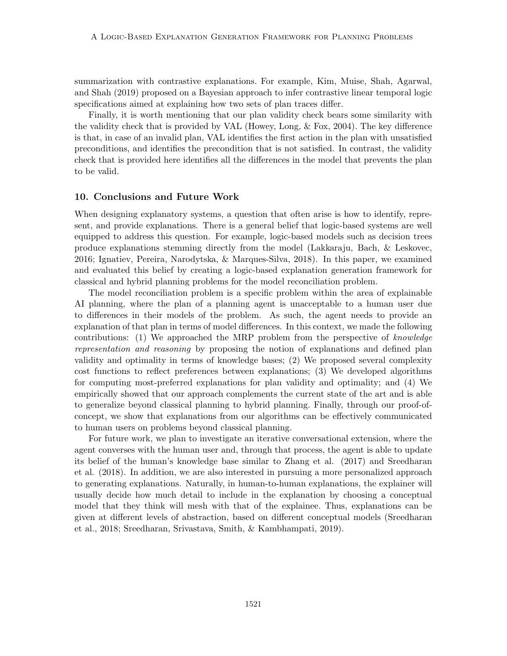summarization with contrastive explanations. For example, Kim, Muise, Shah, Agarwal, and Shah (2019) proposed on a Bayesian approach to infer contrastive linear temporal logic specifications aimed at explaining how two sets of plan traces differ.

Finally, it is worth mentioning that our plan validity check bears some similarity with the validity check that is provided by VAL (Howey, Long, & Fox, 2004). The key difference is that, in case of an invalid plan, VAL identifies the first action in the plan with unsatisfied preconditions, and identifies the precondition that is not satisfied. In contrast, the validity check that is provided here identifies all the differences in the model that prevents the plan to be valid.

#### 10. Conclusions and Future Work

When designing explanatory systems, a question that often arise is how to identify, represent, and provide explanations. There is a general belief that logic-based systems are well equipped to address this question. For example, logic-based models such as decision trees produce explanations stemming directly from the model (Lakkaraju, Bach, & Leskovec, 2016; Ignatiev, Pereira, Narodytska, & Marques-Silva, 2018). In this paper, we examined and evaluated this belief by creating a logic-based explanation generation framework for classical and hybrid planning problems for the model reconciliation problem.

The model reconciliation problem is a specific problem within the area of explainable AI planning, where the plan of a planning agent is unacceptable to a human user due to differences in their models of the problem. As such, the agent needs to provide an explanation of that plan in terms of model differences. In this context, we made the following contributions: (1) We approached the MRP problem from the perspective of knowledge representation and reasoning by proposing the notion of explanations and defined plan validity and optimality in terms of knowledge bases; (2) We proposed several complexity cost functions to reflect preferences between explanations; (3) We developed algorithms for computing most-preferred explanations for plan validity and optimality; and (4) We empirically showed that our approach complements the current state of the art and is able to generalize beyond classical planning to hybrid planning. Finally, through our proof-ofconcept, we show that explanations from our algorithms can be effectively communicated to human users on problems beyond classical planning.

For future work, we plan to investigate an iterative conversational extension, where the agent converses with the human user and, through that process, the agent is able to update its belief of the human's knowledge base similar to Zhang et al. (2017) and Sreedharan et al. (2018). In addition, we are also interested in pursuing a more personalized approach to generating explanations. Naturally, in human-to-human explanations, the explainer will usually decide how much detail to include in the explanation by choosing a conceptual model that they think will mesh with that of the explainee. Thus, explanations can be given at different levels of abstraction, based on different conceptual models (Sreedharan et al., 2018; Sreedharan, Srivastava, Smith, & Kambhampati, 2019).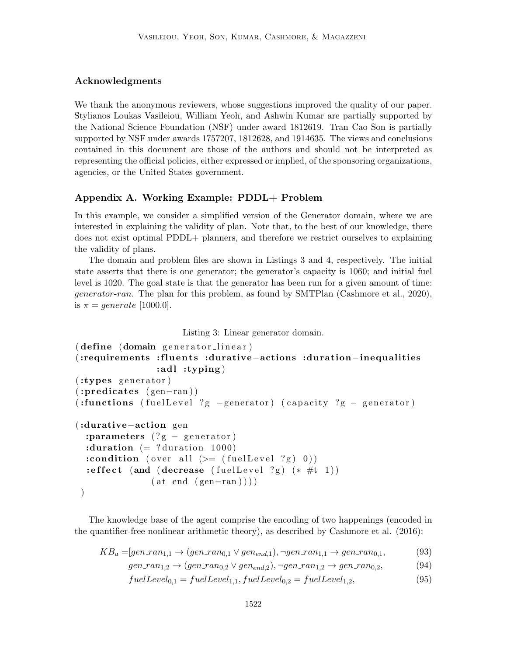## Acknowledgments

We thank the anonymous reviewers, whose suggestions improved the quality of our paper. Stylianos Loukas Vasileiou, William Yeoh, and Ashwin Kumar are partially supported by the National Science Foundation (NSF) under award 1812619. Tran Cao Son is partially supported by NSF under awards 1757207, 1812628, and 1914635. The views and conclusions contained in this document are those of the authors and should not be interpreted as representing the official policies, either expressed or implied, of the sponsoring organizations, agencies, or the United States government.

## Appendix A. Working Example: PDDL+ Problem

In this example, we consider a simplified version of the Generator domain, where we are interested in explaining the validity of plan. Note that, to the best of our knowledge, there does not exist optimal PDDL+ planners, and therefore we restrict ourselves to explaining the validity of plans.

The domain and problem files are shown in Listings 3 and 4, respectively. The initial state asserts that there is one generator; the generator's capacity is 1060; and initial fuel level is 1020. The goal state is that the generator has been run for a given amount of time: generator-ran. The plan for this problem, as found by SMTPlan (Cashmore et al., 2020), is  $\pi = generate$  [1000.0].

## Listing 3: Linear generator domain.

```
( define ( domain generator_linear )
(:requirements :fluents :durative−actions :duration−inequalities
                 : <b>ad</b> <b>l</b>: <b>typing</b>(:types generator)
(i:predicates (gen-ran))(:functions ( fuel Level ?g -generator) ( capacity ?g - generator)
(:durative−action gen
  : parameters (?g – generator)
  : duration (= ? duration 1000)
  :condition ( over all (>= ( fuel Level ?g ) 0))
  : effect (and ( decrease ( fuel Level ?g) (* #t 1))
                (\text{at end } (\text{gen-ran}))))
```
The knowledge base of the agent comprise the encoding of two happenings (encoded in the quantifier-free nonlinear arithmetic theory), as described by Cashmore et al. (2016):

$$
KB_a = [gen\_ran_{1,1} \rightarrow (gen\_ran_{0,1} \vee gen_{end,1}), \neg gen\_ran_{1,1} \rightarrow gen\_ran_{0,1},
$$
 (93)

$$
gen\_ran_{1,2} \rightarrow (gen\_ran_{0,2} \vee gen_{end,2}), \neg gen\_ran_{1,2} \rightarrow gen\_ran_{0,2},
$$
\n
$$
(94)
$$

$$
fuelLevel0,1 = fuelLevel1,1, fuelLevel0,2 = fuelLevel1,2, \t(95)
$$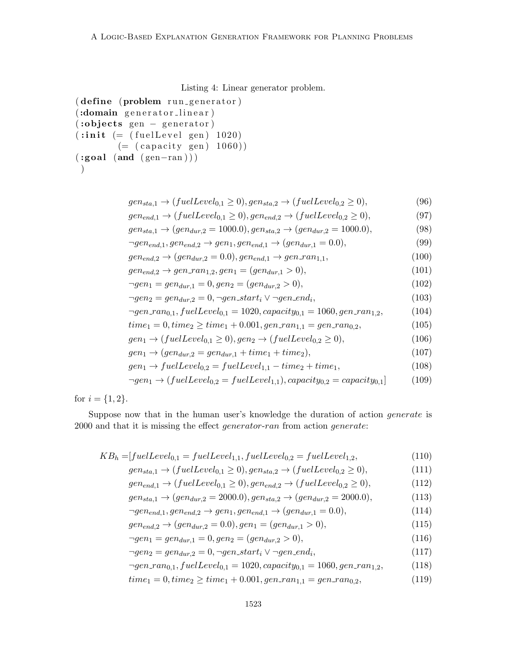Listing 4: Linear generator problem.

```
( define (problem run-generator)
(:domain generator_linear)
(iobjects gen - generator)(iinit (= (fuelLevel gen) 1020)( (capacity gen) 1060))
(\text{is) (and } (\text{gen-ran} ) )\left( \right)
```

```
gen_{sta,1} \rightarrow (fuelLevel_{0,1} \geq 0), gen_{sta,2} \rightarrow (fuelLevel_{0,2} \geq 0), (96)
```

$$
gen_{end,1} \rightarrow (fuelLevel_{0,1} \ge 0), gen_{end,2} \rightarrow (fuelLevel_{0,2} \ge 0),
$$
\n
$$
gen_{end,2} \rightarrow (see (97)
$$
\n
$$
1000.0) \quad (98)
$$
\n(99)

$$
gen_{sta,1} \rightarrow (gen_{dur,2} = 1000.0), gen_{sta,2} \rightarrow (gen_{dur,2} = 1000.0),
$$
\n(98)

$$
\neg gen_{end,1}, gen_{end,2} \to gen_{1}, gen_{end,1} \to (gen_{dur,1} = 0.0),
$$
\n
$$
gen_{u,2} \to (gen_{u,2} - 0.0) \text{ or } 0.2 \to (gen_{u,1} - 0.0) \text{ or } 0.2 \to (100)
$$
\n(99)

$$
gen_{end,2} \to (gen_{dur,2} = 0.0), gen_{end,1} \to gen\_ran_{1,1},
$$
\n(100)

$$
gen_{end,2} \rightarrow gen\_ran_{1,2}, gen_1 = (gen_{dur,1} > 0),
$$
  
\n
$$
\neg gen_1 = gen_{dur,1} = 0, gen_2 = (gen_{dur,2} > 0),
$$
\n(101)  
\n(102)

$$
gen_2 = gen_{dur,2} = 0, \neg gen\_start_i \lor \neg gen\_end_i,
$$
\n(103)

$$
\neg gen\_ran_{0,1}, fuelLevel_{0,1} = 1020, capacity_{0,1} = 1060, gen\_ran_{1,2},
$$
\n(104)

$$
time_1 = 0, time_2 \ge time_1 + 0.001, gen\_ran_{1,1} = gen\_ran_{0,2},
$$
\n(105)

$$
gen_1 \rightarrow (fuelLevel_{0,1} \ge 0), gen_2 \rightarrow (fuelLevel_{0,2} \ge 0),
$$
\n
$$
(106)
$$

$$
gen_1 \rightarrow (gen_{dur,2} = gen_{dur,1} + time_1 + time_2),
$$
\n
$$
(107)
$$

$$
gen_1 \rightarrow fuelLevel_{0,2} = fuelLevel_{1,1} - time_2 + time_1,
$$
\n
$$
(108)
$$

$$
\neg gen_1 \to (fuelLevel_{0,2} = fuelLevel_{1,1}), capacity_{0,2} = capacity_{0,1}] \tag{109}
$$

for  $i = \{1, 2\}.$ 

Suppose now that in the human user's knowledge the duration of action generate is 2000 and that it is missing the effect *generator-ran* from action *generate*:

$$
KB_h = [fuelLevel_{0,1} = fuelLevel_{1,1}, fuelLevel_{0,2} = fuelLevel_{1,2},
$$
\n(110)

$$
gen_{sta,1} \rightarrow (fuelLevel_{0,1} \ge 0), gen_{sta,2} \rightarrow (fuelLevel_{0,2} \ge 0),
$$
\n
$$
(111)
$$

$$
gen_{end,1} \rightarrow (fuelLevel_{0,1} \ge 0), gen_{end,2} \rightarrow (fuelLevel_{0,2} \ge 0),
$$
\n(112)

$$
gen_{sta,1} \rightarrow (gen_{dur,2} = 2000.0), gen_{sta,2} \rightarrow (gen_{dur,2} = 2000.0),
$$
\n(113)

$$
\neg gen_{end,1}, gen_{end,2} \rightarrow gen_1, gen_{end,1} \rightarrow (gen_{dur,1} = 0.0),
$$
\n(114)

$$
gen_{end,2} \rightarrow (gen_{dur,2} = 0.0), gen_1 = (gen_{dur,1} > 0),
$$
\n(115)

$$
\neg gen_1 = gen_{dur,1} = 0, gen_2 = (gen_{dur,2} > 0),\tag{116}
$$

$$
\neg gen_2 = gen_{dur,2} = 0, \neg gen\_start_i \lor \neg gen\_end_i,
$$
\n(117)

- $\neg gen\_ran_{0,1}, fuelLevel_{0,1} = 1020, capacity_{0,1} = 1060, gen\_ran_{1,2},$ (118)
- $time_1 = 0, time_2 \ge time_1 + 0.001, gen\_ran_{1,1} = gen\_ran_{0,2},$  (119)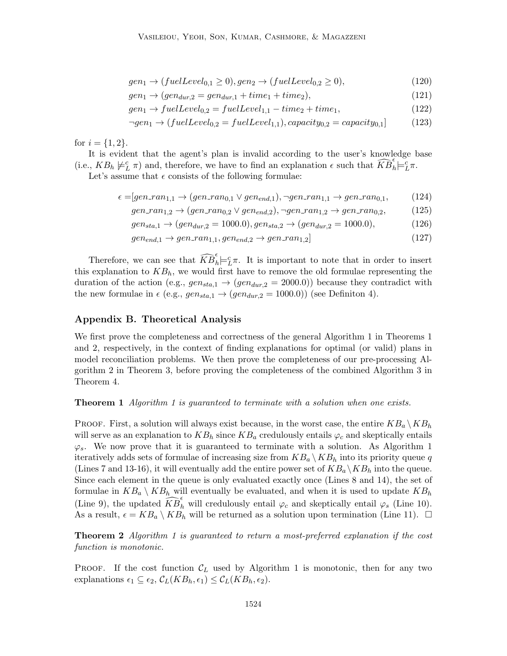$$
gen_1 \rightarrow (fuelLevel_{0,1} \ge 0), gen_2 \rightarrow (fuelLevel_{0,2} \ge 0),
$$
\n
$$
(120)
$$

$$
gen_1 \rightarrow (gen_{dur,2} = gen_{dur,1} + time_1 + time_2), \tag{121}
$$

$$
gen_1 \rightarrow fuelLevel_{0,2} = fuelLevel_{1,1} - time_2 + time_1,
$$
\n
$$
(122)
$$

$$
\neg gen_1 \to (fuelLevel_{0,2} = fuelLevel_{1,1}), capacity_{0,2} = capacity_{0,1}] \tag{123}
$$

for  $i = \{1, 2\}.$ 

It is evident that the agent's plan is invalid according to the user's knowledge base (i.e.,  $KB_h \not\models^c_L \pi$ ) and, therefore, we have to find an explanation  $\epsilon$  such that  $\widehat{KB}_h^{\epsilon} \models^c_L \pi$ .

Let's assume that  $\epsilon$  consists of the following formulae:

$$
\epsilon = [gen\_ran_{1,1} \rightarrow (gen\_ran_{0,1} \vee gen_{end,1}), \neg gen\_ran_{1,1} \rightarrow gen\_ran_{0,1}, \qquad (124)
$$

$$
gen\_ran_{1,2} \to (gen\_ran_{0,2} \lor gen_{end,2}), \neg gen\_ran_{1,2} \to gen\_ran_{0,2},
$$
 (125)

$$
gen_{sta,1} \rightarrow (gen_{dur,2} = 1000.0), gen_{sta,2} \rightarrow (gen_{dur,2} = 1000.0),
$$
 (126)

$$
gen_{end,1} \rightarrow gen\_ran_{1,1}, gen_{end,2} \rightarrow gen\_ran_{1,2} \tag{127}
$$

Therefore, we can see that  $\widehat{KB}_h^{\epsilon} \models^c_L \pi$ . It is important to note that in order to insert this explanation to  $KB_h$ , we would first have to remove the old formulae representing the duration of the action (e.g.,  $gen_{sta,1} \rightarrow (gen_{dur,2} = 2000.0)$ ) because they contradict with the new formulae in  $\epsilon$  (e.g.,  $gen_{sta,1} \rightarrow (gen_{dur,2} = 1000.0)$ ) (see Definiton 4).

## Appendix B. Theoretical Analysis

We first prove the completeness and correctness of the general Algorithm 1 in Theorems 1 and 2, respectively, in the context of finding explanations for optimal (or valid) plans in model reconciliation problems. We then prove the completeness of our pre-processing Algorithm 2 in Theorem 3, before proving the completeness of the combined Algorithm 3 in Theorem 4.

#### **Theorem 1** Algorithm 1 is guaranteed to terminate with a solution when one exists.

**PROOF.** First, a solution will always exist because, in the worst case, the entire  $KB_a \, \setminus KB_h$ will serve as an explanation to  $KB_h$  since  $KB_a$  credulously entails  $\varphi_c$  and skeptically entails  $\varphi_s$ . We now prove that it is guaranteed to terminate with a solution. As Algorithm 1 iteratively adds sets of formulae of increasing size from  $KB_a \setminus KB_h$  into its priority queue q (Lines 7 and 13-16), it will eventually add the entire power set of  $KB_a \backslash KB_h$  into the queue. Since each element in the queue is only evaluated exactly once (Lines 8 and 14), the set of formulae in  $KB_a \setminus KB_h$  will eventually be evaluated, and when it is used to update  $KB_h$ (Line 9), the updated  $\widehat{KB}_h^{\epsilon}$  will credulously entail  $\varphi_c$  and skeptically entail  $\varphi_s$  (Line 10). As a result,  $\epsilon = KB_a \setminus KB_h$  will be returned as a solution upon termination (Line 11).  $\Box$ 

Theorem 2 Algorithm 1 is guaranteed to return a most-preferred explanation if the cost function is monotonic.

**PROOF.** If the cost function  $\mathcal{C}_L$  used by Algorithm 1 is monotonic, then for any two explanations  $\epsilon_1 \subseteq \epsilon_2$ ,  $\mathcal{C}_L(KB_h, \epsilon_1) \leq \mathcal{C}_L(KB_h, \epsilon_2)$ .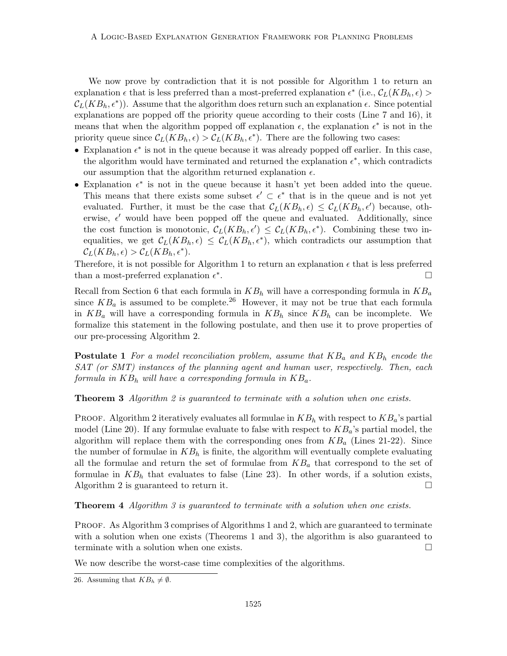We now prove by contradiction that it is not possible for Algorithm 1 to return an explanation  $\epsilon$  that is less preferred than a most-preferred explanation  $\epsilon^*$  (i.e.,  $\mathcal{C}_L(KB_h, \epsilon)$ )  $\mathcal{C}_L(KB_h, \epsilon^*)$ ). Assume that the algorithm does return such an explanation  $\epsilon$ . Since potential explanations are popped off the priority queue according to their costs (Line 7 and 16), it means that when the algorithm popped off explanation  $\epsilon$ , the explanation  $\epsilon^*$  is not in the priority queue since  $\mathcal{C}_L(KB_h, \epsilon) > \mathcal{C}_L(KB_h, \epsilon^*)$ . There are the following two cases:

- Explanation  $\epsilon^*$  is not in the queue because it was already popped off earlier. In this case, the algorithm would have terminated and returned the explanation  $\epsilon^*$ , which contradicts our assumption that the algorithm returned explanation  $\epsilon$ .
- Explanation  $\epsilon^*$  is not in the queue because it hasn't yet been added into the queue. This means that there exists some subset  $\epsilon' \subset \epsilon^*$  that is in the queue and is not yet evaluated. Further, it must be the case that  $\mathcal{C}_L(KB_h, \epsilon) \leq \mathcal{C}_L(KB_h, \epsilon')$  because, otherwise,  $\epsilon'$  would have been popped off the queue and evaluated. Additionally, since the cost function is monotonic,  $\mathcal{C}_L(KB_h, \epsilon') \leq \mathcal{C}_L(KB_h, \epsilon^*)$ . Combining these two inequalities, we get  $\mathcal{C}_L(KB_h, \epsilon) \leq \mathcal{C}_L(KB_h, \epsilon^*)$ , which contradicts our assumption that  $\mathcal{C}_L(KB_h,\epsilon) > \mathcal{C}_L(KB_h,\epsilon^*).$

Therefore, it is not possible for Algorithm 1 to return an explanation  $\epsilon$  that is less preferred than a most-preferred explanation  $\epsilon^*$ . В последните поставите на селото на селото на селото на селото на селото на селото на селото на селото на се<br>Селото на селото на селото на селото на селото на селото на селото на селото на селото на селото на селото на

Recall from Section 6 that each formula in  $KB_h$  will have a corresponding formula in  $KB_a$ since  $KB_a$  is assumed to be complete.<sup>26</sup> However, it may not be true that each formula in  $KB_a$  will have a corresponding formula in  $KB_h$  since  $KB_h$  can be incomplete. We formalize this statement in the following postulate, and then use it to prove properties of our pre-processing Algorithm 2.

**Postulate 1** For a model reconciliation problem, assume that  $KB_a$  and  $KB_b$  encode the SAT (or SMT) instances of the planning agent and human user, respectively. Then, each formula in  $KB_h$  will have a corresponding formula in  $KB_a$ .

**Theorem 3** Algorithm 2 is guaranteed to terminate with a solution when one exists.

PROOF. Algorithm 2 iteratively evaluates all formulae in  $KB_h$  with respect to  $KB_a$ 's partial model (Line 20). If any formulae evaluate to false with respect to  $KB_a$ 's partial model, the algorithm will replace them with the corresponding ones from  $KB<sub>a</sub>$  (Lines 21-22). Since the number of formulae in  $KB<sub>h</sub>$  is finite, the algorithm will eventually complete evaluating all the formulae and return the set of formulae from  $KB<sub>a</sub>$  that correspond to the set of formulae in  $KB<sub>h</sub>$  that evaluates to false (Line 23). In other words, if a solution exists, Algorithm 2 is guaranteed to return it.  $\square$ 

**Theorem 4** Algorithm 3 is guaranteed to terminate with a solution when one exists.

PROOF. As Algorithm 3 comprises of Algorithms 1 and 2, which are guaranteed to terminate with a solution when one exists (Theorems 1 and 3), the algorithm is also guaranteed to terminate with a solution when one exists.  $\Box$ 

We now describe the worst-case time complexities of the algorithms.

<sup>26.</sup> Assuming that  $KB_h \neq \emptyset$ .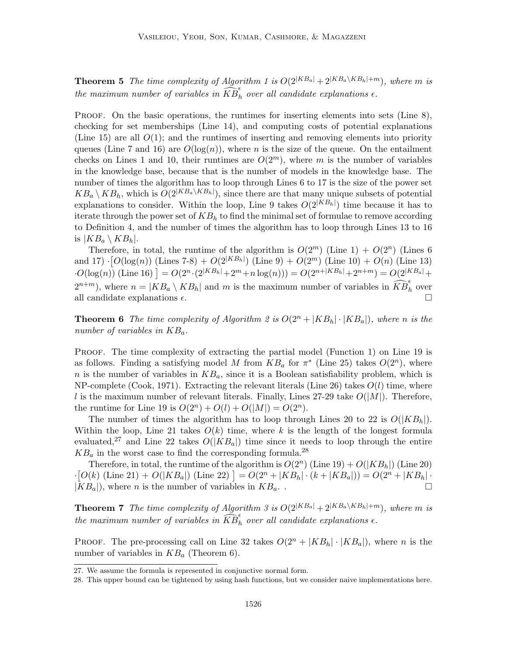**Theorem 5** The time complexity of Algorithm 1 is  $O(2^{|KB_a|} + 2^{|KB_a \setminus KB_h| + m})$ , where m is the maximum number of variables in  $\widehat{KB}_h^{\epsilon}$  over all candidate explanations  $\epsilon$ .

PROOF. On the basic operations, the runtimes for inserting elements into sets (Line 8), checking for set memberships (Line 14), and computing costs of potential explanations (Line 15) are all  $O(1)$ ; and the runtimes of inserting and removing elements into priority queues (Line 7 and 16) are  $O(\log(n))$ , where n is the size of the queue. On the entailment checks on Lines 1 and 10, their runtimes are  $O(2^m)$ , where m is the number of variables in the knowledge base, because that is the number of models in the knowledge base. The number of times the algorithm has to loop through Lines 6 to 17 is the size of the power set  $KB_a \setminus KB_h$ , which is  $O(2^{|KB_a \setminus KB_h|})$ , since there are that many unique subsets of potential explanations to consider. Within the loop, Line 9 takes  $O(2^{|KB_h|})$  time because it has to iterate through the power set of  $KB_h$  to find the minimal set of formulae to remove according to Definition 4, and the number of times the algorithm has to loop through Lines 13 to 16 is  $|KB_a \setminus KB_h|$ .

Therefore, in total, the runtime of the algorithm is  $O(2^m)$  (Line 1) +  $O(2^n)$  (Lines 6) and 17)  $\cdot [O(\log(n))$  (Lines 7-8) +  $O(2^{|KB_h|})$  (Line 9) +  $O(2^m)$  (Line 10) +  $O(n)$  (Line 13)  $\cdot O(\log(n))$  (Line 16)  $] = O(2^n \cdot (2^{|KB_h|} + 2^m + n \log(n))) = O(2^{n+|KB_h|} + 2^{n+m}) = O(2^{|KB_h|} +$  $(2^{n+m})$ , where  $n = |KB_a \setminus KB_h|$  and m is the maximum number of variables in  $\widehat{KB}_h^{\epsilon}$  over all candidate explanations  $\epsilon$ .

**Theorem 6** The time complexity of Algorithm 2 is  $O(2^n + |KB_h| \cdot |KB_a|)$ , where n is the number of variables in  $KB_a$ .

PROOF. The time complexity of extracting the partial model (Function 1) on Line 19 is as follows. Finding a satisfying model M from  $KB_a$  for  $\pi^*$  (Line 25) takes  $O(2^n)$ , where n is the number of variables in  $KB_a$ , since it is a Boolean satisfiability problem, which is NP-complete (Cook, 1971). Extracting the relevant literals (Line 26) takes  $O(l)$  time, where l is the maximum number of relevant literals. Finally, Lines 27-29 take  $O(|M|)$ . Therefore, the runtime for Line 19 is  $O(2^n) + O(l) + O(|M|) = O(2^n)$ .

The number of times the algorithm has to loop through Lines 20 to 22 is  $O(|KB_h|)$ . Within the loop, Line 21 takes  $O(k)$  time, where k is the length of the longest formula evaluated,<sup>27</sup> and Line 22 takes  $O(|KB_a|)$  time since it needs to loop through the entire  $KB_a$  in the worst case to find the corresponding formula.<sup>28</sup>

Therefore, in total, the runtime of the algorithm is  $O(2^n)$  (Line 19) +  $O(|KB_h|)$  (Line 20)  $\cdot [O(k) \text{ (Line 21)} + O(|KB_a|) \text{ (Line 22)}] = O(2^n + |KB_h| \cdot (k + |KB_a|)) = O(2^n + |KB_h| \cdot$  $|KB_a|$ , where *n* is the number of variables in  $KB_a$ .

**Theorem 7** The time complexity of Algorithm 3 is  $O(2^{|KB_a|} + 2^{|KB_a \setminus KB_h| + m})$ , where m is the maximum number of variables in  $\widetilde{KB}_h^{\epsilon}$  over all candidate explanations  $\epsilon$ .

PROOF. The pre-processing call on Line 32 takes  $O(2^{n} + |KB_h| \cdot |KB_a|)$ , where *n* is the number of variables in  $KB_a$  (Theorem 6).

<sup>27.</sup> We assume the formula is represented in conjunctive normal form.

<sup>28.</sup> This upper bound can be tightened by using hash functions, but we consider naive implementations here.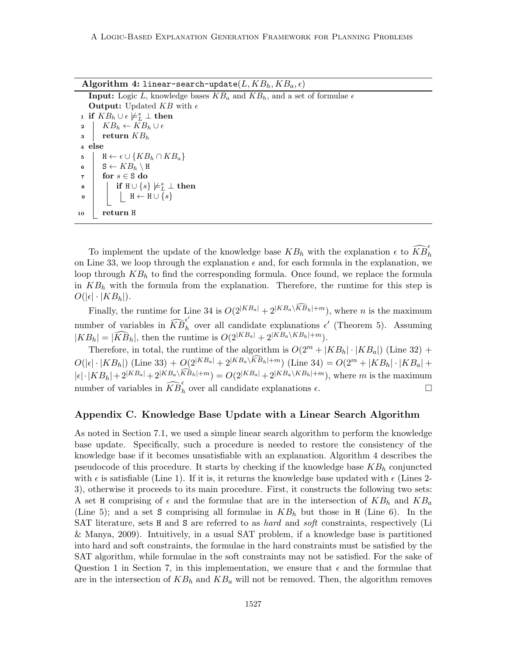Algorithm 4: linear-search-update $(L, KB_h, KB_a, \epsilon)$ 

| <b>Input:</b> Logic L, knowledge bases $KB_a$ and $KB_b$ , and a set of formulae $\epsilon$ |
|---------------------------------------------------------------------------------------------|
| <b>Output:</b> Updated KB with $\epsilon$                                                   |
| <b>1</b> if $KB_h \cup \epsilon \neq^s_L \bot$ then                                         |
| 2   $KB_h \leftarrow KB_h \cup \epsilon$                                                    |
| return $KB_h$<br>$3 \mid$                                                                   |
| 4 else                                                                                      |
| $H \leftarrow \epsilon \cup \{KB_h \cap KB_a\}$<br>5                                        |
| 6   $S \leftarrow KB_h \setminus H$                                                         |
| for $s \in S$ do<br>$\overline{7}$                                                          |
| if $H \cup \{s\} \not\models^s_L \bot$ then<br>8                                            |
| $H \leftarrow H \cup \{s\}$<br>9                                                            |
| return H<br>10                                                                              |

To implement the update of the knowledge base  $KB_h$  with the explanation  $\epsilon$  to  $\widehat{KB}_h^{\epsilon}$ on Line 33, we loop through the explanation  $\epsilon$  and, for each formula in the explanation, we loop through  $KB<sub>h</sub>$  to find the corresponding formula. Once found, we replace the formula in  $KB<sub>h</sub>$  with the formula from the explanation. Therefore, the runtime for this step is  $O(|\epsilon| \cdot |KB_h|).$ 

Finally, the runtime for Line 34 is  $O(2^{|KB_a|} + 2^{|KB_a \setminus \widehat{KB}_h|+m})$ , where *n* is the maximum number of variables in  $\widehat{KB}_h^{\epsilon'}$  over all candidate explanations  $\epsilon'$  (Theorem 5). Assuming  $|KB_h| = |\tilde{KB}_h|$ , then the runtime is  $O(2^{|KB_a|} + 2^{|KB_a \setminus KB_h| + m}).$ 

Therefore, in total, the runtime of the algorithm is  $O(2^m + |KB_h| \cdot |KB_a|)$  (Line 32) +  $O(|\epsilon| \cdot |KB_h|)$  (Line 33) +  $O(2^{|KB_a|} + 2^{|KB_a\setminus \widehat{KB}_h| + m})$  (Line 34) =  $O(2^m + |KB_h| \cdot |KB_a| +$  $|\epsilon| \cdot |KB_h| + 2^{|KB_a|} + 2^{|KB_a \setminus \widehat{KB}_h| + m}) = O(2^{|KB_a|} + 2^{|KB_a \setminus KB_h| + m})$ , where m is the maximum number of variables in  $\widehat{KB}_h^{\epsilon}$  over all candidate explanations  $\epsilon$ .

#### Appendix C. Knowledge Base Update with a Linear Search Algorithm

As noted in Section 7.1, we used a simple linear search algorithm to perform the knowledge base update. Specifically, such a procedure is needed to restore the consistency of the knowledge base if it becomes unsatisfiable with an explanation. Algorithm 4 describes the pseudocode of this procedure. It starts by checking if the knowledge base  $KB<sub>h</sub>$  conjuncted with  $\epsilon$  is satisfiable (Line 1). If it is, it returns the knowledge base updated with  $\epsilon$  (Lines 2-3), otherwise it proceeds to its main procedure. First, it constructs the following two sets: A set H comprising of  $\epsilon$  and the formulae that are in the intersection of  $KB_h$  and  $KB_a$ (Line 5); and a set S comprising all formulae in  $KB<sub>h</sub>$  but those in H (Line 6). In the SAT literature, sets H and S are referred to as hard and soft constraints, respectively (Li & Manya, 2009). Intuitively, in a usual SAT problem, if a knowledge base is partitioned into hard and soft constraints, the formulae in the hard constraints must be satisfied by the SAT algorithm, while formulae in the soft constraints may not be satisfied. For the sake of Question 1 in Section 7, in this implementation, we ensure that  $\epsilon$  and the formulae that are in the intersection of  $KB_h$  and  $KB_a$  will not be removed. Then, the algorithm removes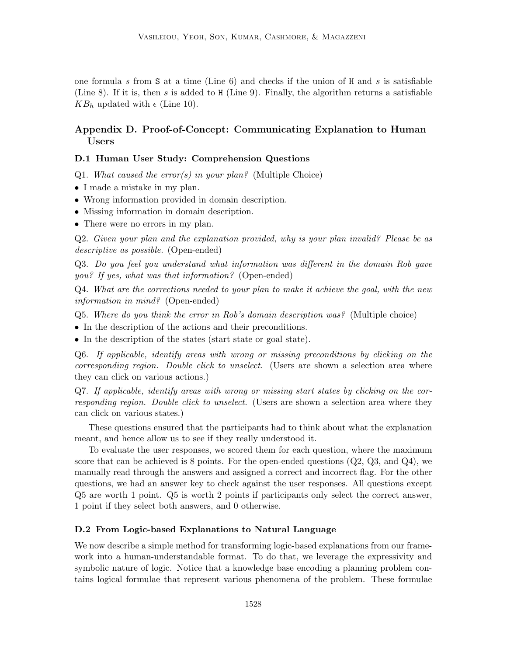one formula s from S at a time (Line 6) and checks if the union of H and s is satisfiable (Line 8). If it is, then s is added to H (Line 9). Finally, the algorithm returns a satisfiable  $KB_h$  updated with  $\epsilon$  (Line 10).

## Appendix D. Proof-of-Concept: Communicating Explanation to Human Users

## D.1 Human User Study: Comprehension Questions

Q1. What caused the error(s) in your plan? (Multiple Choice)

- I made a mistake in my plan.
- Wrong information provided in domain description.
- Missing information in domain description.
- There were no errors in my plan.

Q2. Given your plan and the explanation provided, why is your plan invalid? Please be as descriptive as possible. (Open-ended)

Q3. Do you feel you understand what information was different in the domain Rob gave you? If yes, what was that information? (Open-ended)

Q4. What are the corrections needed to your plan to make it achieve the goal, with the new information in mind? (Open-ended)

- Q5. Where do you think the error in Rob's domain description was? (Multiple choice)
- In the description of the actions and their preconditions.
- In the description of the states (start state or goal state).

Q6. If applicable, identify areas with wrong or missing preconditions by clicking on the corresponding region. Double click to unselect. (Users are shown a selection area where they can click on various actions.)

Q7. If applicable, identify areas with wrong or missing start states by clicking on the corresponding region. Double click to unselect. (Users are shown a selection area where they can click on various states.)

These questions ensured that the participants had to think about what the explanation meant, and hence allow us to see if they really understood it.

To evaluate the user responses, we scored them for each question, where the maximum score that can be achieved is 8 points. For the open-ended questions  $(Q2, Q3, and Q4)$ , we manually read through the answers and assigned a correct and incorrect flag. For the other questions, we had an answer key to check against the user responses. All questions except Q5 are worth 1 point. Q5 is worth 2 points if participants only select the correct answer, 1 point if they select both answers, and 0 otherwise.

#### D.2 From Logic-based Explanations to Natural Language

We now describe a simple method for transforming logic-based explanations from our framework into a human-understandable format. To do that, we leverage the expressivity and symbolic nature of logic. Notice that a knowledge base encoding a planning problem contains logical formulae that represent various phenomena of the problem. These formulae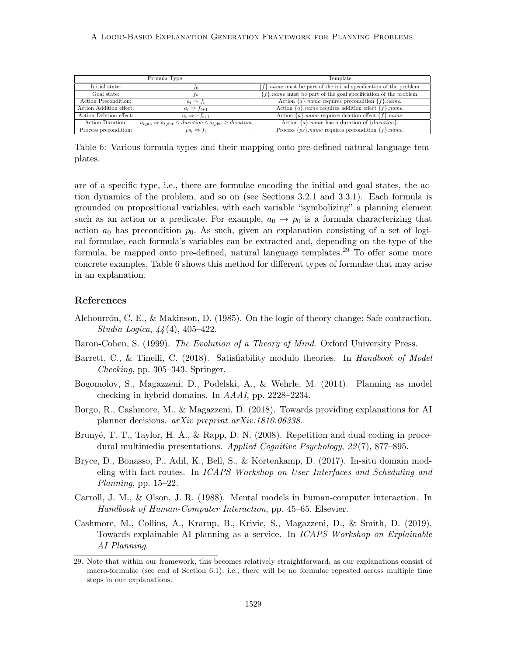#### A Logic-Based Explanation Generation Framework for Planning Problems

|                         | Formula Type                                                                                       | Template                                                                        |
|-------------------------|----------------------------------------------------------------------------------------------------|---------------------------------------------------------------------------------|
| Initial state:          |                                                                                                    | ${f}$ . <i>name</i> must be part of the initial specification of the problem.   |
| Goal state:             | In.                                                                                                | ${f}$ . <i>name</i> must be part of the goal specification of the problem.      |
| Action Precondition:    | $a_t \Rightarrow f_t$                                                                              | Action $\{a\}$ <i>name</i> requires precondition $\{f\}$ <i>name.</i>           |
| Action Addition effect: | $a_t \Rightarrow f_{t+1}$                                                                          | Action $\{a\}$ <i>name</i> requires addition effect $\{f\}$ <i> name.</i>       |
| Action Deletion effect: | $a_t \Rightarrow \neg f_{t+1}$                                                                     | Action $\{a\}$ <i>name</i> requires deletion effect $\{f\}$ <i>name.</i>        |
| Action Duration:        | $a_{t,\text{sta}} \Rightarrow a_{t,\text{dur}} \leq duration \land a_{t,\text{dur}} \geq duration$ | Action $\{a\}$ <i>name</i> has a duration of $\{duration\}$ .                   |
| Process precondition:   | $ps_t \Leftrightarrow f_t$                                                                         | Process $\{ps\}$ <i>name</i> requires precondition $\{f\}$ <i> <i>name</i>.</i> |

Table 6: Various formula types and their mapping onto pre-defined natural language templates.

are of a specific type, i.e., there are formulae encoding the initial and goal states, the action dynamics of the problem, and so on (see Sections 3.2.1 and 3.3.1). Each formula is grounded on propositional variables, with each variable "symbolizing" a planning element such as an action or a predicate. For example,  $a_0 \rightarrow p_0$  is a formula characterizing that action  $a_0$  has precondition  $p_0$ . As such, given an explanation consisting of a set of logical formulae, each formula's variables can be extracted and, depending on the type of the formula, be mapped onto pre-defined, natural language templates.<sup>29</sup> To offer some more concrete examples, Table 6 shows this method for different types of formulae that may arise in an explanation.

## References

- Alchourrón, C. E., & Makinson, D. (1985). On the logic of theory change: Safe contraction. Studia Logica, 44 (4), 405–422.
- Baron-Cohen, S. (1999). The Evolution of a Theory of Mind. Oxford University Press.
- Barrett, C., & Tinelli, C. (2018). Satisfiability modulo theories. In Handbook of Model Checking, pp. 305–343. Springer.
- Bogomolov, S., Magazzeni, D., Podelski, A., & Wehrle, M. (2014). Planning as model checking in hybrid domains. In AAAI, pp. 2228–2234.
- Borgo, R., Cashmore, M., & Magazzeni, D. (2018). Towards providing explanations for AI planner decisions. arXiv preprint arXiv:1810.06338.
- Brunyé, T. T., Taylor, H. A., & Rapp, D. N. (2008). Repetition and dual coding in procedural multimedia presentations. Applied Cognitive Psychology, 22 (7), 877–895.
- Bryce, D., Bonasso, P., Adil, K., Bell, S., & Kortenkamp, D. (2017). In-situ domain modeling with fact routes. In ICAPS Workshop on User Interfaces and Scheduling and Planning, pp. 15–22.
- Carroll, J. M., & Olson, J. R. (1988). Mental models in human-computer interaction. In Handbook of Human-Computer Interaction, pp. 45–65. Elsevier.
- Cashmore, M., Collins, A., Krarup, B., Krivic, S., Magazzeni, D., & Smith, D. (2019). Towards explainable AI planning as a service. In ICAPS Workshop on Explainable AI Planning.

<sup>29.</sup> Note that within our framework, this becomes relatively straightforward, as our explanations consist of macro-formulae (see end of Section 6.1), i.e., there will be no formulae repeated across multiple time steps in our explanations.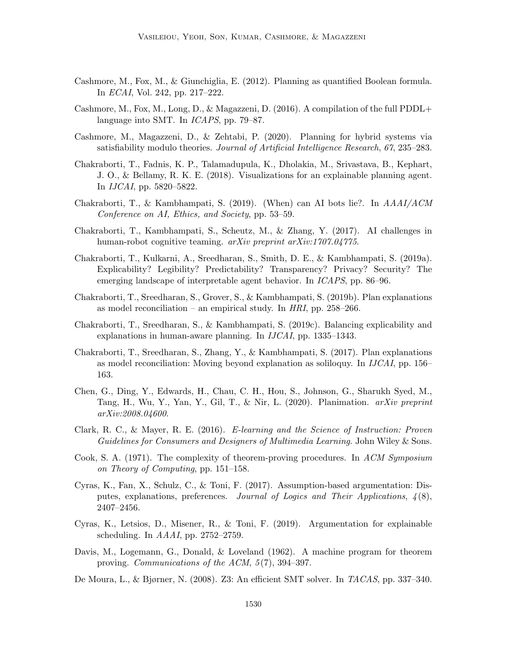- Cashmore, M., Fox, M., & Giunchiglia, E. (2012). Planning as quantified Boolean formula. In ECAI, Vol. 242, pp. 217–222.
- Cashmore, M., Fox, M., Long, D., & Magazzeni, D. (2016). A compilation of the full PDDL+ language into SMT. In ICAPS, pp. 79–87.
- Cashmore, M., Magazzeni, D., & Zehtabi, P. (2020). Planning for hybrid systems via satisfiability modulo theories. Journal of Artificial Intelligence Research, 67, 235–283.
- Chakraborti, T., Fadnis, K. P., Talamadupula, K., Dholakia, M., Srivastava, B., Kephart, J. O., & Bellamy, R. K. E. (2018). Visualizations for an explainable planning agent. In IJCAI, pp. 5820–5822.
- Chakraborti, T., & Kambhampati, S. (2019). (When) can AI bots lie?. In AAAI/ACM Conference on AI, Ethics, and Society, pp. 53–59.
- Chakraborti, T., Kambhampati, S., Scheutz, M., & Zhang, Y. (2017). AI challenges in human-robot cognitive teaming. *arXiv preprint arXiv:1707.04775*.
- Chakraborti, T., Kulkarni, A., Sreedharan, S., Smith, D. E., & Kambhampati, S. (2019a). Explicability? Legibility? Predictability? Transparency? Privacy? Security? The emerging landscape of interpretable agent behavior. In ICAPS, pp. 86–96.
- Chakraborti, T., Sreedharan, S., Grover, S., & Kambhampati, S. (2019b). Plan explanations as model reconciliation – an empirical study. In  $HRI$ , pp. 258–266.
- Chakraborti, T., Sreedharan, S., & Kambhampati, S. (2019c). Balancing explicability and explanations in human-aware planning. In IJCAI, pp. 1335–1343.
- Chakraborti, T., Sreedharan, S., Zhang, Y., & Kambhampati, S. (2017). Plan explanations as model reconciliation: Moving beyond explanation as soliloquy. In IJCAI, pp. 156– 163.
- Chen, G., Ding, Y., Edwards, H., Chau, C. H., Hou, S., Johnson, G., Sharukh Syed, M., Tang, H., Wu, Y., Yan, Y., Gil, T., & Nir, L. (2020). Planimation.  $arXiv$  preprint arXiv:2008.04600.
- Clark, R. C., & Mayer, R. E. (2016). E-learning and the Science of Instruction: Proven Guidelines for Consumers and Designers of Multimedia Learning. John Wiley & Sons.
- Cook, S. A. (1971). The complexity of theorem-proving procedures. In ACM Symposium on Theory of Computing, pp. 151–158.
- Cyras, K., Fan, X., Schulz, C., & Toni, F. (2017). Assumption-based argumentation: Disputes, explanations, preferences. Journal of Logics and Their Applications,  $\mathcal{A}(8)$ , 2407–2456.
- Cyras, K., Letsios, D., Misener, R., & Toni, F. (2019). Argumentation for explainable scheduling. In AAAI, pp. 2752–2759.
- Davis, M., Logemann, G., Donald, & Loveland (1962). A machine program for theorem proving. Communications of the ACM, 5 (7), 394–397.
- De Moura, L., & Bjørner, N. (2008). Z3: An efficient SMT solver. In TACAS, pp. 337–340.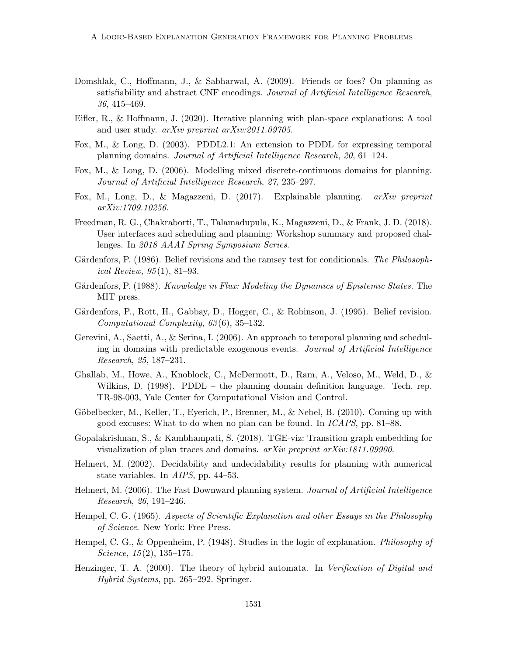- Domshlak, C., Hoffmann, J., & Sabharwal, A. (2009). Friends or foes? On planning as satisfiability and abstract CNF encodings. Journal of Artificial Intelligence Research, 36, 415–469.
- Eifler, R., & Hoffmann, J. (2020). Iterative planning with plan-space explanations: A tool and user study. arXiv preprint arXiv:2011.09705.
- Fox, M., & Long, D. (2003). PDDL2.1: An extension to PDDL for expressing temporal planning domains. Journal of Artificial Intelligence Research, 20, 61–124.
- Fox, M., & Long, D. (2006). Modelling mixed discrete-continuous domains for planning. Journal of Artificial Intelligence Research, 27, 235–297.
- Fox, M., Long, D., & Magazzeni, D. (2017). Explainable planning. arXiv preprint arXiv:1709.10256.
- Freedman, R. G., Chakraborti, T., Talamadupula, K., Magazzeni, D., & Frank, J. D. (2018). User interfaces and scheduling and planning: Workshop summary and proposed challenges. In 2018 AAAI Spring Symposium Series.
- Gärdenfors, P. (1986). Belief revisions and the ramsey test for conditionals. The Philosophical Review, 95 (1), 81–93.
- Gärdenfors, P. (1988). *Knowledge in Flux: Modeling the Dynamics of Epistemic States.* The MIT press.
- Gärdenfors, P., Rott, H., Gabbay, D., Hogger, C., & Robinson, J. (1995). Belief revision. Computational Complexity, 63 (6), 35–132.
- Gerevini, A., Saetti, A., & Serina, I. (2006). An approach to temporal planning and scheduling in domains with predictable exogenous events. Journal of Artificial Intelligence Research, 25, 187–231.
- Ghallab, M., Howe, A., Knoblock, C., McDermott, D., Ram, A., Veloso, M., Weld, D., & Wilkins, D. (1998). PDDL – the planning domain definition language. Tech. rep. TR-98-003, Yale Center for Computational Vision and Control.
- Göbelbecker, M., Keller, T., Eyerich, P., Brenner, M., & Nebel, B. (2010). Coming up with good excuses: What to do when no plan can be found. In ICAPS, pp. 81–88.
- Gopalakrishnan, S., & Kambhampati, S. (2018). TGE-viz: Transition graph embedding for visualization of plan traces and domains. arXiv preprint arXiv:1811.09900.
- Helmert, M. (2002). Decidability and undecidability results for planning with numerical state variables. In AIPS, pp. 44–53.
- Helmert, M. (2006). The Fast Downward planning system. *Journal of Artificial Intelligence* Research, 26, 191–246.
- Hempel, C. G. (1965). Aspects of Scientific Explanation and other Essays in the Philosophy of Science. New York: Free Press.
- Hempel, C. G., & Oppenheim, P. (1948). Studies in the logic of explanation. Philosophy of Science,  $15(2)$ ,  $135-175$ .
- Henzinger, T. A. (2000). The theory of hybrid automata. In Verification of Digital and Hybrid Systems, pp. 265–292. Springer.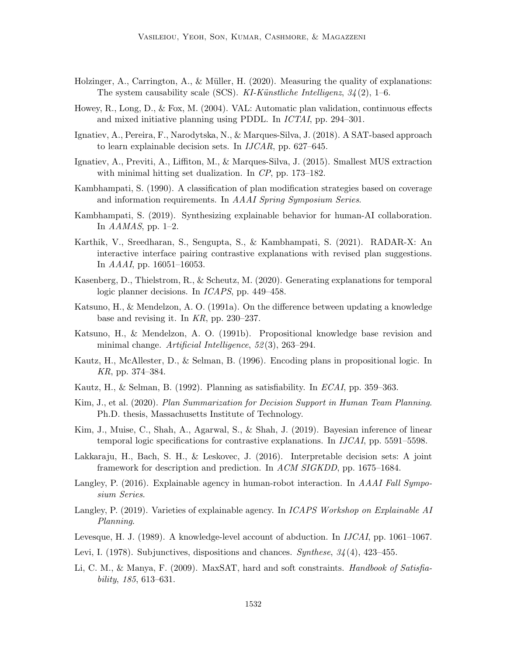- Holzinger, A., Carrington, A.,  $\&$  Müller, H. (2020). Measuring the quality of explanations: The system causability scale (SCS). KI-Künstliche Intelligenz,  $34(2)$ , 1–6.
- Howey, R., Long, D., & Fox, M. (2004). VAL: Automatic plan validation, continuous effects and mixed initiative planning using PDDL. In ICTAI, pp. 294–301.
- Ignatiev, A., Pereira, F., Narodytska, N., & Marques-Silva, J. (2018). A SAT-based approach to learn explainable decision sets. In IJCAR, pp. 627–645.
- Ignatiev, A., Previti, A., Liffiton, M., & Marques-Silva, J. (2015). Smallest MUS extraction with minimal hitting set dualization. In CP, pp. 173–182.
- Kambhampati, S. (1990). A classification of plan modification strategies based on coverage and information requirements. In AAAI Spring Symposium Series.
- Kambhampati, S. (2019). Synthesizing explainable behavior for human-AI collaboration. In  $AAMAS$ , pp. 1–2.
- Karthik, V., Sreedharan, S., Sengupta, S., & Kambhampati, S. (2021). RADAR-X: An interactive interface pairing contrastive explanations with revised plan suggestions. In AAAI, pp. 16051–16053.
- Kasenberg, D., Thielstrom, R., & Scheutz, M. (2020). Generating explanations for temporal logic planner decisions. In ICAPS, pp. 449–458.
- Katsuno, H., & Mendelzon, A. O. (1991a). On the difference between updating a knowledge base and revising it. In KR, pp. 230–237.
- Katsuno, H., & Mendelzon, A. O. (1991b). Propositional knowledge base revision and minimal change. Artificial Intelligence, 52(3), 263-294.
- Kautz, H., McAllester, D., & Selman, B. (1996). Encoding plans in propositional logic. In KR, pp. 374–384.
- Kautz, H., & Selman, B. (1992). Planning as satisfiability. In  $ECAI$ , pp. 359–363.
- Kim, J., et al. (2020). Plan Summarization for Decision Support in Human Team Planning. Ph.D. thesis, Massachusetts Institute of Technology.
- Kim, J., Muise, C., Shah, A., Agarwal, S., & Shah, J. (2019). Bayesian inference of linear temporal logic specifications for contrastive explanations. In IJCAI, pp. 5591–5598.
- Lakkaraju, H., Bach, S. H., & Leskovec, J. (2016). Interpretable decision sets: A joint framework for description and prediction. In ACM SIGKDD, pp. 1675–1684.
- Langley, P. (2016). Explainable agency in human-robot interaction. In AAAI Fall Symposium Series.
- Langley, P. (2019). Varieties of explainable agency. In *ICAPS Workshop on Explainable AI* Planning.
- Levesque, H. J. (1989). A knowledge-level account of abduction. In *IJCAI*, pp. 1061–1067.
- Levi, I. (1978). Subjunctives, dispositions and chances. Synthese,  $34(4)$ , 423–455.
- Li, C. M., & Manya, F. (2009). MaxSAT, hard and soft constraints. *Handbook of Satisfia*bility, 185, 613–631.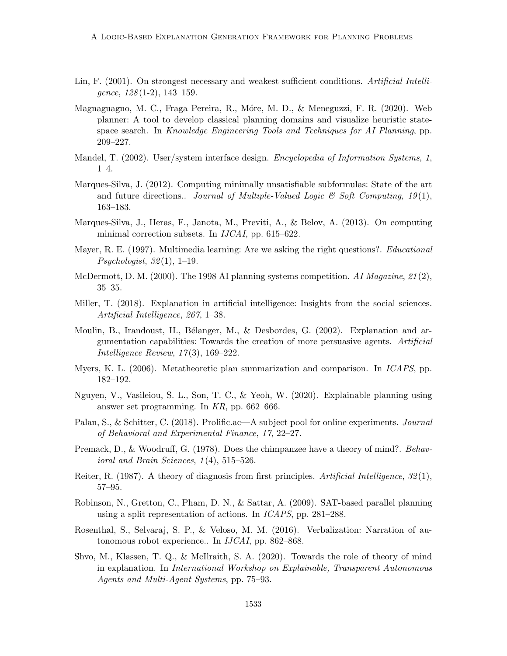- Lin, F. (2001). On strongest necessary and weakest sufficient conditions. Artificial Intelligence,  $128(1-2)$ ,  $143-159$ .
- Magnaguagno, M. C., Fraga Pereira, R., Móre, M. D., & Meneguzzi, F. R. (2020). Web planner: A tool to develop classical planning domains and visualize heuristic statespace search. In Knowledge Engineering Tools and Techniques for AI Planning, pp. 209–227.
- Mandel, T. (2002). User/system interface design. *Encyclopedia of Information Systems*, 1, 1–4.
- Marques-Silva, J. (2012). Computing minimally unsatisfiable subformulas: State of the art and future directions.. Journal of Multiple-Valued Logic  $\mathcal{C}$  Soft Computing, 19(1), 163–183.
- Marques-Silva, J., Heras, F., Janota, M., Previti, A., & Belov, A. (2013). On computing minimal correction subsets. In IJCAI, pp. 615–622.
- Mayer, R. E. (1997). Multimedia learning: Are we asking the right questions?. *Educational*  $Psychologist, 32(1), 1-19.$
- McDermott, D. M. (2000). The 1998 AI planning systems competition. AI Magazine,  $21(2)$ , 35–35.
- Miller, T. (2018). Explanation in artificial intelligence: Insights from the social sciences. Artificial Intelligence, 267, 1–38.
- Moulin, B., Irandoust, H., Bélanger, M., & Desbordes, G. (2002). Explanation and argumentation capabilities: Towards the creation of more persuasive agents. Artificial Intelligence Review, 17 (3), 169–222.
- Myers, K. L. (2006). Metatheoretic plan summarization and comparison. In ICAPS, pp. 182–192.
- Nguyen, V., Vasileiou, S. L., Son, T. C., & Yeoh, W. (2020). Explainable planning using answer set programming. In KR, pp. 662–666.
- Palan, S., & Schitter, C. (2018). Prolific.ac—A subject pool for online experiments. *Journal* of Behavioral and Experimental Finance, 17, 22–27.
- Premack, D., & Woodruff, G. (1978). Does the chimpanzee have a theory of mind?. Behavioral and Brain Sciences, 1 (4), 515–526.
- Reiter, R. (1987). A theory of diagnosis from first principles. Artificial Intelligence,  $32(1)$ , 57–95.
- Robinson, N., Gretton, C., Pham, D. N., & Sattar, A. (2009). SAT-based parallel planning using a split representation of actions. In ICAPS, pp. 281–288.
- Rosenthal, S., Selvaraj, S. P., & Veloso, M. M. (2016). Verbalization: Narration of autonomous robot experience.. In IJCAI, pp. 862–868.
- Shvo, M., Klassen, T. Q., & McIlraith, S. A. (2020). Towards the role of theory of mind in explanation. In International Workshop on Explainable, Transparent Autonomous Agents and Multi-Agent Systems, pp. 75–93.